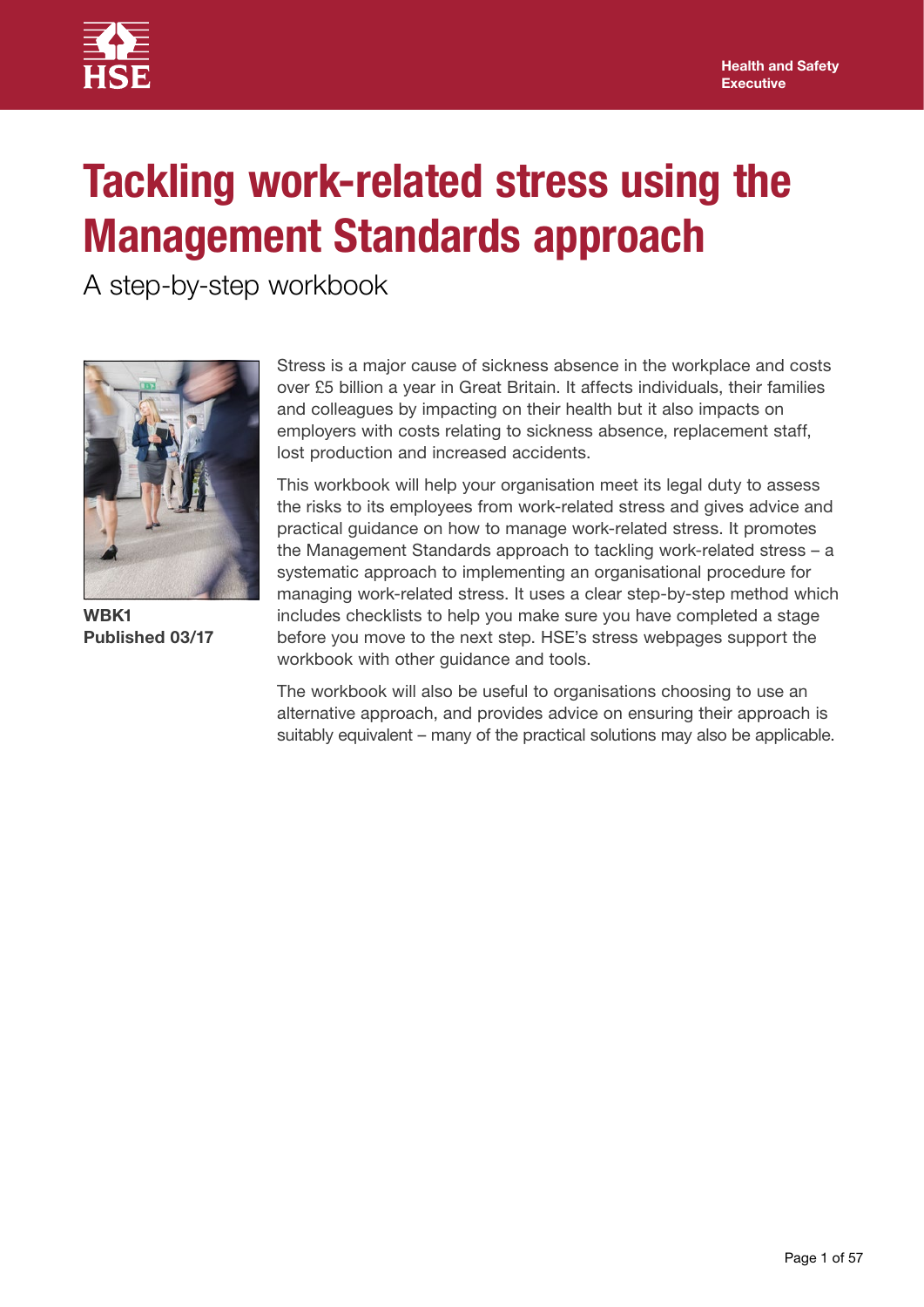

# Tackling work-related stress using the Management Standards approach

A step-by-step workbook



**WBK1 Published 03/17**

Stress is a major cause of sickness absence in the workplace and costs over £5 billion a year in Great Britain. It affects individuals, their families and colleagues by impacting on their health but it also impacts on employers with costs relating to sickness absence, replacement staff, lost production and increased accidents.

This workbook will help your organisation meet its legal duty to assess the risks to its employees from work-related stress and gives advice and practical guidance on how to manage work-related stress. It promotes the Management Standards approach to tackling work-related stress – a systematic approach to implementing an organisational procedure for managing work-related stress. It uses a clear step-by-step method which includes checklists to help you make sure you have completed a stage before you move to the next step. HSE's stress webpages support the workbook with other guidance and tools.

The workbook will also be useful to organisations choosing to use an alternative approach, and provides advice on ensuring their approach is suitably equivalent – many of the practical solutions may also be applicable.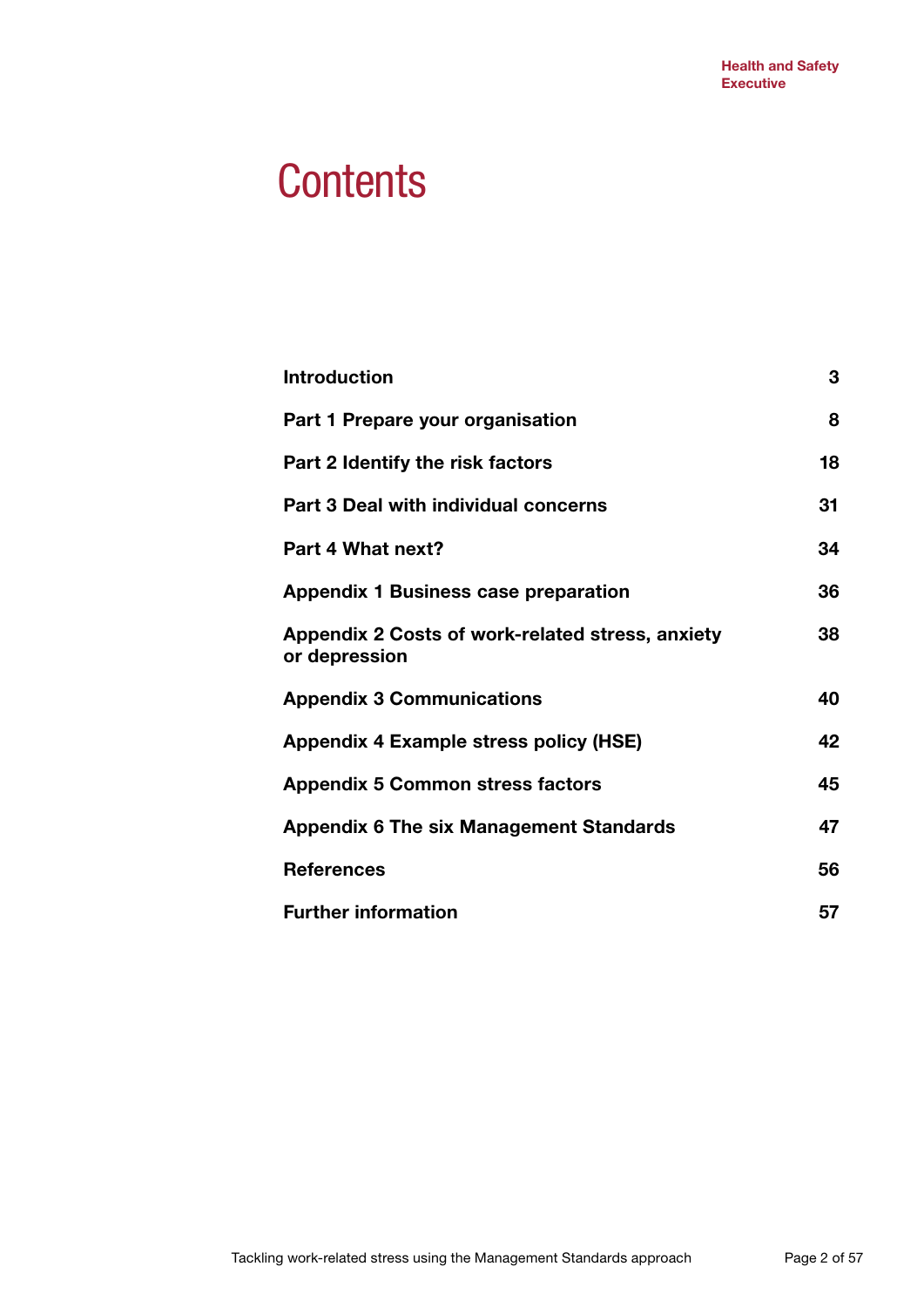# **Contents**

| <b>Introduction</b>                                               | 3  |
|-------------------------------------------------------------------|----|
| Part 1 Prepare your organisation                                  | 8  |
| Part 2 Identify the risk factors                                  | 18 |
| Part 3 Deal with individual concerns                              | 31 |
| Part 4 What next?                                                 | 34 |
| <b>Appendix 1 Business case preparation</b>                       | 36 |
| Appendix 2 Costs of work-related stress, anxiety<br>or depression | 38 |
| <b>Appendix 3 Communications</b>                                  | 40 |
| Appendix 4 Example stress policy (HSE)                            | 42 |
| <b>Appendix 5 Common stress factors</b>                           | 45 |
| Appendix 6 The six Management Standards                           | 47 |
| <b>References</b>                                                 | 56 |
| <b>Further information</b>                                        | 57 |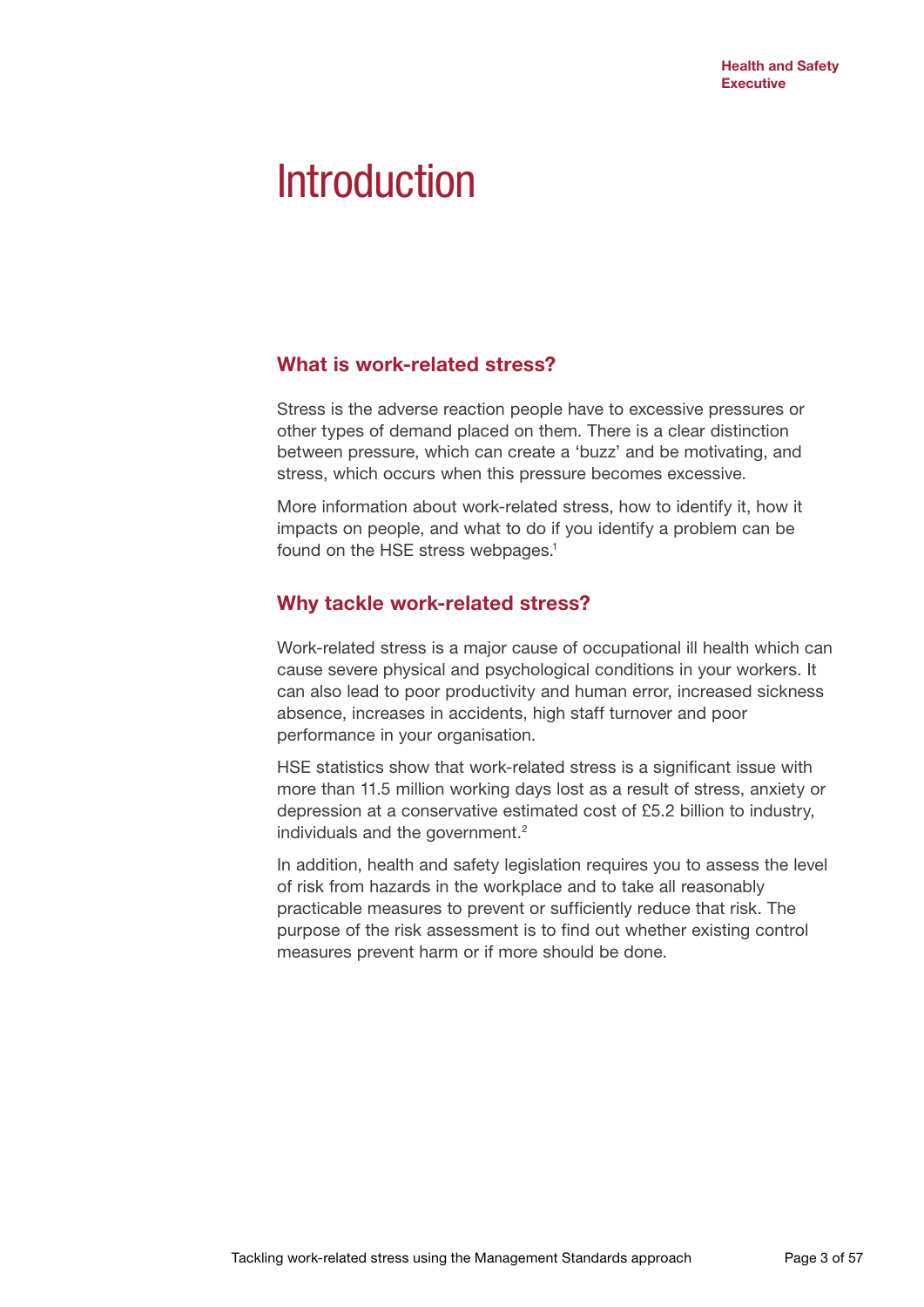# **Introduction**

# **What is work-related stress?**

Stress is the adverse reaction people have to excessive pressures or other types of demand placed on them. There is a clear distinction between pressure, which can create a 'buzz' and be motivating, and stress, which occurs when this pressure becomes excessive.

More information about work-related stress, how to identify it, how it impacts on people, and what to do if you identify a problem can be found on the HSE stress webpages.<sup>1</sup>

# **Why tackle work-related stress?**

Work-related stress is a major cause of occupational ill health which can cause severe physical and psychological conditions in your workers. It can also lead to poor productivity and human error, increased sickness absence, increases in accidents, high staff turnover and poor performance in your organisation.

HSE statistics show that work-related stress is a significant issue with more than 11.5 million working days lost as a result of stress, anxiety or depression at a conservative estimated cost of £5.2 billion to industry, individuals and the government.<sup>2</sup>

In addition, health and safety legislation requires you to assess the level of risk from hazards in the workplace and to take all reasonably practicable measures to prevent or sufficiently reduce that risk. The purpose of the risk assessment is to find out whether existing control measures prevent harm or if more should be done.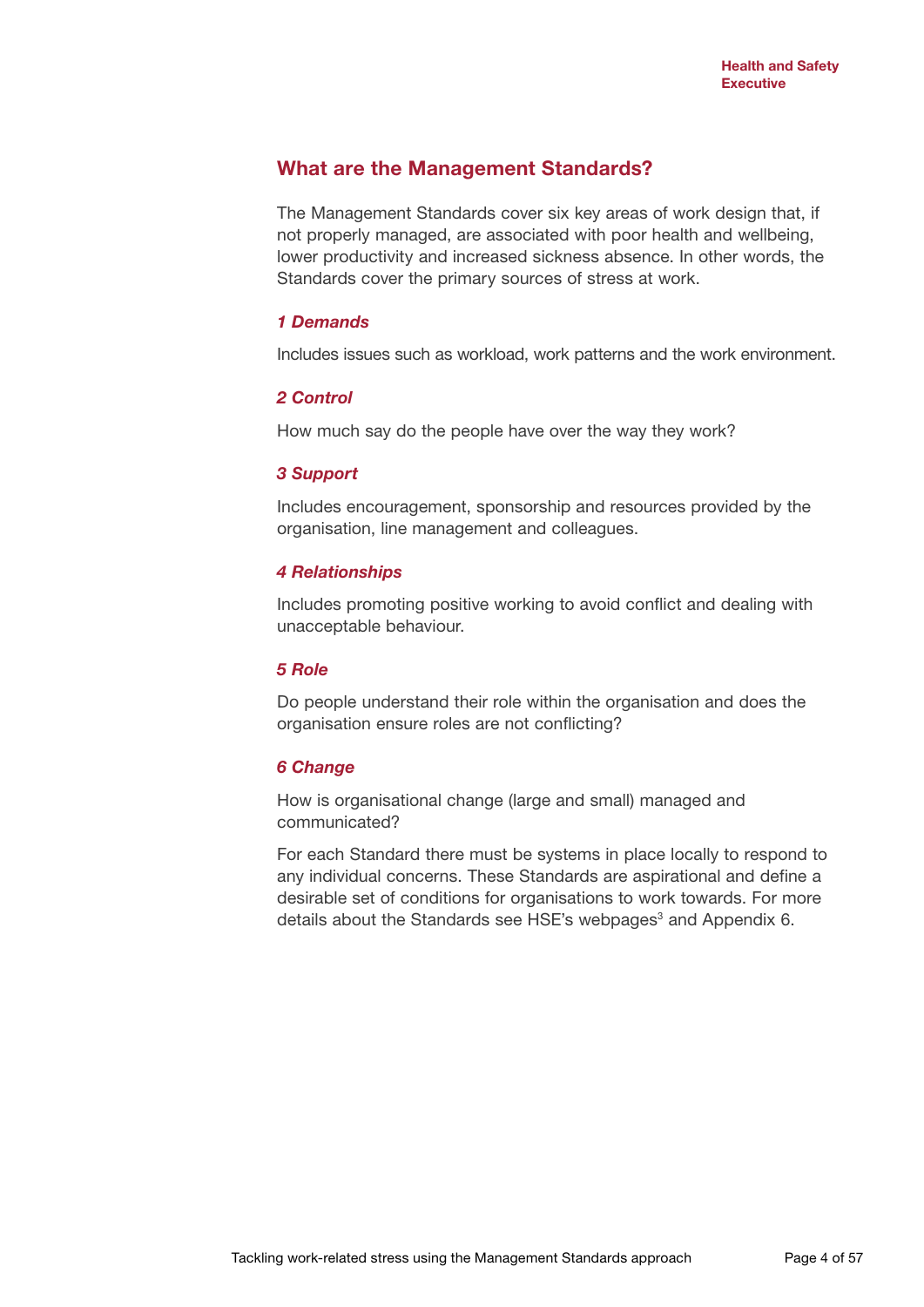# **What are the Management Standards?**

The Management Standards cover six key areas of work design that, if not properly managed, are associated with poor health and wellbeing, lower productivity and increased sickness absence. In other words, the Standards cover the primary sources of stress at work.

## *1 Demands*

Includes issues such as workload, work patterns and the work environment.

## *2 Control*

How much say do the people have over the way they work?

### *3 Support*

Includes encouragement, sponsorship and resources provided by the organisation, line management and colleagues.

### *4 Relationships*

Includes promoting positive working to avoid conflict and dealing with unacceptable behaviour.

### *5 Role*

Do people understand their role within the organisation and does the organisation ensure roles are not conflicting?

## *6 Change*

How is organisational change (large and small) managed and communicated?

For each Standard there must be systems in place locally to respond to any individual concerns. These Standards are aspirational and define a desirable set of conditions for organisations to work towards. For more details about the Standards see HSE's webpages<sup>3</sup> and Appendix 6.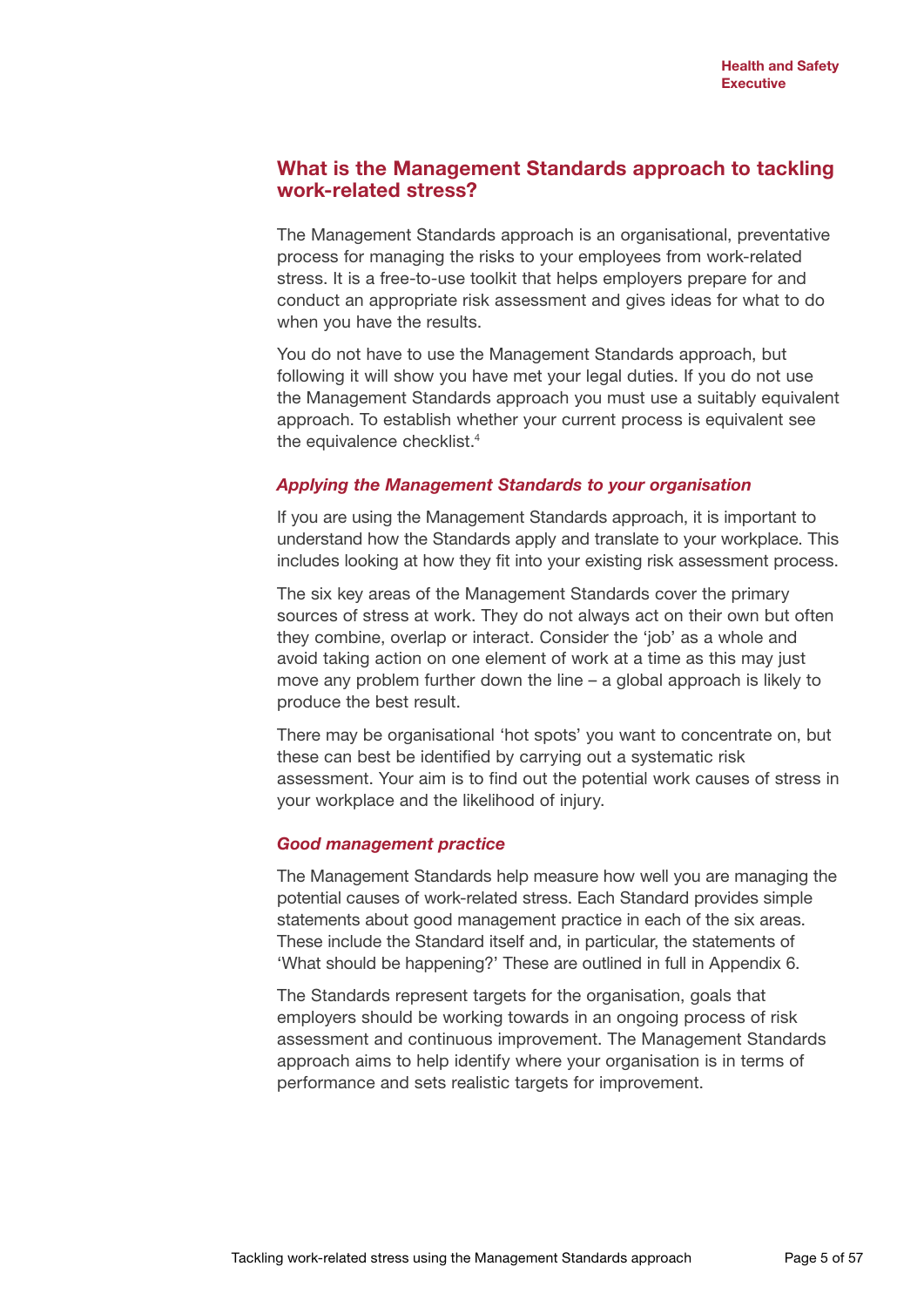## **What is the Management Standards approach to tackling work-related stress?**

The Management Standards approach is an organisational, preventative process for managing the risks to your employees from work-related stress. It is a free-to-use toolkit that helps employers prepare for and conduct an appropriate risk assessment and gives ideas for what to do when you have the results.

You do not have to use the Management Standards approach, but following it will show you have met your legal duties. If you do not use the Management Standards approach you must use a suitably equivalent approach. To establish whether your current process is equivalent see the equivalence checklist.<sup>4</sup>

## *Applying the Management Standards to your organisation*

If you are using the Management Standards approach, it is important to understand how the Standards apply and translate to your workplace. This includes looking at how they fit into your existing risk assessment process.

The six key areas of the Management Standards cover the primary sources of stress at work. They do not always act on their own but often they combine, overlap or interact. Consider the 'job' as a whole and avoid taking action on one element of work at a time as this may just move any problem further down the line – a global approach is likely to produce the best result.

There may be organisational 'hot spots' you want to concentrate on, but these can best be identified by carrying out a systematic risk assessment. Your aim is to find out the potential work causes of stress in your workplace and the likelihood of injury.

#### *Good management practice*

The Management Standards help measure how well you are managing the potential causes of work-related stress. Each Standard provides simple statements about good management practice in each of the six areas. These include the Standard itself and, in particular, the statements of 'What should be happening?' These are outlined in full in Appendix 6.

The Standards represent targets for the organisation, goals that employers should be working towards in an ongoing process of risk assessment and continuous improvement. The Management Standards approach aims to help identify where your organisation is in terms of performance and sets realistic targets for improvement.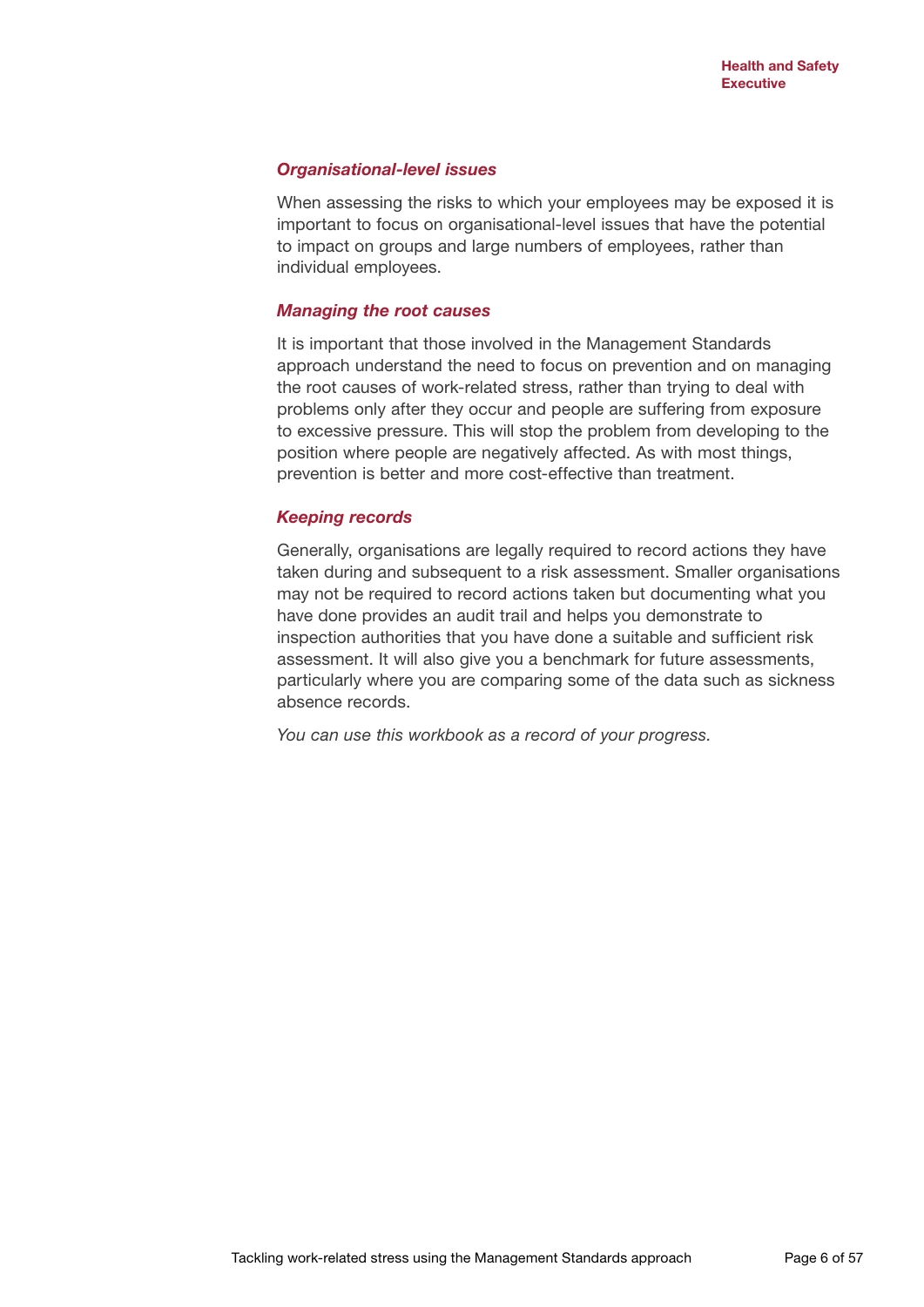### *Organisational-level issues*

When assessing the risks to which your employees may be exposed it is important to focus on organisational-level issues that have the potential to impact on groups and large numbers of employees, rather than individual employees.

### *Managing the root causes*

It is important that those involved in the Management Standards approach understand the need to focus on prevention and on managing the root causes of work-related stress, rather than trying to deal with problems only after they occur and people are suffering from exposure to excessive pressure. This will stop the problem from developing to the position where people are negatively affected. As with most things, prevention is better and more cost-effective than treatment.

## *Keeping records*

Generally, organisations are legally required to record actions they have taken during and subsequent to a risk assessment. Smaller organisations may not be required to record actions taken but documenting what you have done provides an audit trail and helps you demonstrate to inspection authorities that you have done a suitable and sufficient risk assessment. It will also give you a benchmark for future assessments, particularly where you are comparing some of the data such as sickness absence records.

*You can use this workbook as a record of your progress.*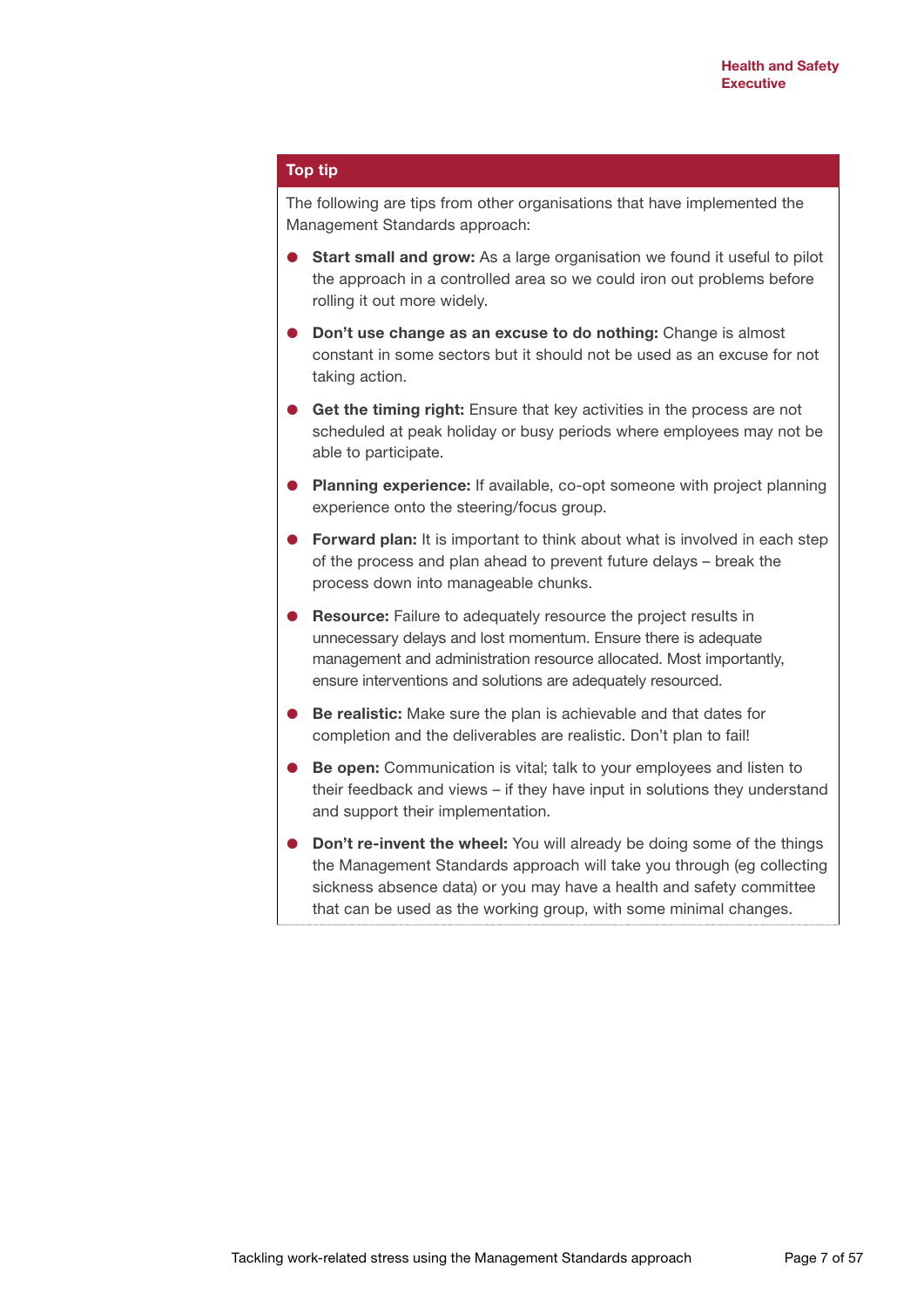#### **Top tip**

The following are tips from other organisations that have implemented the Management Standards approach:

- **Start small and grow:** As a large organisation we found it useful to pilot the approach in a controlled area so we could iron out problems before rolling it out more widely.
- **Don't use change as an excuse to do nothing:** Change is almost constant in some sectors but it should not be used as an excuse for not taking action.
- **Get the timing right:** Ensure that key activities in the process are not scheduled at peak holiday or busy periods where employees may not be able to participate.
- **Planning experience:** If available, co-opt someone with project planning experience onto the steering/focus group.
- **Forward plan:** It is important to think about what is involved in each step of the process and plan ahead to prevent future delays – break the process down into manageable chunks.
- **e** Resource: Failure to adequately resource the project results in unnecessary delays and lost momentum. Ensure there is adequate management and administration resource allocated. Most importantly, ensure interventions and solutions are adequately resourced.
- **Be realistic:** Make sure the plan is achievable and that dates for completion and the deliverables are realistic. Don't plan to fail!
- **Be open:** Communication is vital; talk to your employees and listen to their feedback and views – if they have input in solutions they understand and support their implementation.
- **Don't re-invent the wheel:** You will already be doing some of the things the Management Standards approach will take you through (eg collecting sickness absence data) or you may have a health and safety committee that can be used as the working group, with some minimal changes.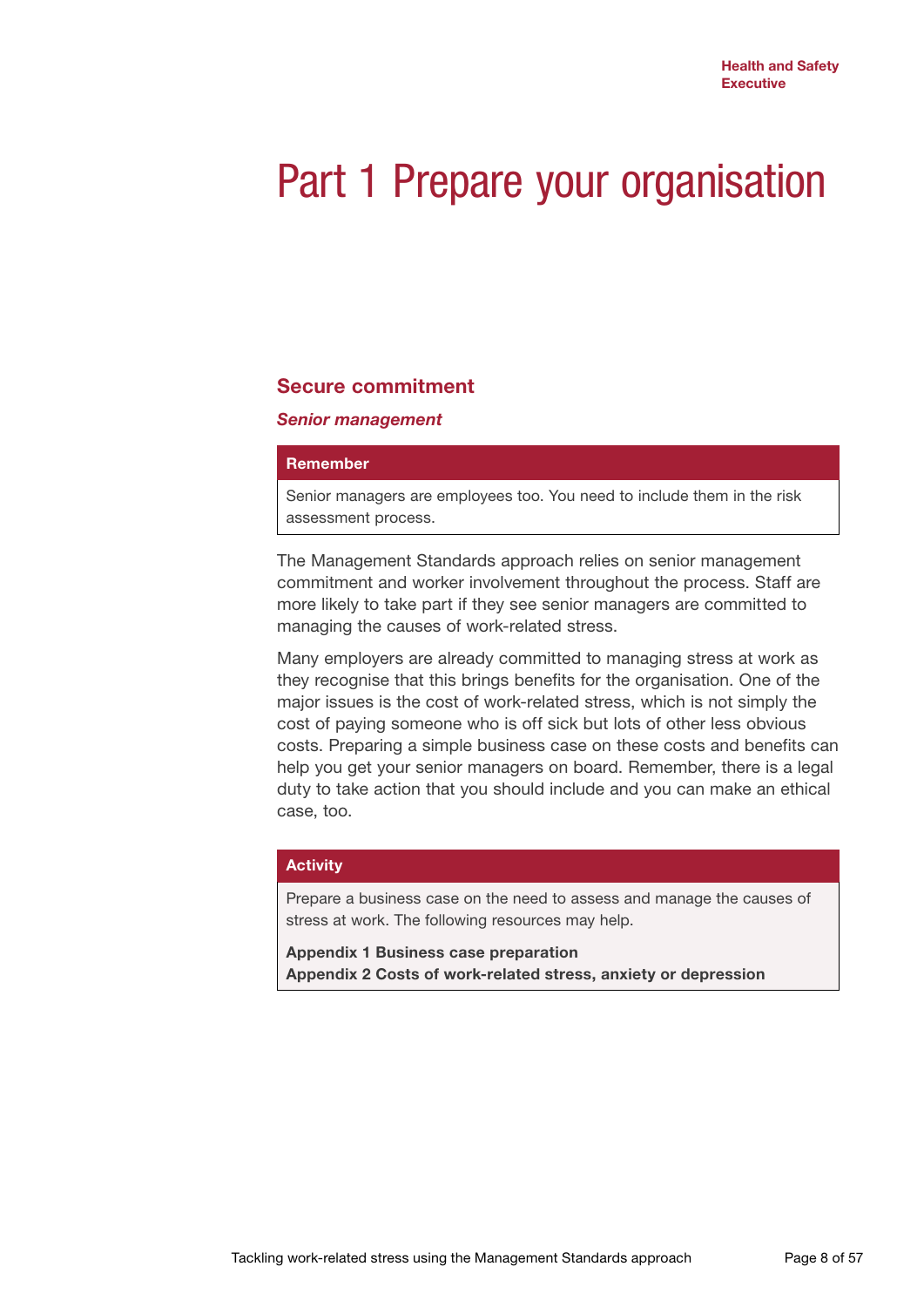# Part 1 Prepare your organisation

## **Secure commitment**

#### *Senior management*

#### **Remember**

Senior managers are employees too. You need to include them in the risk assessment process.

The Management Standards approach relies on senior management commitment and worker involvement throughout the process. Staff are more likely to take part if they see senior managers are committed to managing the causes of work-related stress.

Many employers are already committed to managing stress at work as they recognise that this brings benefits for the organisation. One of the major issues is the cost of work-related stress, which is not simply the cost of paying someone who is off sick but lots of other less obvious costs. Preparing a simple business case on these costs and benefits can help you get your senior managers on board. Remember, there is a legal duty to take action that you should include and you can make an ethical case, too.

#### **Activity**

Prepare a business case on the need to assess and manage the causes of stress at work. The following resources may help.

**Appendix 1 Business case preparation Appendix 2 Costs of work-related stress, anxiety or depression**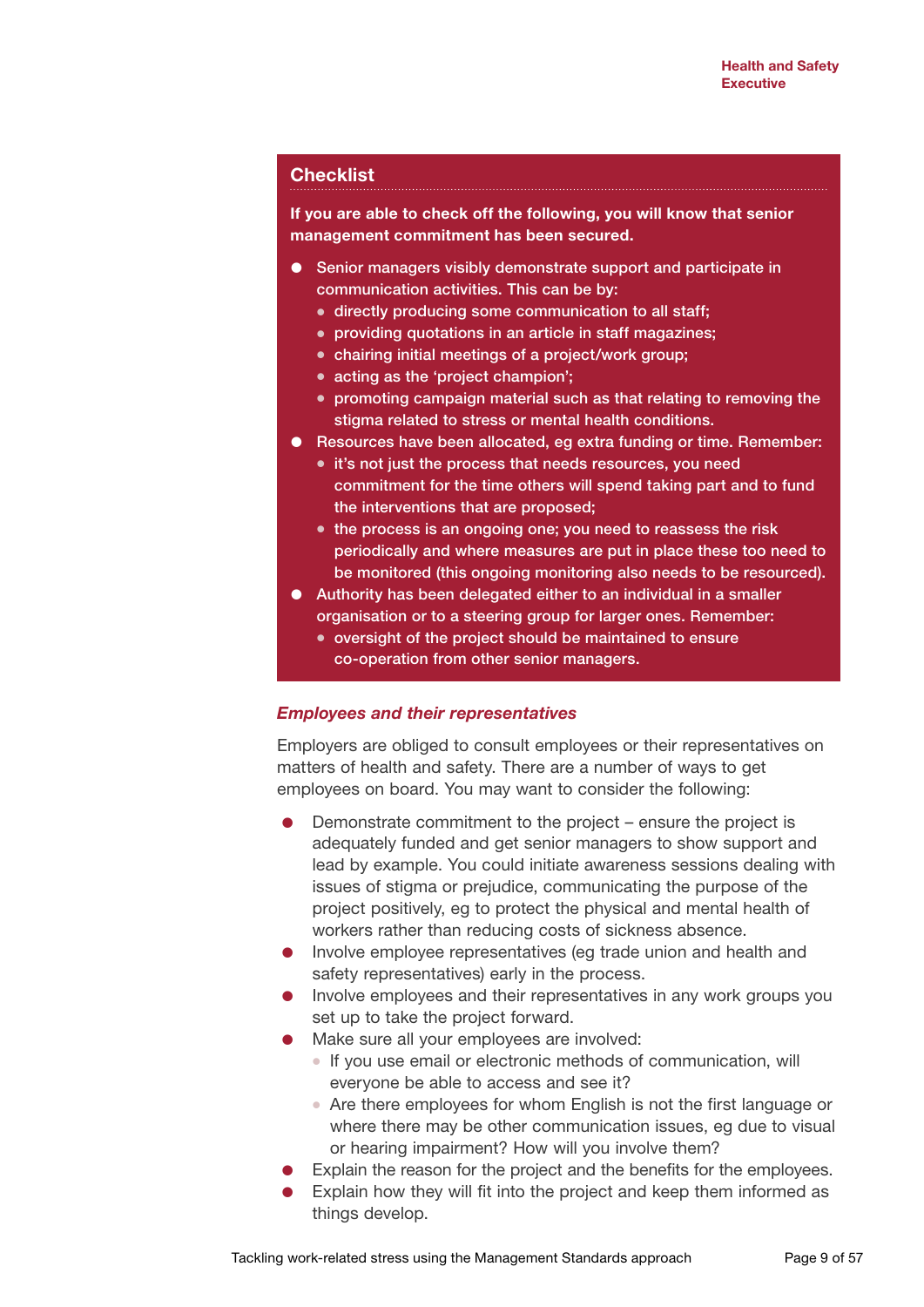### **Checklist**

**If you are able to check off the following, you will know that senior management commitment has been secured.** 

- Senior managers visibly demonstrate support and participate in communication activities. This can be by:
	- directly producing some communication to all staff;
	- providing quotations in an article in staff magazines;
	- chairing initial meetings of a project/work group;
	- acting as the 'project champion';
	- promoting campaign material such as that relating to removing the stigma related to stress or mental health conditions.
- Resources have been allocated, eg extra funding or time. Remember:
	- it's not just the process that needs resources, you need commitment for the time others will spend taking part and to fund the interventions that are proposed;
	- the process is an ongoing one; you need to reassess the risk periodically and where measures are put in place these too need to be monitored (this ongoing monitoring also needs to be resourced).
- Authority has been delegated either to an individual in a smaller organisation or to a steering group for larger ones. Remember:
	- oversight of the project should be maintained to ensure co-operation from other senior managers.

## *Employees and their representatives*

Employers are obliged to consult employees or their representatives on matters of health and safety. There are a number of ways to get employees on board. You may want to consider the following:

- Demonstrate commitment to the project ensure the project is adequately funded and get senior managers to show support and lead by example. You could initiate awareness sessions dealing with issues of stigma or prejudice, communicating the purpose of the project positively, eg to protect the physical and mental health of workers rather than reducing costs of sickness absence.
- **.** Involve employee representatives (eg trade union and health and safety representatives) early in the process.
- **I** Involve employees and their representatives in any work groups you set up to take the project forward.
- Make sure all your employees are involved:
	- If you use email or electronic methods of communication, will everyone be able to access and see it?
	- Are there employees for whom English is not the first language or where there may be other communication issues, eg due to visual or hearing impairment? How will you involve them?
- Explain the reason for the project and the benefits for the employees.
- Explain how they will fit into the project and keep them informed as things develop.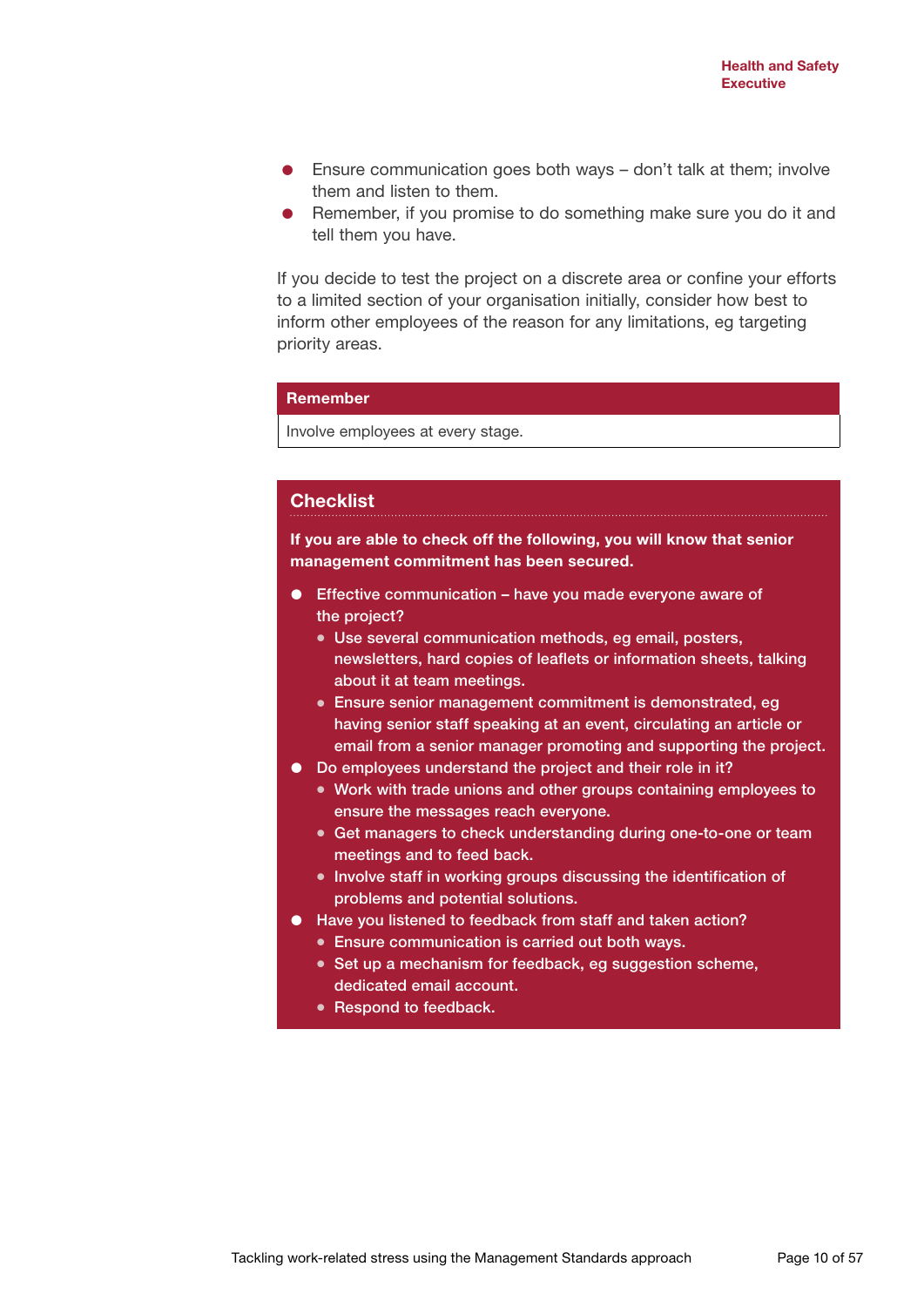- Ensure communication goes both ways don't talk at them; involve them and listen to them.
- **•** Remember, if you promise to do something make sure you do it and tell them you have.

If you decide to test the project on a discrete area or confine your efforts to a limited section of your organisation initially, consider how best to inform other employees of the reason for any limitations, eg targeting priority areas.

## **Remember**

Involve employees at every stage.

#### **Checklist**

**If you are able to check off the following, you will know that senior management commitment has been secured.** 

- Effective communication have you made everyone aware of the project?
	- Use several communication methods, eg email, posters, newsletters, hard copies of leaflets or information sheets, talking about it at team meetings.
	- Ensure senior management commitment is demonstrated, eg having senior staff speaking at an event, circulating an article or email from a senior manager promoting and supporting the project.
- Do employees understand the project and their role in it?
	- Work with trade unions and other groups containing employees to ensure the messages reach everyone.
	- Get managers to check understanding during one-to-one or team meetings and to feed back.
	- Involve staff in working groups discussing the identification of problems and potential solutions.
- Have you listened to feedback from staff and taken action?
	- Ensure communication is carried out both ways.
	- Set up a mechanism for feedback, eg suggestion scheme, dedicated email account.
	- Respond to feedback.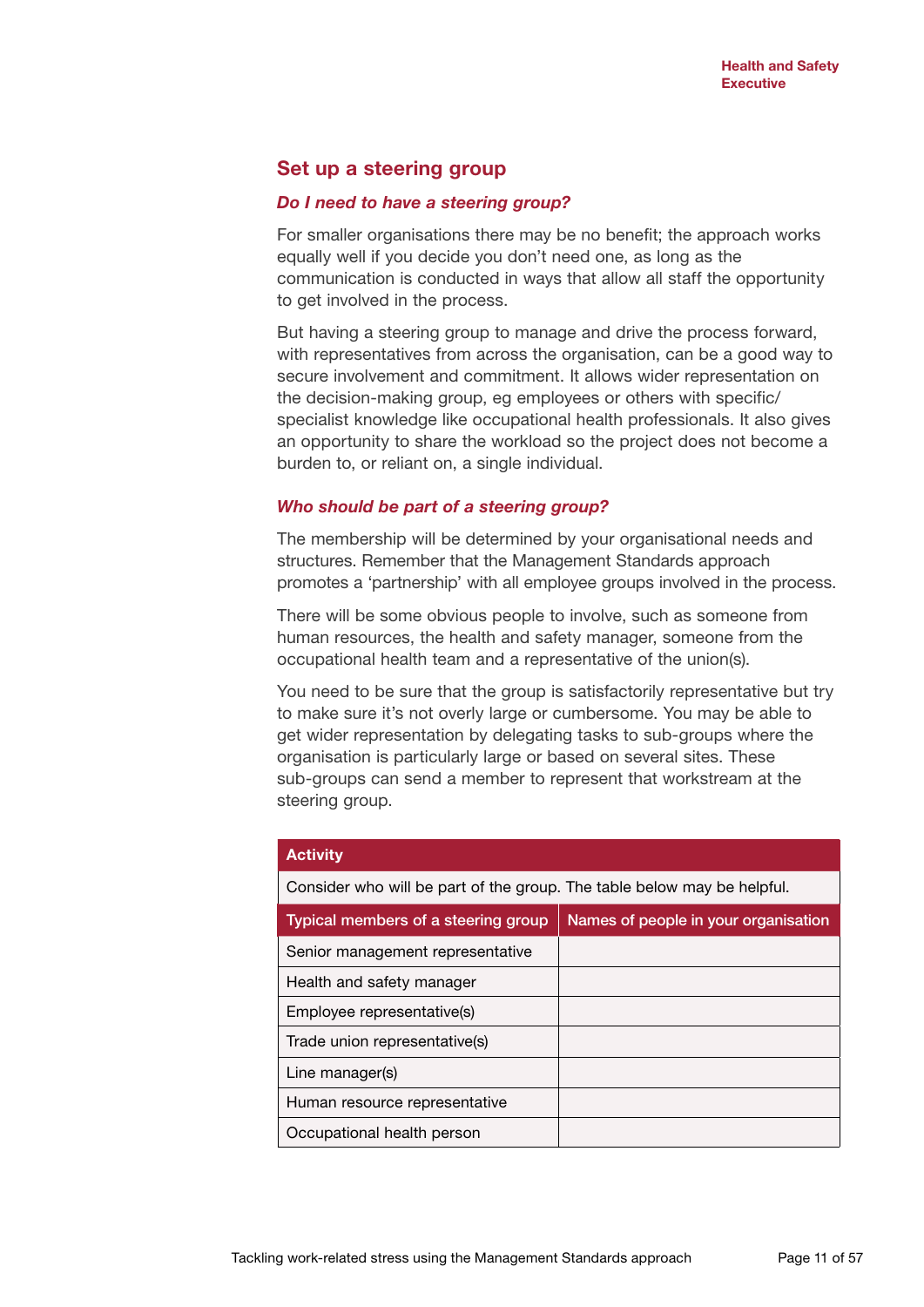## **Set up a steering group**

### *Do I need to have a steering group?*

For smaller organisations there may be no benefit; the approach works equally well if you decide you don't need one, as long as the communication is conducted in ways that allow all staff the opportunity to get involved in the process.

But having a steering group to manage and drive the process forward, with representatives from across the organisation, can be a good way to secure involvement and commitment. It allows wider representation on the decision-making group, eg employees or others with specific/ specialist knowledge like occupational health professionals. It also gives an opportunity to share the workload so the project does not become a burden to, or reliant on, a single individual.

## *Who should be part of a steering group?*

The membership will be determined by your organisational needs and structures. Remember that the Management Standards approach promotes a 'partnership' with all employee groups involved in the process.

There will be some obvious people to involve, such as someone from human resources, the health and safety manager, someone from the occupational health team and a representative of the union(s).

You need to be sure that the group is satisfactorily representative but try to make sure it's not overly large or cumbersome. You may be able to get wider representation by delegating tasks to sub-groups where the organisation is particularly large or based on several sites. These sub-groups can send a member to represent that workstream at the steering group.

| <b>Activity</b>                                                         |                                      |
|-------------------------------------------------------------------------|--------------------------------------|
| Consider who will be part of the group. The table below may be helpful. |                                      |
| Typical members of a steering group                                     | Names of people in your organisation |
| Senior management representative                                        |                                      |
| Health and safety manager                                               |                                      |
| Employee representative(s)                                              |                                      |
| Trade union representative(s)                                           |                                      |
| Line manager(s)                                                         |                                      |
| Human resource representative                                           |                                      |
| Occupational health person                                              |                                      |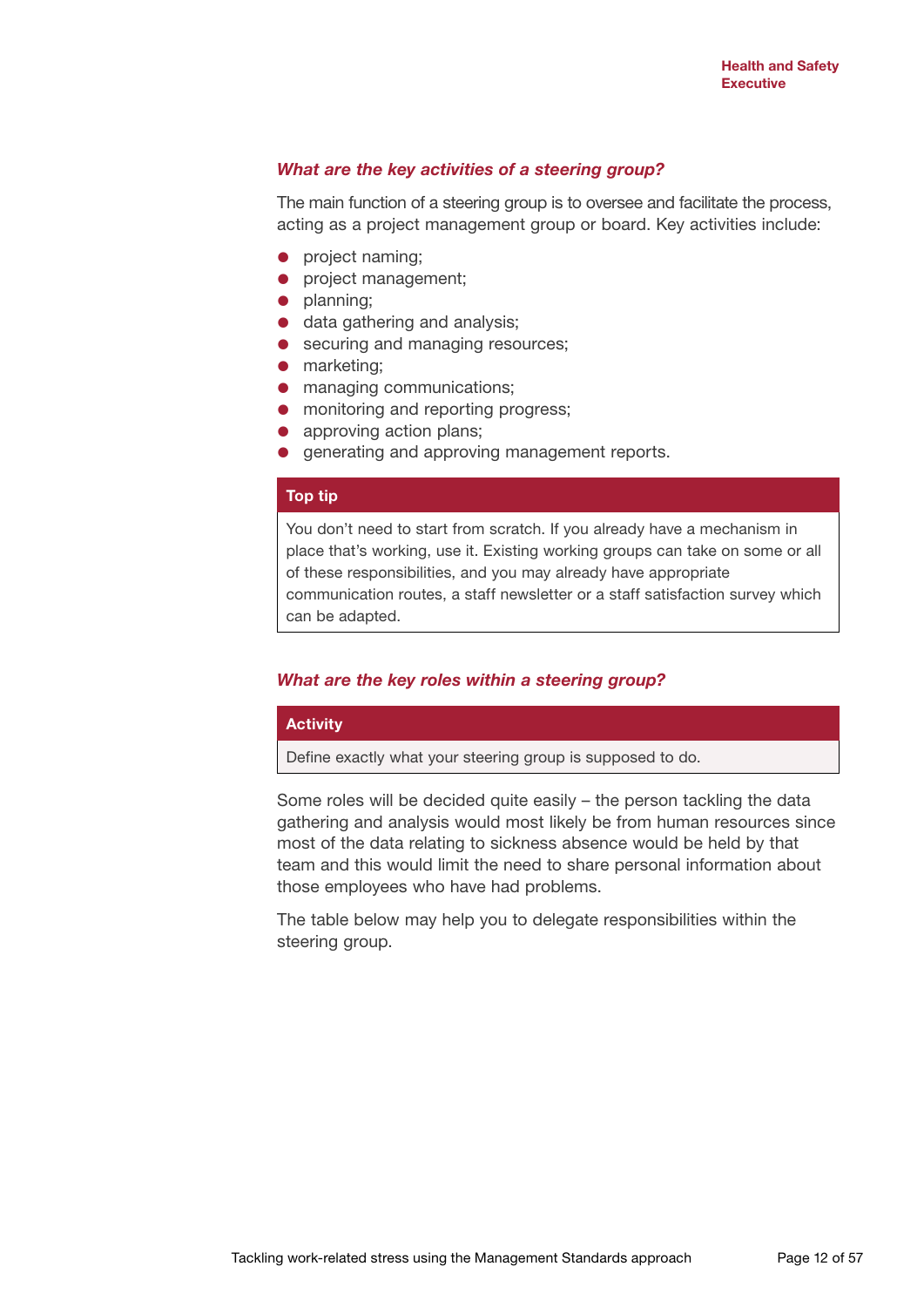## *What are the key activities of a steering group?*

The main function of a steering group is to oversee and facilitate the process, acting as a project management group or board. Key activities include:

- project naming;
- project management;
- planning:
- data gathering and analysis;
- securing and managing resources;
- marketing;
- **•** managing communications;
- monitoring and reporting progress;
- **approving action plans;**
- generating and approving management reports.

#### **Top tip**

You don't need to start from scratch. If you already have a mechanism in place that's working, use it. Existing working groups can take on some or all of these responsibilities, and you may already have appropriate communication routes, a staff newsletter or a staff satisfaction survey which can be adapted.

## *What are the key roles within a steering group?*

#### **Activity**

Define exactly what your steering group is supposed to do.

Some roles will be decided quite easily – the person tackling the data gathering and analysis would most likely be from human resources since most of the data relating to sickness absence would be held by that team and this would limit the need to share personal information about those employees who have had problems.

The table below may help you to delegate responsibilities within the steering group.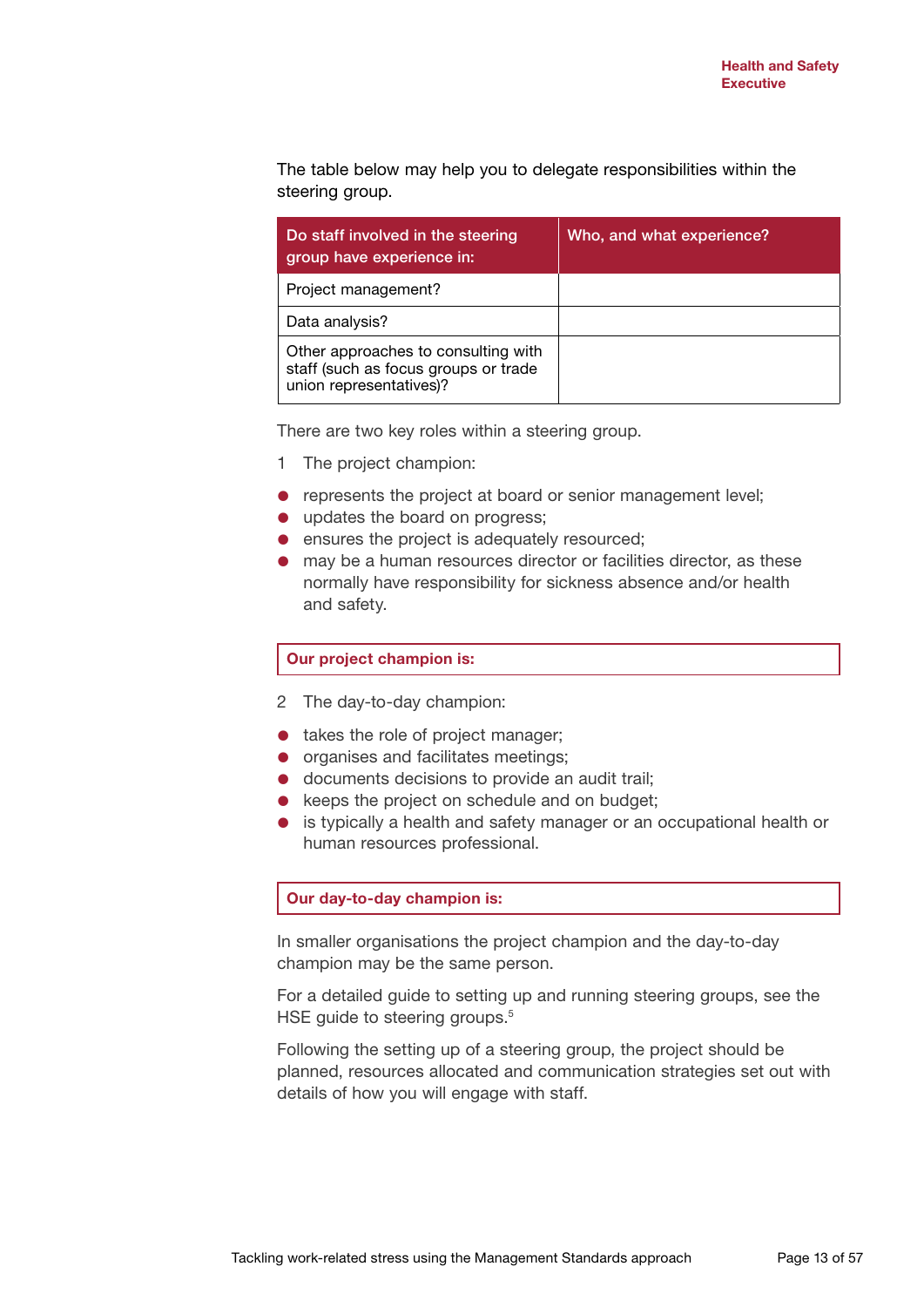The table below may help you to delegate responsibilities within the steering group.

| Do staff involved in the steering<br>group have experience in:                                         | Who, and what experience? |
|--------------------------------------------------------------------------------------------------------|---------------------------|
| Project management?                                                                                    |                           |
| Data analysis?                                                                                         |                           |
| Other approaches to consulting with<br>staff (such as focus groups or trade<br>union representatives)? |                           |

There are two key roles within a steering group.

- 1 The project champion:
- **•** represents the project at board or senior management level;
- updates the board on progress;
- ensures the project is adequately resourced:
- may be a human resources director or facilities director, as these normally have responsibility for sickness absence and/or health and safety.

#### **Our project champion is:**

- 2 The day-to-day champion:
- takes the role of project manager;
- **o** organises and facilitates meetings;
- documents decisions to provide an audit trail;
- keeps the project on schedule and on budget;
- is typically a health and safety manager or an occupational health or human resources professional.

#### **Our day-to-day champion is:**

In smaller organisations the project champion and the day-to-day champion may be the same person.

For a detailed guide to setting up and running steering groups, see the [HSE guide to steering groups.](http://www.hse.gov.uk/stress/standards/pdfs/steeringgroups.pdf)<sup>5</sup>

Following the setting up of a steering group, the project should be planned, resources allocated and communication strategies set out with details of how you will engage with staff.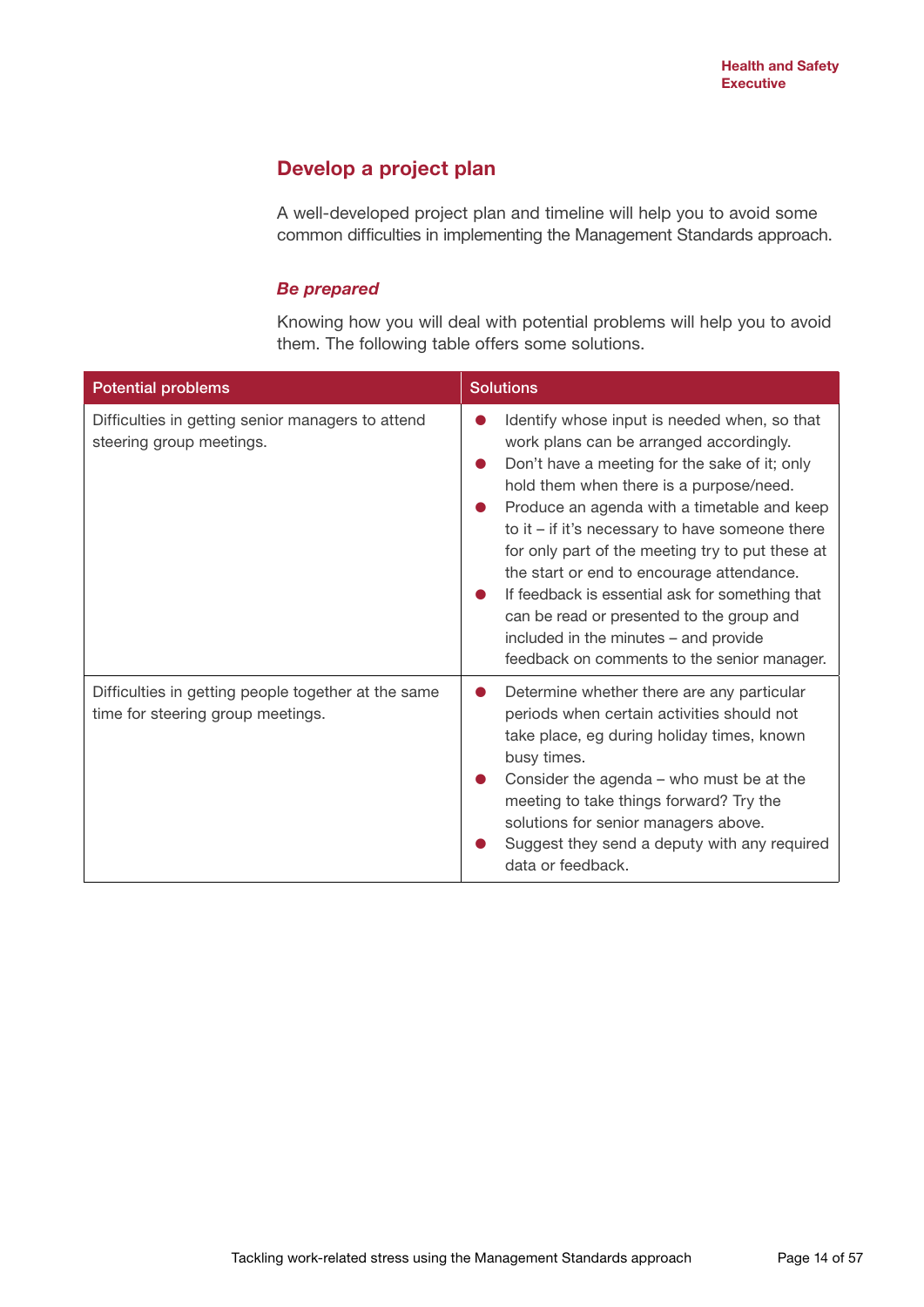# **Develop a project plan**

A well-developed project plan and timeline will help you to avoid some common difficulties in implementing the Management Standards approach.

## *Be prepared*

Knowing how you will deal with potential problems will help you to avoid them. The following table offers some solutions.

| <b>Potential problems</b>                                                                | <b>Solutions</b>                                                                                                                                                                                                                                                                                                                                                                                                                                                                                                                                                                 |
|------------------------------------------------------------------------------------------|----------------------------------------------------------------------------------------------------------------------------------------------------------------------------------------------------------------------------------------------------------------------------------------------------------------------------------------------------------------------------------------------------------------------------------------------------------------------------------------------------------------------------------------------------------------------------------|
| Difficulties in getting senior managers to attend<br>steering group meetings.            | Identify whose input is needed when, so that<br>work plans can be arranged accordingly.<br>Don't have a meeting for the sake of it; only<br>hold them when there is a purpose/need.<br>Produce an agenda with a timetable and keep<br>to it $-$ if it's necessary to have someone there<br>for only part of the meeting try to put these at<br>the start or end to encourage attendance.<br>If feedback is essential ask for something that<br>can be read or presented to the group and<br>included in the minutes - and provide<br>feedback on comments to the senior manager. |
| Difficulties in getting people together at the same<br>time for steering group meetings. | Determine whether there are any particular<br>periods when certain activities should not<br>take place, eg during holiday times, known<br>busy times.<br>Consider the agenda - who must be at the<br>meeting to take things forward? Try the<br>solutions for senior managers above.<br>Suggest they send a deputy with any required<br>data or feedback.                                                                                                                                                                                                                        |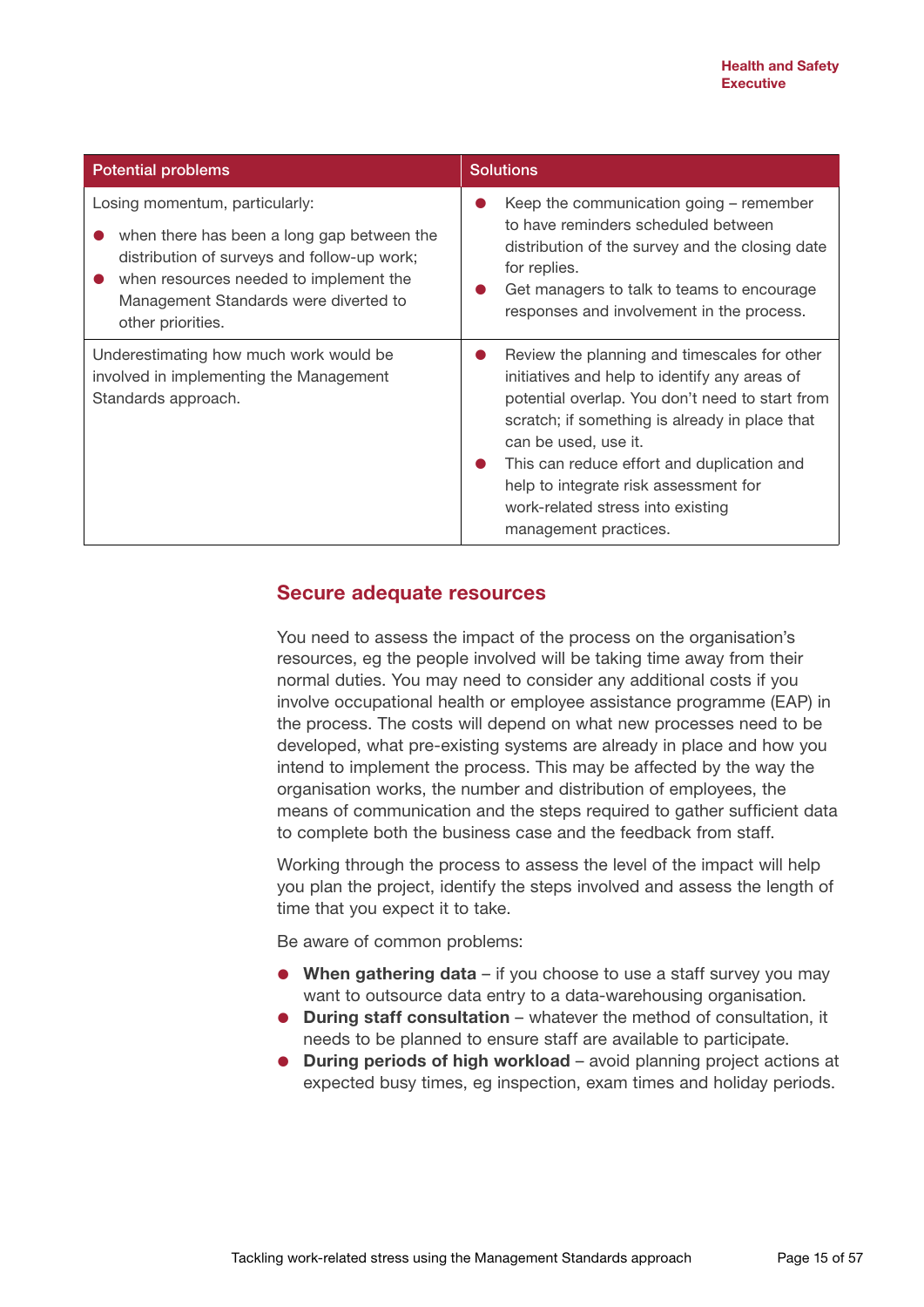| <b>Potential problems</b>                                                                                                                                                                                                           | <b>Solutions</b>                                                                                                                                                                                                                                                                                                                                                                     |
|-------------------------------------------------------------------------------------------------------------------------------------------------------------------------------------------------------------------------------------|--------------------------------------------------------------------------------------------------------------------------------------------------------------------------------------------------------------------------------------------------------------------------------------------------------------------------------------------------------------------------------------|
| Losing momentum, particularly:<br>when there has been a long gap between the<br>distribution of surveys and follow-up work;<br>when resources needed to implement the<br>Management Standards were diverted to<br>other priorities. | Keep the communication going – remember<br>to have reminders scheduled between<br>distribution of the survey and the closing date<br>for replies.<br>Get managers to talk to teams to encourage<br>responses and involvement in the process.                                                                                                                                         |
| Underestimating how much work would be<br>involved in implementing the Management<br>Standards approach.                                                                                                                            | Review the planning and timescales for other<br>●<br>initiatives and help to identify any areas of<br>potential overlap. You don't need to start from<br>scratch; if something is already in place that<br>can be used, use it.<br>This can reduce effort and duplication and<br>help to integrate risk assessment for<br>work-related stress into existing<br>management practices. |

# **Secure adequate resources**

You need to assess the impact of the process on the organisation's resources, eg the people involved will be taking time away from their normal duties. You may need to consider any additional costs if you involve occupational health or employee assistance programme (EAP) in the process. The costs will depend on what new processes need to be developed, what pre-existing systems are already in place and how you intend to implement the process. This may be affected by the way the organisation works, the number and distribution of employees, the means of communication and the steps required to gather sufficient data to complete both the business case and the feedback from staff.

Working through the process to assess the level of the impact will help you plan the project, identify the steps involved and assess the length of time that you expect it to take.

Be aware of common problems:

- **When gathering data** if you choose to use a staff survey you may want to outsource data entry to a data-warehousing organisation.
- **During staff consultation** whatever the method of consultation, it needs to be planned to ensure staff are available to participate.
- **During periods of high workload** avoid planning project actions at expected busy times, eg inspection, exam times and holiday periods.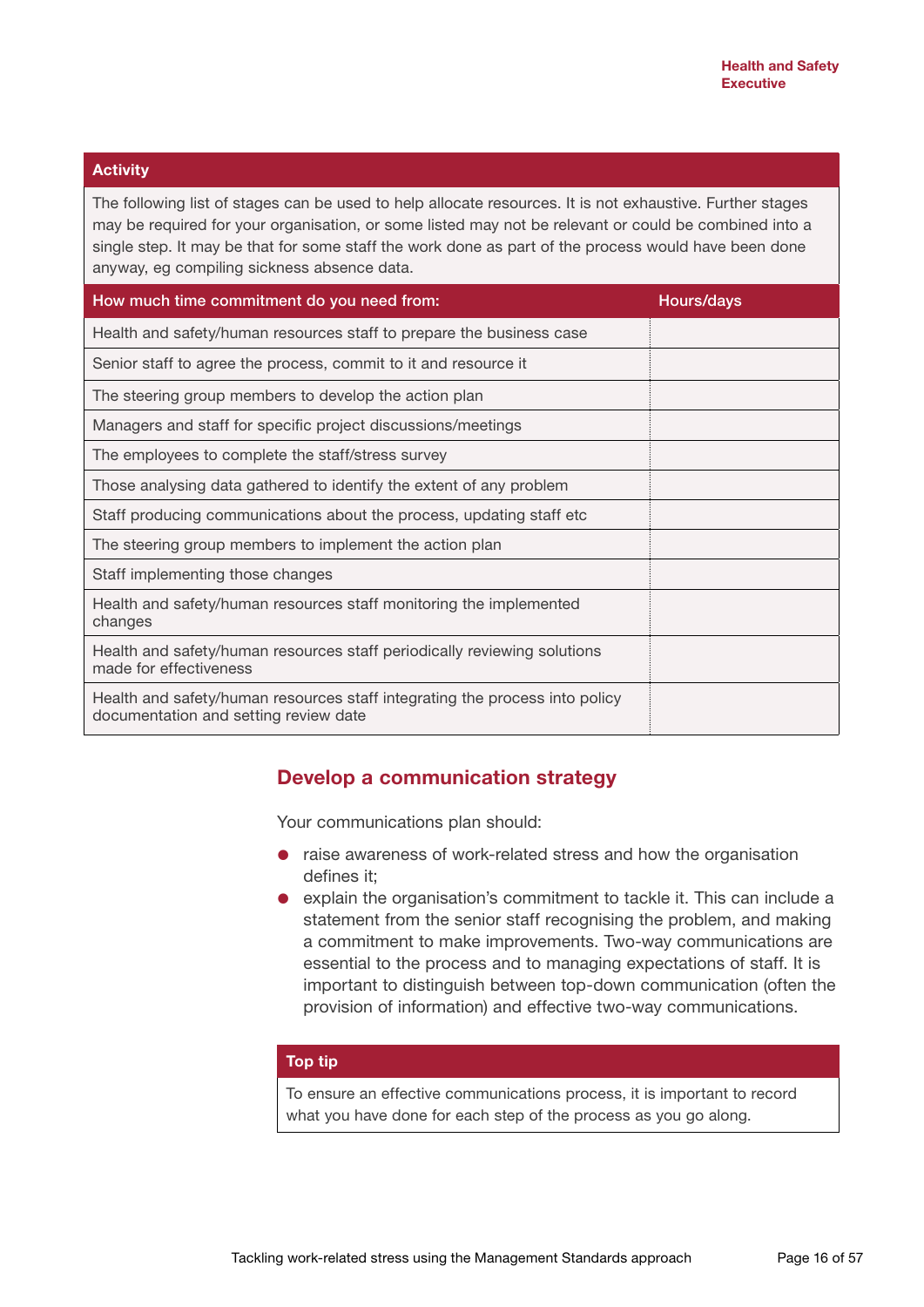#### **Activity**

The following list of stages can be used to help allocate resources. It is not exhaustive. Further stages may be required for your organisation, or some listed may not be relevant or could be combined into a single step. It may be that for some staff the work done as part of the process would have been done anyway, eg compiling sickness absence data.

| How much time commitment do you need from:                                                                           | Hours/days |
|----------------------------------------------------------------------------------------------------------------------|------------|
| Health and safety/human resources staff to prepare the business case                                                 |            |
| Senior staff to agree the process, commit to it and resource it                                                      |            |
| The steering group members to develop the action plan                                                                |            |
| Managers and staff for specific project discussions/meetings                                                         |            |
| The employees to complete the staff/stress survey                                                                    |            |
| Those analysing data gathered to identify the extent of any problem                                                  |            |
| Staff producing communications about the process, updating staff etc.                                                |            |
| The steering group members to implement the action plan                                                              |            |
| Staff implementing those changes                                                                                     |            |
| Health and safety/human resources staff monitoring the implemented<br>changes                                        |            |
| Health and safety/human resources staff periodically reviewing solutions<br>made for effectiveness                   |            |
| Health and safety/human resources staff integrating the process into policy<br>documentation and setting review date |            |

# **Develop a communication strategy**

Your communications plan should:

- **The audies and stress and how the organisation** defines it;
- explain the organisation's commitment to tackle it. This can include a statement from the senior staff recognising the problem, and making a commitment to make improvements. Two-way communications are essential to the process and to managing expectations of staff. It is important to distinguish between top-down communication (often the provision of information) and effective two-way communications.

## **Top tip**

To ensure an effective communications process, it is important to record what you have done for each step of the process as you go along.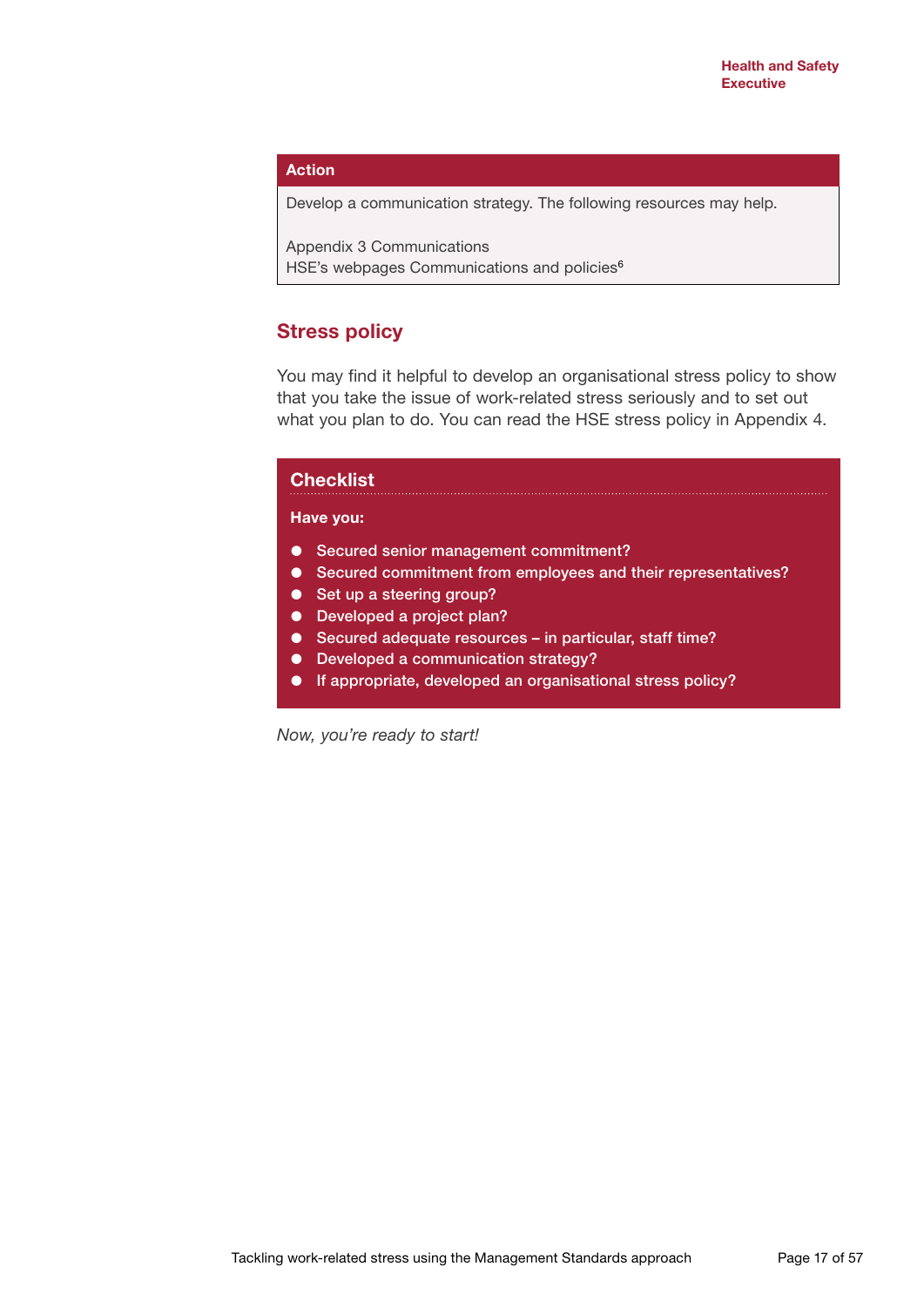#### **Action**

Develop a communication strategy. The following resources may help.

Appendix 3 Communications [HSE's webpages Communications and policies](http://www.hse.gov.uk/stress/standards/communications.htm)<sup>6</sup>

# **Stress policy**

You may find it helpful to develop an organisational stress policy to show that you take the issue of work-related stress seriously and to set out what you plan to do. You can read the HSE stress policy in Appendix 4.

## **Checklist**

**Have you:**

- Secured senior management commitment?
- Secured commitment from employees and their representatives?
- Set up a steering group?
- Developed a project plan?
- Secured adequate resources in particular, staff time?
- Developed a communication strategy?
- If appropriate, developed an organisational stress policy?

*Now, you're ready to start!*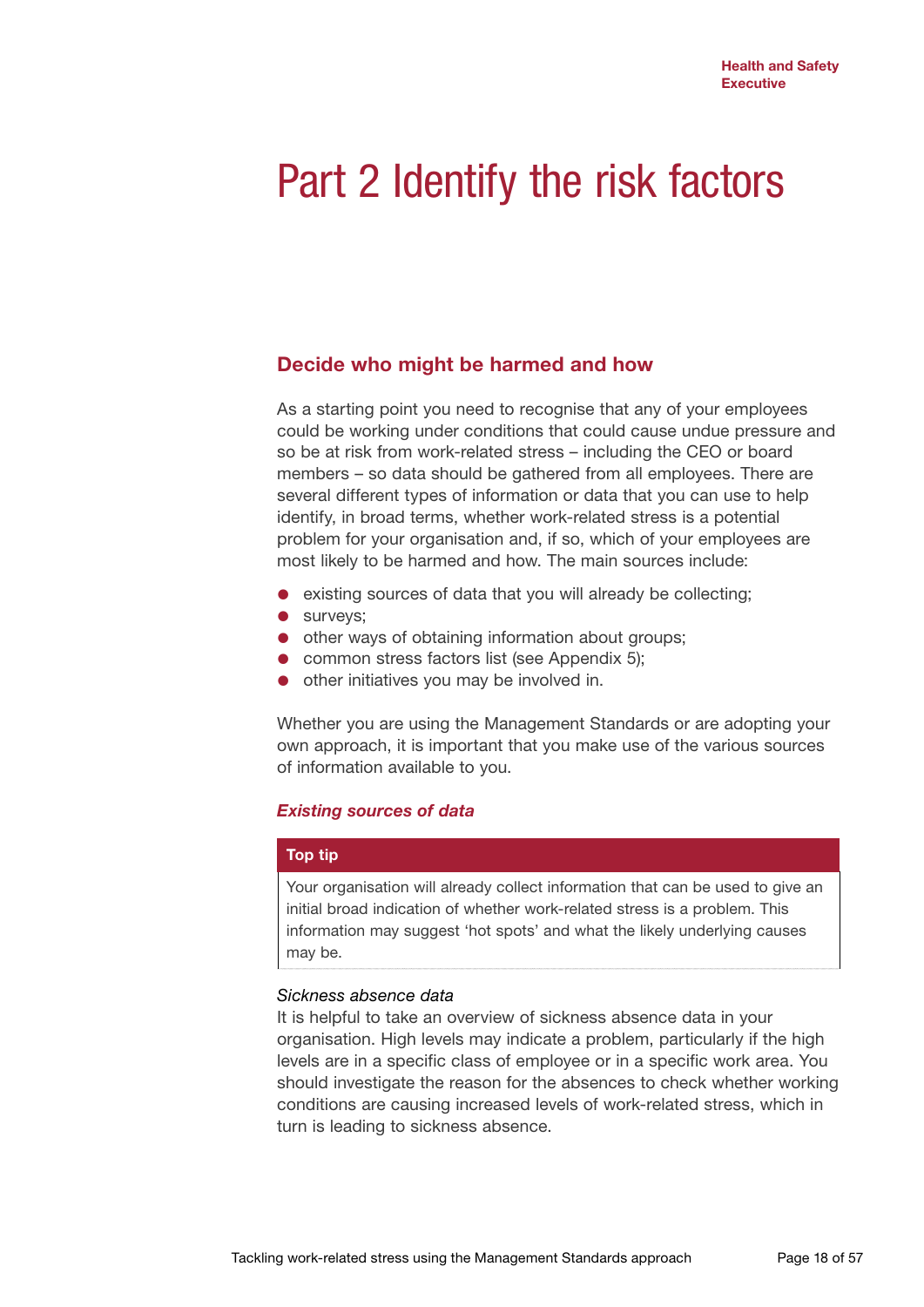# Part 2 Identify the risk factors

# **Decide who might be harmed and how**

As a starting point you need to recognise that any of your employees could be working under conditions that could cause undue pressure and so be at risk from work-related stress – including the CEO or board members – so data should be gathered from all employees. There are several different types of information or data that you can use to help identify, in broad terms, whether work-related stress is a potential problem for your organisation and, if so, which of your employees are most likely to be harmed and how. The main sources include:

- existing sources of data that you will already be collecting;
- **Surveys;**
- $\bullet$  other ways of obtaining information about groups;
- **•** common stress factors list (see Appendix 5);
- other initiatives you may be involved in.

Whether you are using the Management Standards or are adopting your own approach, it is important that you make use of the various sources of information available to you.

## *Existing sources of data*

#### **Top tip**

Your organisation will already collect information that can be used to give an initial broad indication of whether work-related stress is a problem. This information may suggest 'hot spots' and what the likely underlying causes may be.

#### *Sickness absence data*

It is helpful to take an overview of sickness absence data in your organisation. High levels may indicate a problem, particularly if the high levels are in a specific class of employee or in a specific work area. You should investigate the reason for the absences to check whether working conditions are causing increased levels of work-related stress, which in turn is leading to sickness absence.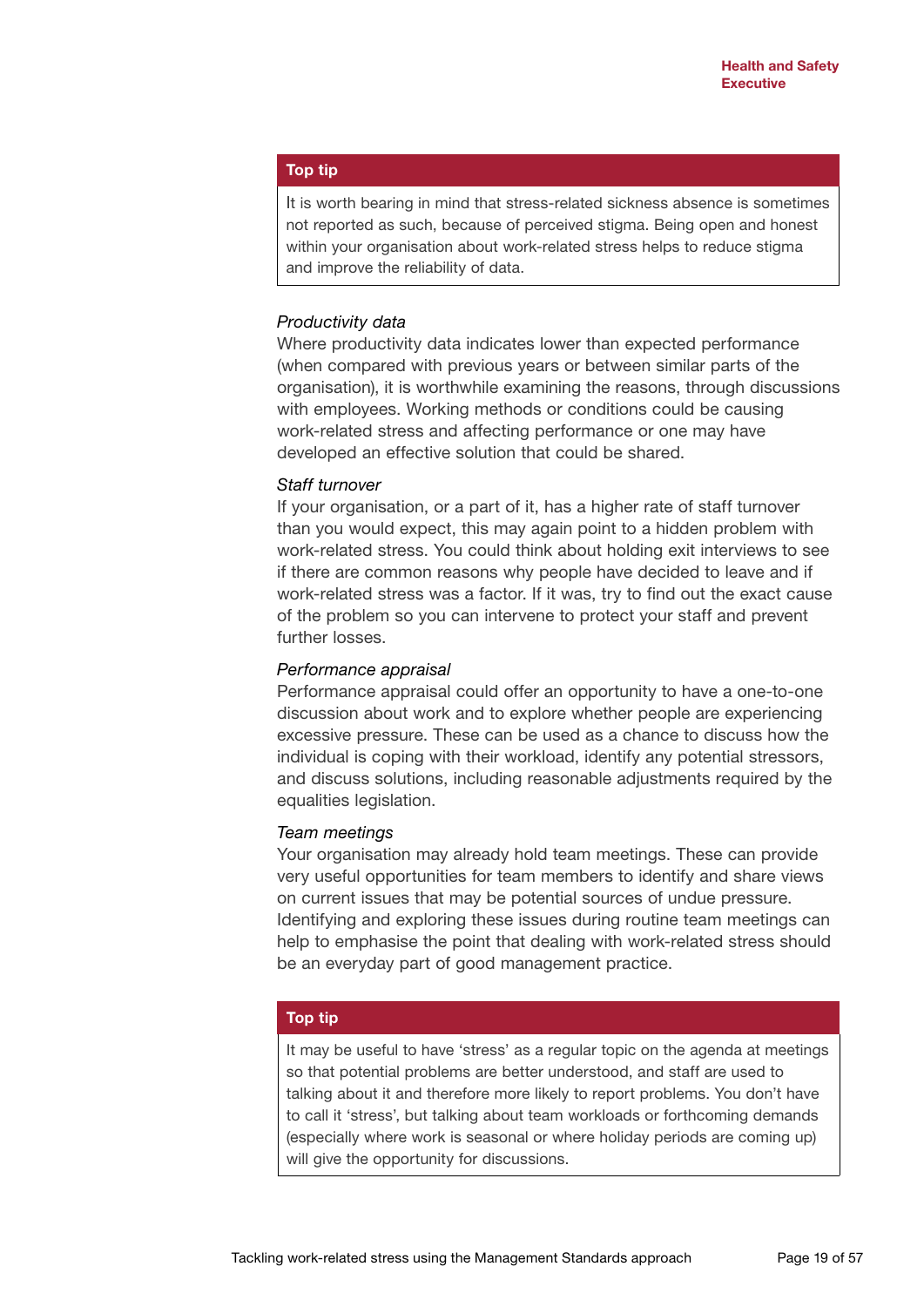#### **Top tip**

It is worth bearing in mind that stress-related sickness absence is sometimes not reported as such, because of perceived stigma. Being open and honest within your organisation about work-related stress helps to reduce stigma and improve the reliability of data.

#### *Productivity data*

Where productivity data indicates lower than expected performance (when compared with previous years or between similar parts of the organisation), it is worthwhile examining the reasons, through discussions with employees. Working methods or conditions could be causing work-related stress and affecting performance or one may have developed an effective solution that could be shared.

#### *Staff turnover*

If your organisation, or a part of it, has a higher rate of staff turnover than you would expect, this may again point to a hidden problem with work-related stress. You could think about holding exit interviews to see if there are common reasons why people have decided to leave and if work-related stress was a factor. If it was, try to find out the exact cause of the problem so you can intervene to protect your staff and prevent further losses.

#### *Performance appraisal*

Performance appraisal could offer an opportunity to have a one-to-one discussion about work and to explore whether people are experiencing excessive pressure. These can be used as a chance to discuss how the individual is coping with their workload, identify any potential stressors, and discuss solutions, including reasonable adjustments required by the equalities legislation.

#### *Team meetings*

Your organisation may already hold team meetings. These can provide very useful opportunities for team members to identify and share views on current issues that may be potential sources of undue pressure. Identifying and exploring these issues during routine team meetings can help to emphasise the point that dealing with work-related stress should be an everyday part of good management practice.

### **Top tip**

It may be useful to have 'stress' as a regular topic on the agenda at meetings so that potential problems are better understood, and staff are used to talking about it and therefore more likely to report problems. You don't have to call it 'stress', but talking about team workloads or forthcoming demands (especially where work is seasonal or where holiday periods are coming up) will give the opportunity for discussions.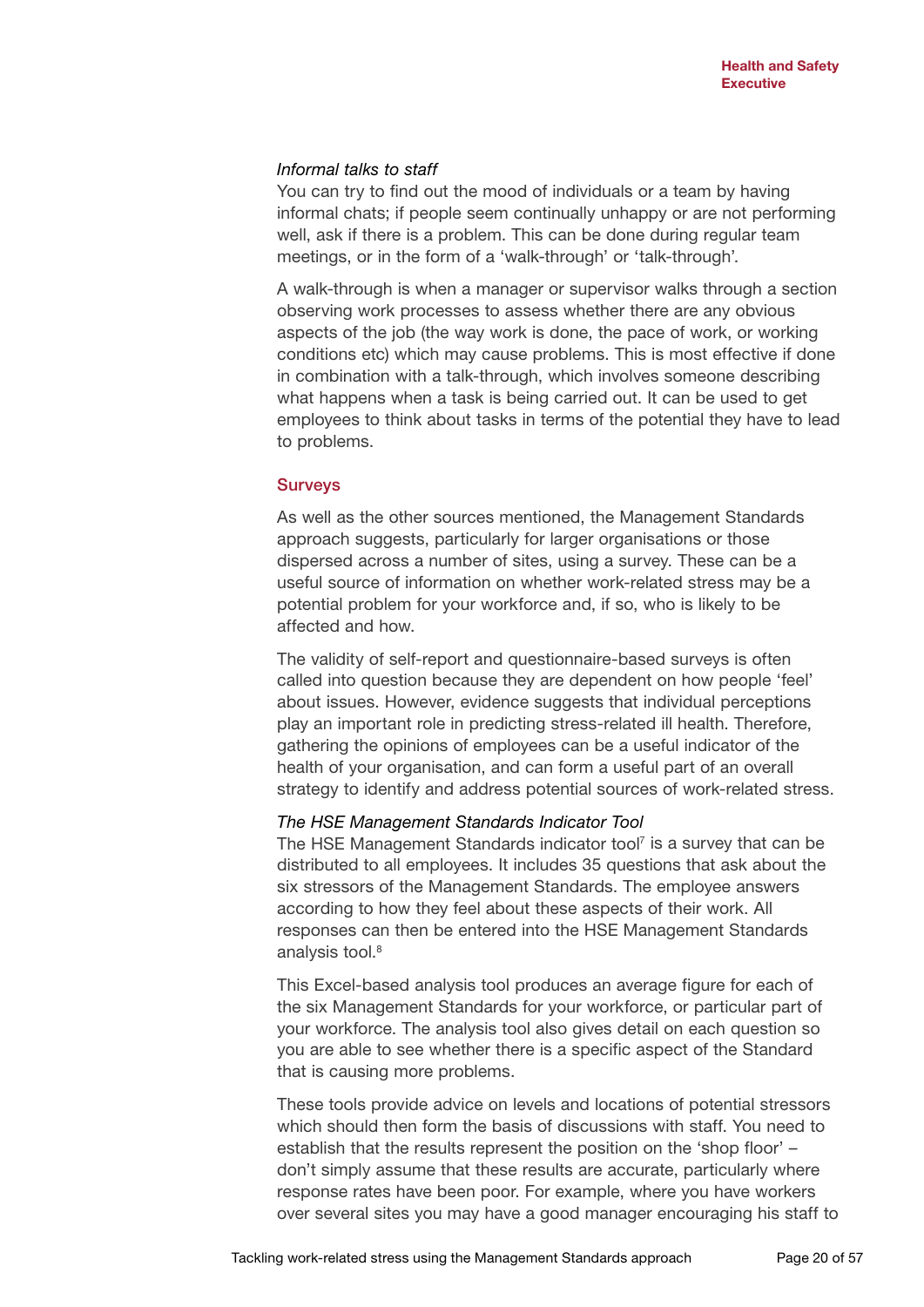### *Informal talks to staff*

You can try to find out the mood of individuals or a team by having informal chats; if people seem continually unhappy or are not performing well, ask if there is a problem. This can be done during regular team meetings, or in the form of a 'walk-through' or 'talk-through'.

A walk-through is when a manager or supervisor walks through a section observing work processes to assess whether there are any obvious aspects of the job (the way work is done, the pace of work, or working conditions etc) which may cause problems. This is most effective if done in combination with a talk-through, which involves someone describing what happens when a task is being carried out. It can be used to get employees to think about tasks in terms of the potential they have to lead to problems.

### **Surveys**

As well as the other sources mentioned, the Management Standards approach suggests, particularly for larger organisations or those dispersed across a number of sites, using a survey. These can be a useful source of information on whether work-related stress may be a potential problem for your workforce and, if so, who is likely to be affected and how.

The validity of self-report and questionnaire-based surveys is often called into question because they are dependent on how people 'feel' about issues. However, evidence suggests that individual perceptions play an important role in predicting stress-related ill health. Therefore, gathering the opinions of employees can be a useful indicator of the health of your organisation, and can form a useful part of an overall strategy to identify and address potential sources of work-related stress.

## *The HSE Management Standards Indicator Tool*

The HSE [Management Standards indicator tool](http://www.hse.gov.uk/stress/standards/pdfs/indicatortool.pdf) $7$  is a survey that can be distributed to all employees. It includes 35 questions that ask about the six stressors of the Management Standards. The employee answers according to how they feel about these aspects of their work. All responses can then be entered into the HSE [Management Standards](http://www.hse.gov.uk/stress/standards/downloads.htm)  analysis tool.<sup>8</sup>

This Excel-based analysis tool produces an average figure for each of the six Management Standards for your workforce, or particular part of your workforce. The analysis tool also gives detail on each question so you are able to see whether there is a specific aspect of the Standard that is causing more problems.

These tools provide advice on levels and locations of potential stressors which should then form the basis of discussions with staff. You need to establish that the results represent the position on the 'shop floor' – don't simply assume that these results are accurate, particularly where response rates have been poor. For example, where you have workers over several sites you may have a good manager encouraging his staff to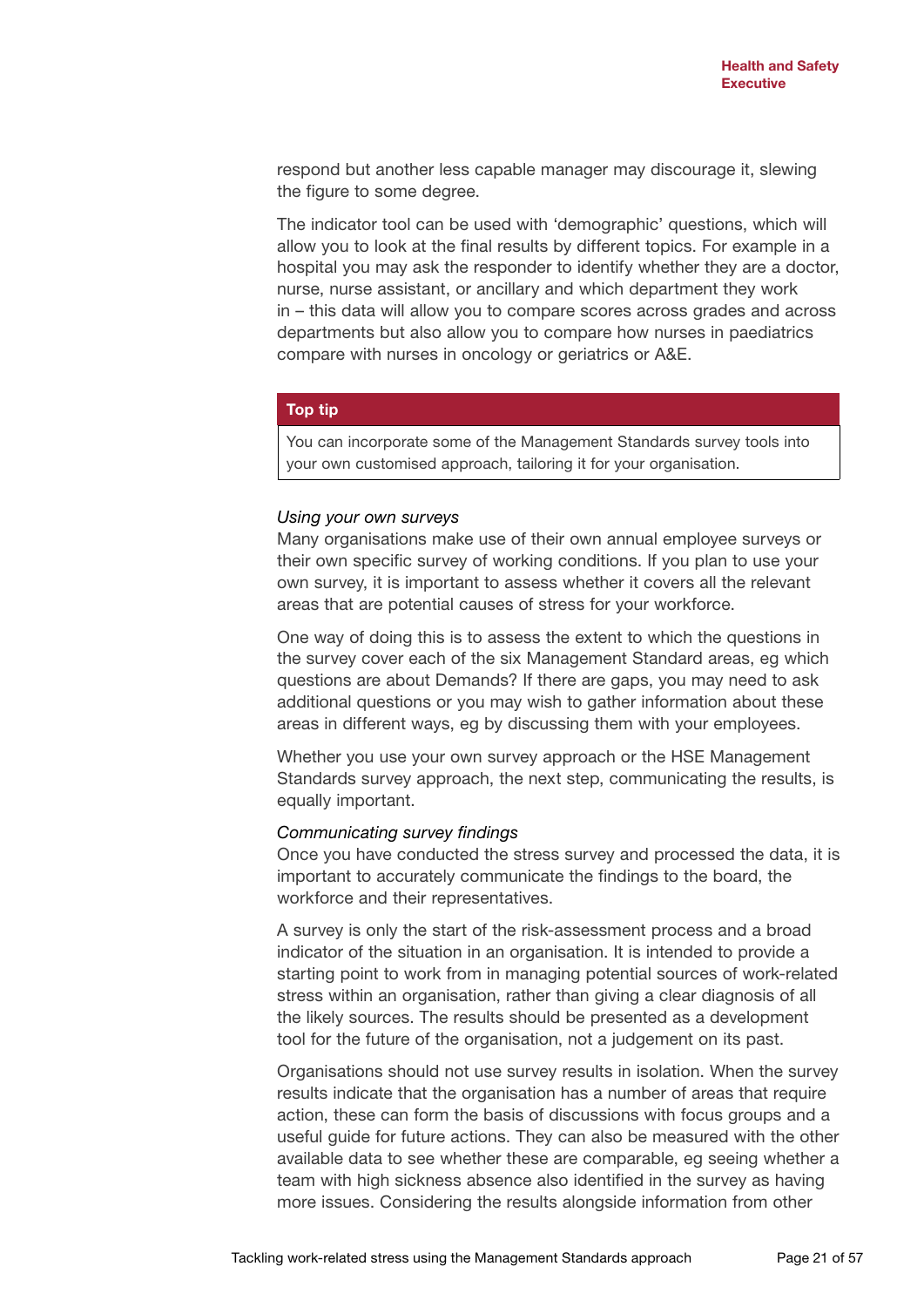respond but another less capable manager may discourage it, slewing the figure to some degree.

The indicator tool can be used with 'demographic' questions, which will allow you to look at the final results by different topics. For example in a hospital you may ask the responder to identify whether they are a doctor, nurse, nurse assistant, or ancillary and which department they work in – this data will allow you to compare scores across grades and across departments but also allow you to compare how nurses in paediatrics compare with nurses in oncology or geriatrics or A&E.

#### **Top tip**

You can incorporate some of the Management Standards survey tools into your own customised approach, tailoring it for your organisation.

#### *Using your own surveys*

Many organisations make use of their own annual employee surveys or their own specific survey of working conditions. If you plan to use your own survey, it is important to assess whether it covers all the relevant areas that are potential causes of stress for your workforce.

One way of doing this is to assess the extent to which the questions in the survey cover each of the six Management Standard areas, eg which questions are about Demands? If there are gaps, you may need to ask additional questions or you may wish to gather information about these areas in different ways, eg by discussing them with your employees.

Whether you use your own survey approach or the HSE Management Standards survey approach, the next step, communicating the results, is equally important.

#### *Communicating survey findings*

Once you have conducted the stress survey and processed the data, it is important to accurately communicate the findings to the board, the workforce and their representatives.

A survey is only the start of the risk-assessment process and a broad indicator of the situation in an organisation. It is intended to provide a starting point to work from in managing potential sources of work-related stress within an organisation, rather than giving a clear diagnosis of all the likely sources. The results should be presented as a development tool for the future of the organisation, not a judgement on its past.

Organisations should not use survey results in isolation. When the survey results indicate that the organisation has a number of areas that require action, these can form the basis of discussions with focus groups and a useful guide for future actions. They can also be measured with the other available data to see whether these are comparable, eg seeing whether a team with high sickness absence also identified in the survey as having more issues. Considering the results alongside information from other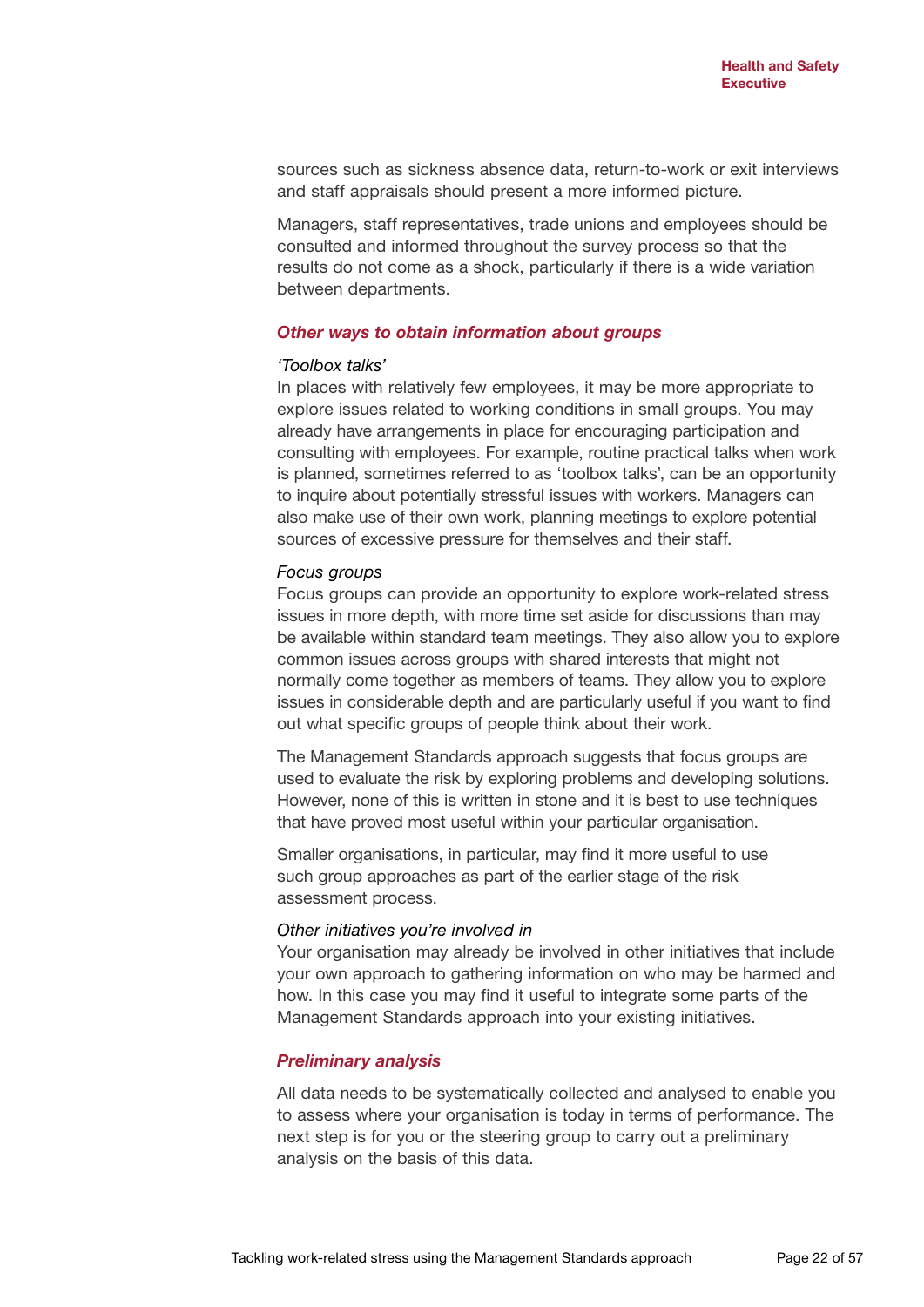sources such as sickness absence data, return-to-work or exit interviews and staff appraisals should present a more informed picture.

Managers, staff representatives, trade unions and employees should be consulted and informed throughout the survey process so that the results do not come as a shock, particularly if there is a wide variation between departments.

#### *Other ways to obtain information about groups*

#### *'Toolbox talks'*

In places with relatively few employees, it may be more appropriate to explore issues related to working conditions in small groups. You may already have arrangements in place for encouraging participation and consulting with employees. For example, routine practical talks when work is planned, sometimes referred to as 'toolbox talks', can be an opportunity to inquire about potentially stressful issues with workers. Managers can also make use of their own work, planning meetings to explore potential sources of excessive pressure for themselves and their staff.

#### *Focus groups*

Focus groups can provide an opportunity to explore work-related stress issues in more depth, with more time set aside for discussions than may be available within standard team meetings. They also allow you to explore common issues across groups with shared interests that might not normally come together as members of teams. They allow you to explore issues in considerable depth and are particularly useful if you want to find out what specific groups of people think about their work.

The Management Standards approach suggests that focus groups are used to evaluate the risk by exploring problems and developing solutions. However, none of this is written in stone and it is best to use techniques that have proved most useful within your particular organisation.

Smaller organisations, in particular, may find it more useful to use such group approaches as part of the earlier stage of the risk assessment process.

#### *Other initiatives you're involved in*

Your organisation may already be involved in other initiatives that include your own approach to gathering information on who may be harmed and how. In this case you may find it useful to integrate some parts of the Management Standards approach into your existing initiatives.

#### *Preliminary analysis*

All data needs to be systematically collected and analysed to enable you to assess where your organisation is today in terms of performance. The next step is for you or the steering group to carry out a preliminary analysis on the basis of this data.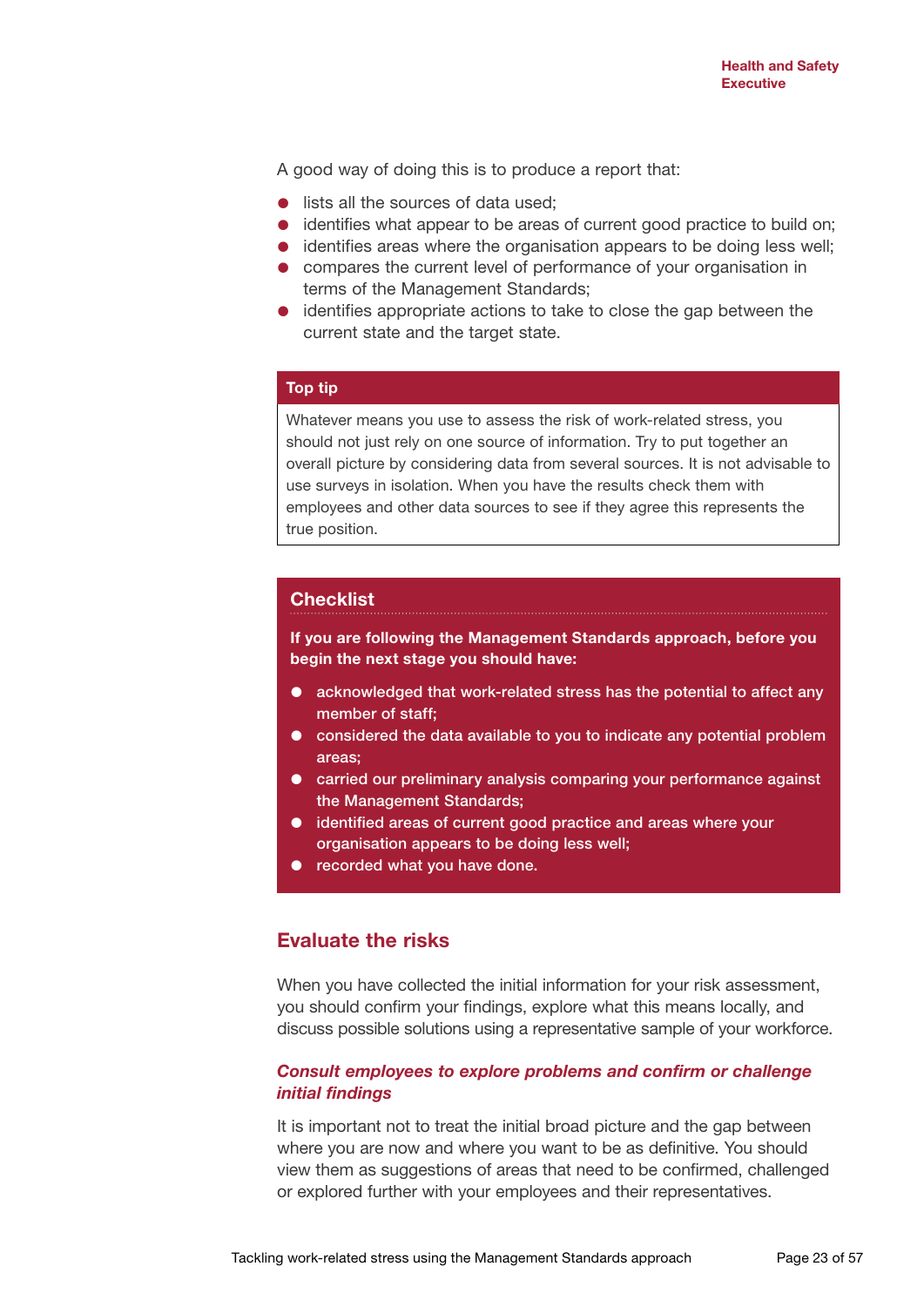A good way of doing this is to produce a report that:

- **.** lists all the sources of data used;
- identifies what appear to be areas of current good practice to build on;
- identifies areas where the organisation appears to be doing less well;
- compares the current level of performance of your organisation in terms of the Management Standards;
- identifies appropriate actions to take to close the gap between the current state and the target state.

#### **Top tip**

Whatever means you use to assess the risk of work-related stress, you should not just rely on one source of information. Try to put together an overall picture by considering data from several sources. It is not advisable to use surveys in isolation. When you have the results check them with employees and other data sources to see if they agree this represents the true position.

## **Checklist**

**If you are following the Management Standards approach, before you begin the next stage you should have:**

- acknowledged that work-related stress has the potential to affect any member of staff;
- considered the data available to you to indicate any potential problem areas;
- carried our preliminary analysis comparing your performance against the Management Standards;
- identified areas of current good practice and areas where your organisation appears to be doing less well;
- **•** recorded what you have done.

# **Evaluate the risks**

When you have collected the initial information for your risk assessment, you should confirm your findings, explore what this means locally, and discuss possible solutions using a representative sample of your workforce.

### *Consult employees to explore problems and confirm or challenge initial findings*

It is important not to treat the initial broad picture and the gap between where you are now and where you want to be as definitive. You should view them as suggestions of areas that need to be confirmed, challenged or explored further with your employees and their representatives.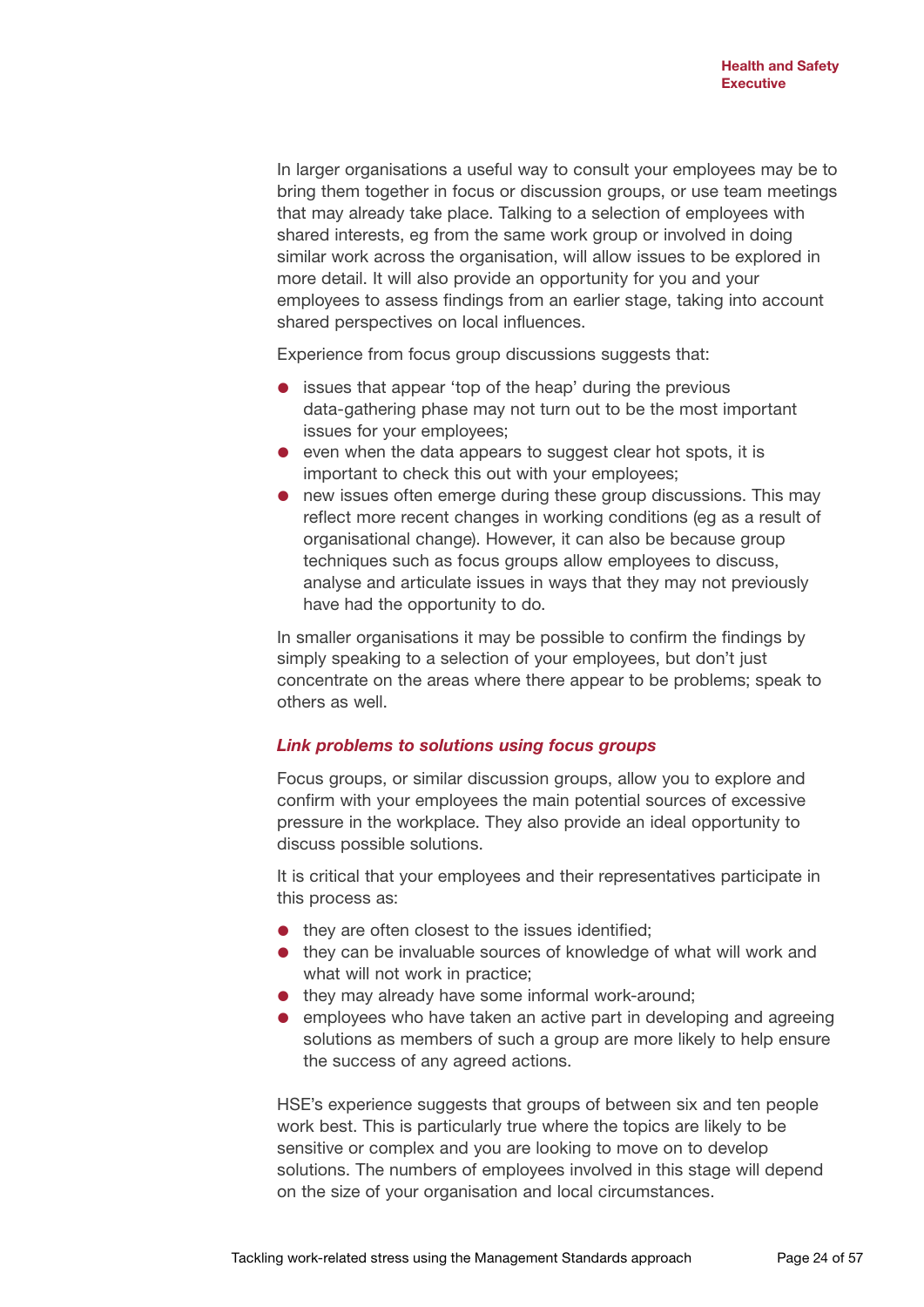In larger organisations a useful way to consult your employees may be to bring them together in focus or discussion groups, or use team meetings that may already take place. Talking to a selection of employees with shared interests, eg from the same work group or involved in doing similar work across the organisation, will allow issues to be explored in more detail. It will also provide an opportunity for you and your employees to assess findings from an earlier stage, taking into account shared perspectives on local influences.

Experience from focus group discussions suggests that:

- issues that appear 'top of the heap' during the previous data-gathering phase may not turn out to be the most important issues for your employees;
- even when the data appears to suggest clear hot spots, it is important to check this out with your employees;
- new issues often emerge during these group discussions. This may reflect more recent changes in working conditions (eg as a result of organisational change). However, it can also be because group techniques such as focus groups allow employees to discuss, analyse and articulate issues in ways that they may not previously have had the opportunity to do.

In smaller organisations it may be possible to confirm the findings by simply speaking to a selection of your employees, but don't just concentrate on the areas where there appear to be problems; speak to others as well.

## *Link problems to solutions using focus groups*

Focus groups, or similar discussion groups, allow you to explore and confirm with your employees the main potential sources of excessive pressure in the workplace. They also provide an ideal opportunity to discuss possible solutions.

It is critical that your employees and their representatives participate in this process as:

- they are often closest to the issues identified;
- they can be invaluable sources of knowledge of what will work and what will not work in practice;
- they may already have some informal work-around;
- employees who have taken an active part in developing and agreeing solutions as members of such a group are more likely to help ensure the success of any agreed actions.

HSE's experience suggests that groups of between six and ten people work best. This is particularly true where the topics are likely to be sensitive or complex and you are looking to move on to develop solutions. The numbers of employees involved in this stage will depend on the size of your organisation and local circumstances.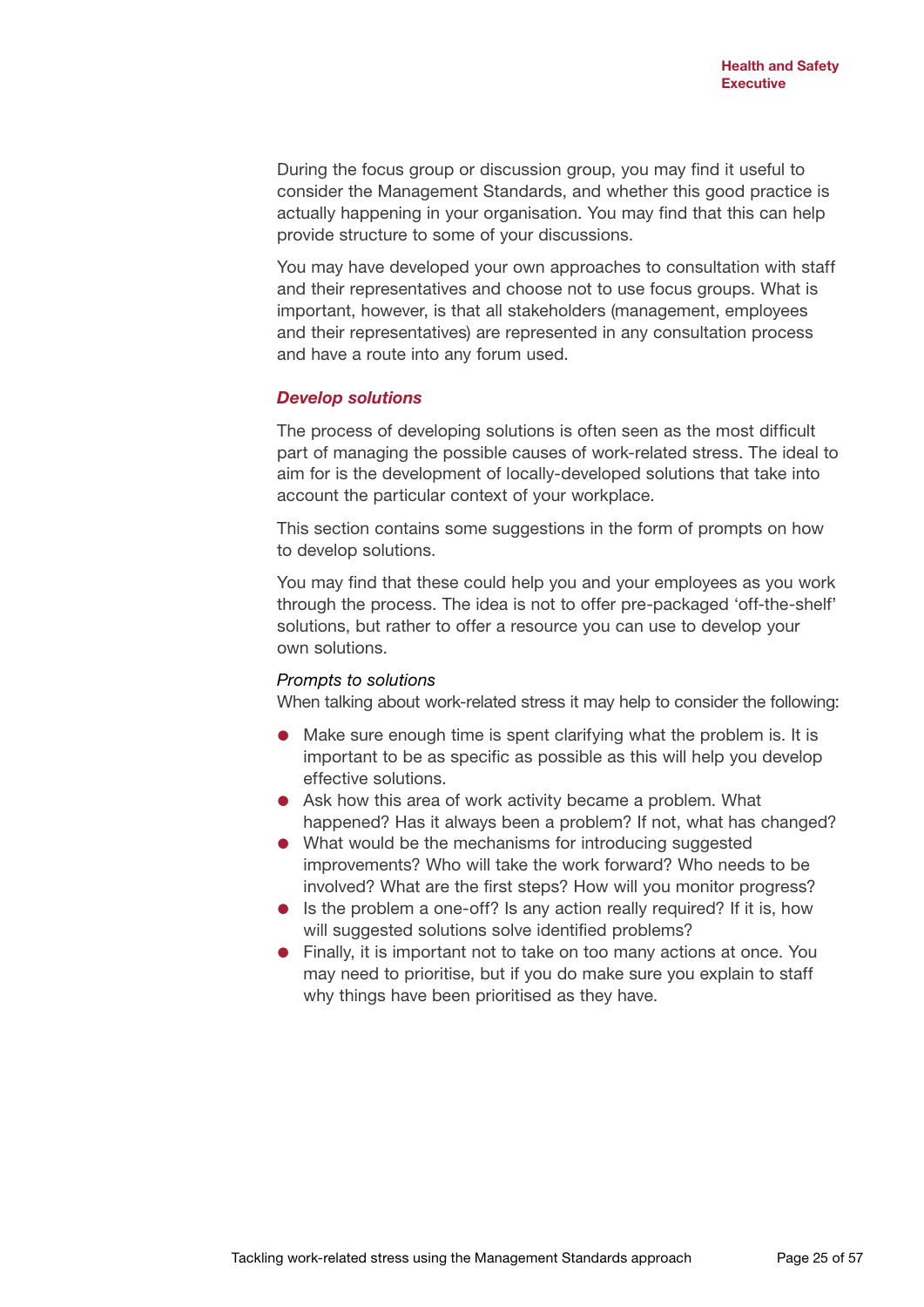During the focus group or discussion group, you may find it useful to consider the Management Standards, and whether this good practice is actually happening in your organisation. You may find that this can help provide structure to some of your discussions.

You may have developed your own approaches to consultation with staff and their representatives and choose not to use focus groups. What is important, however, is that all stakeholders (management, employees and their representatives) are represented in any consultation process and have a route into any forum used.

## *Develop solutions*

The process of developing solutions is often seen as the most difficult part of managing the possible causes of work-related stress. The ideal to aim for is the development of locally-developed solutions that take into account the particular context of your workplace.

This section contains some suggestions in the form of prompts on how to develop solutions.

You may find that these could help you and your employees as you work through the process. The idea is not to offer pre-packaged 'off-the-shelf' solutions, but rather to offer a resource you can use to develop your own solutions.

#### *Prompts to solutions*

When talking about work-related stress it may help to consider the following:

- Make sure enough time is spent clarifying what the problem is. It is important to be as specific as possible as this will help you develop effective solutions.
- Ask how this area of work activity became a problem. What happened? Has it always been a problem? If not, what has changed?
- What would be the mechanisms for introducing suggested improvements? Who will take the work forward? Who needs to be involved? What are the first steps? How will you monitor progress?
- Is the problem a one-off? Is any action really required? If it is, how will suggested solutions solve identified problems?
- **•** Finally, it is important not to take on too many actions at once. You may need to prioritise, but if you do make sure you explain to staff why things have been prioritised as they have.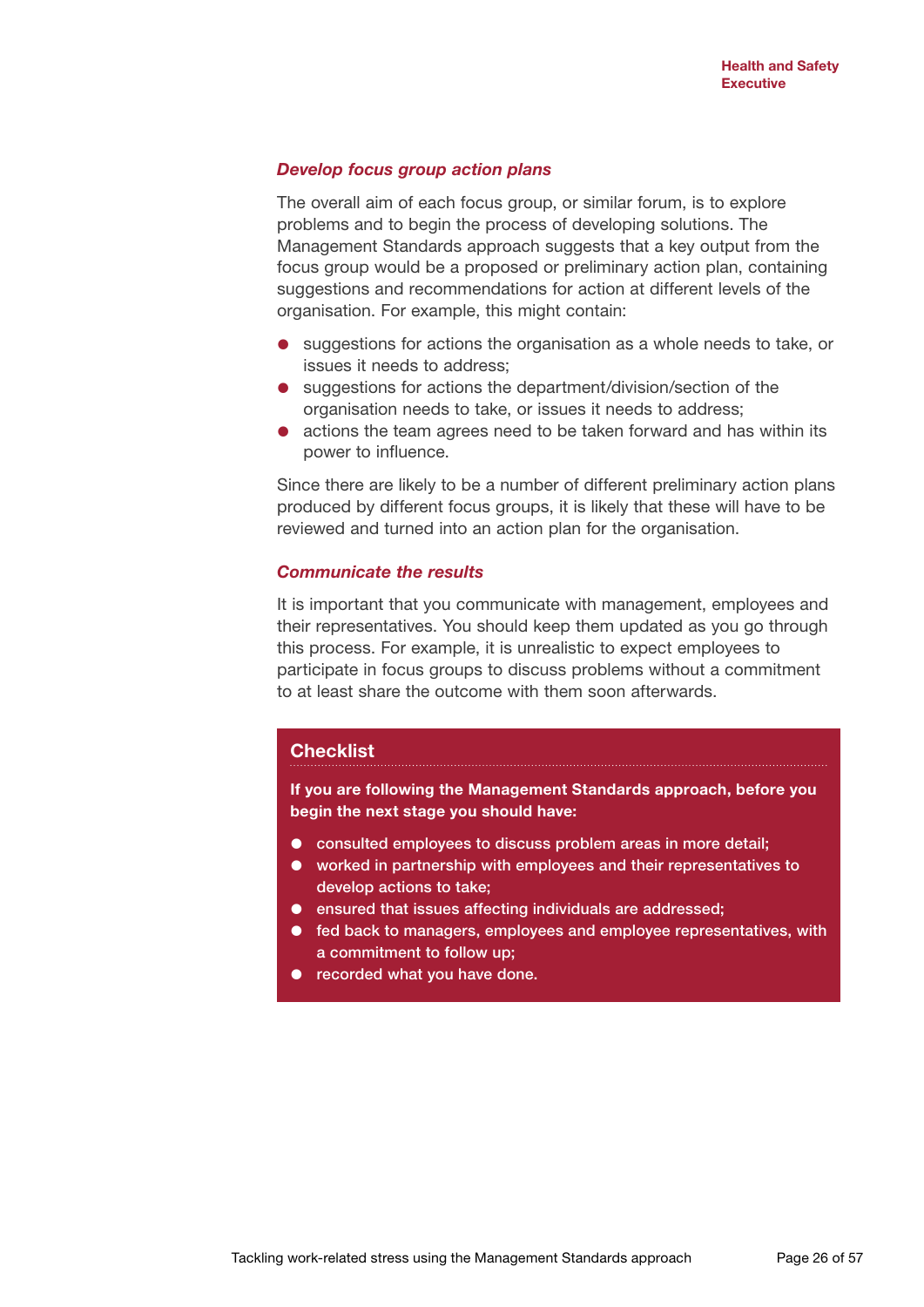## *Develop focus group action plans*

The overall aim of each focus group, or similar forum, is to explore problems and to begin the process of developing solutions. The Management Standards approach suggests that a key output from the focus group would be a proposed or preliminary action plan, containing suggestions and recommendations for action at different levels of the organisation. For example, this might contain:

- suggestions for actions the organisation as a whole needs to take, or issues it needs to address;
- suggestions for actions the department/division/section of the organisation needs to take, or issues it needs to address;
- actions the team agrees need to be taken forward and has within its power to influence.

Since there are likely to be a number of different preliminary action plans produced by different focus groups, it is likely that these will have to be reviewed and turned into an action plan for the organisation.

#### *Communicate the results*

It is important that you communicate with management, employees and their representatives. You should keep them updated as you go through this process. For example, it is unrealistic to expect employees to participate in focus groups to discuss problems without a commitment to at least share the outcome with them soon afterwards.

## **Checklist**

**If you are following the Management Standards approach, before you begin the next stage you should have:**

- consulted employees to discuss problem areas in more detail;
- worked in partnership with employees and their representatives to develop actions to take;
- ensured that issues affecting individuals are addressed;
- **•** fed back to managers, employees and employee representatives, with a commitment to follow up;
- **•** recorded what you have done.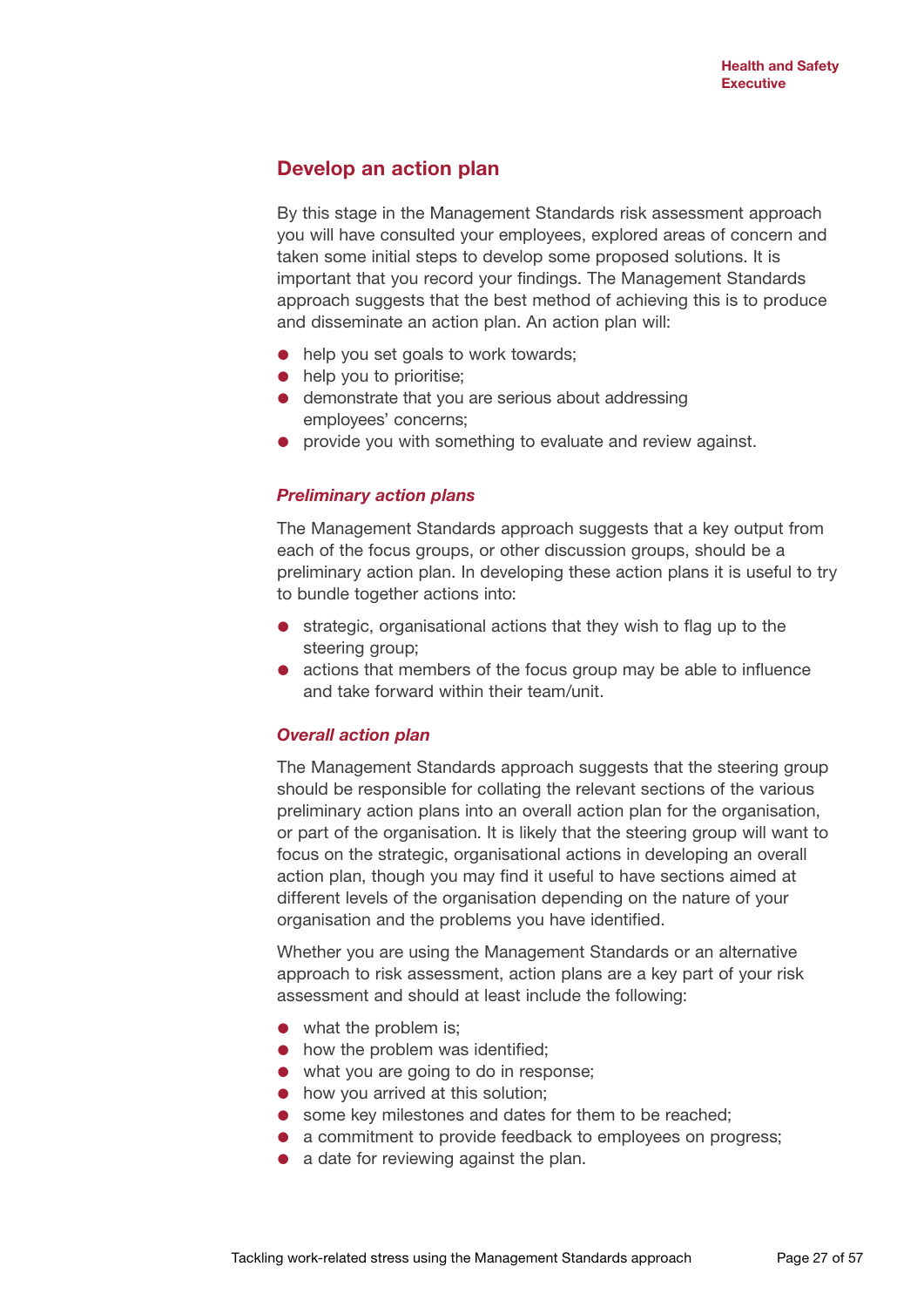# **Develop an action plan**

By this stage in the Management Standards risk assessment approach you will have consulted your employees, explored areas of concern and taken some initial steps to develop some proposed solutions. It is important that you record your findings. The Management Standards approach suggests that the best method of achieving this is to produce and disseminate an action plan. An action plan will:

- help you set goals to work towards;
- help you to prioritise;
- **•** demonstrate that you are serious about addressing employees' concerns;
- **•** provide you with something to evaluate and review against.

## *Preliminary action plans*

The Management Standards approach suggests that a key output from each of the focus groups, or other discussion groups, should be a preliminary action plan. In developing these action plans it is useful to try to bundle together actions into:

- **•** strategic, organisational actions that they wish to flag up to the steering group;
- actions that members of the focus group may be able to influence and take forward within their team/unit.

## *Overall action plan*

The Management Standards approach suggests that the steering group should be responsible for collating the relevant sections of the various preliminary action plans into an overall action plan for the organisation, or part of the organisation. It is likely that the steering group will want to focus on the strategic, organisational actions in developing an overall action plan, though you may find it useful to have sections aimed at different levels of the organisation depending on the nature of your organisation and the problems you have identified.

Whether you are using the Management Standards or an alternative approach to risk assessment, action plans are a key part of your risk assessment and should at least include the following:

- what the problem is:
- how the problem was identified:
- what you are going to do in response;
- how you arrived at this solution;
- some key milestones and dates for them to be reached:
- a commitment to provide feedback to employees on progress;
- a date for reviewing against the plan.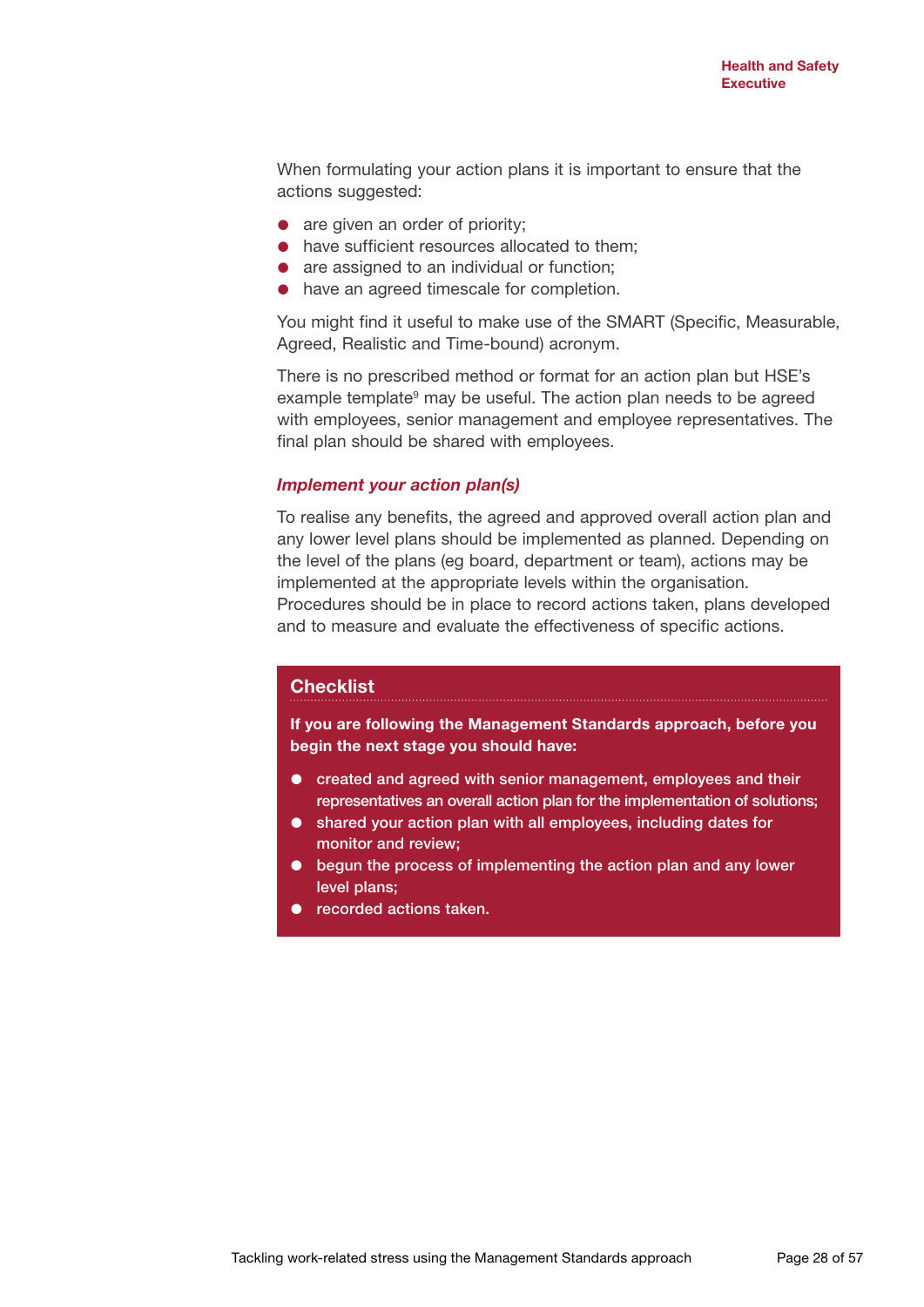When formulating your action plans it is important to ensure that the actions suggested:

- are given an order of priority;
- $\bullet$  have sufficient resources allocated to them:
- are assigned to an individual or function;
- have an agreed timescale for completion.

You might find it useful to make use of the SMART (Specific, Measurable, Agreed, Realistic and Time-bound) acronym.

There is no prescribed method or format for an action plan but HSE's [example template](http://www.hse.gov.uk/stress/standards/pdfs/actionplan.pdf)<sup>9</sup> may be useful. The action plan needs to be agreed with employees, senior management and employee representatives. The final plan should be shared with employees.

### *Implement your action plan(s)*

To realise any benefits, the agreed and approved overall action plan and any lower level plans should be implemented as planned. Depending on the level of the plans (eg board, department or team), actions may be implemented at the appropriate levels within the organisation. Procedures should be in place to record actions taken, plans developed and to measure and evaluate the effectiveness of specific actions.

## **Checklist**

**If you are following the Management Standards approach, before you begin the next stage you should have:**

- created and agreed with senior management, employees and their representatives an overall action plan for the implementation of solutions;
- shared your action plan with all employees, including dates for monitor and review;
- **•** begun the process of implementing the action plan and any lower level plans;
- recorded actions taken.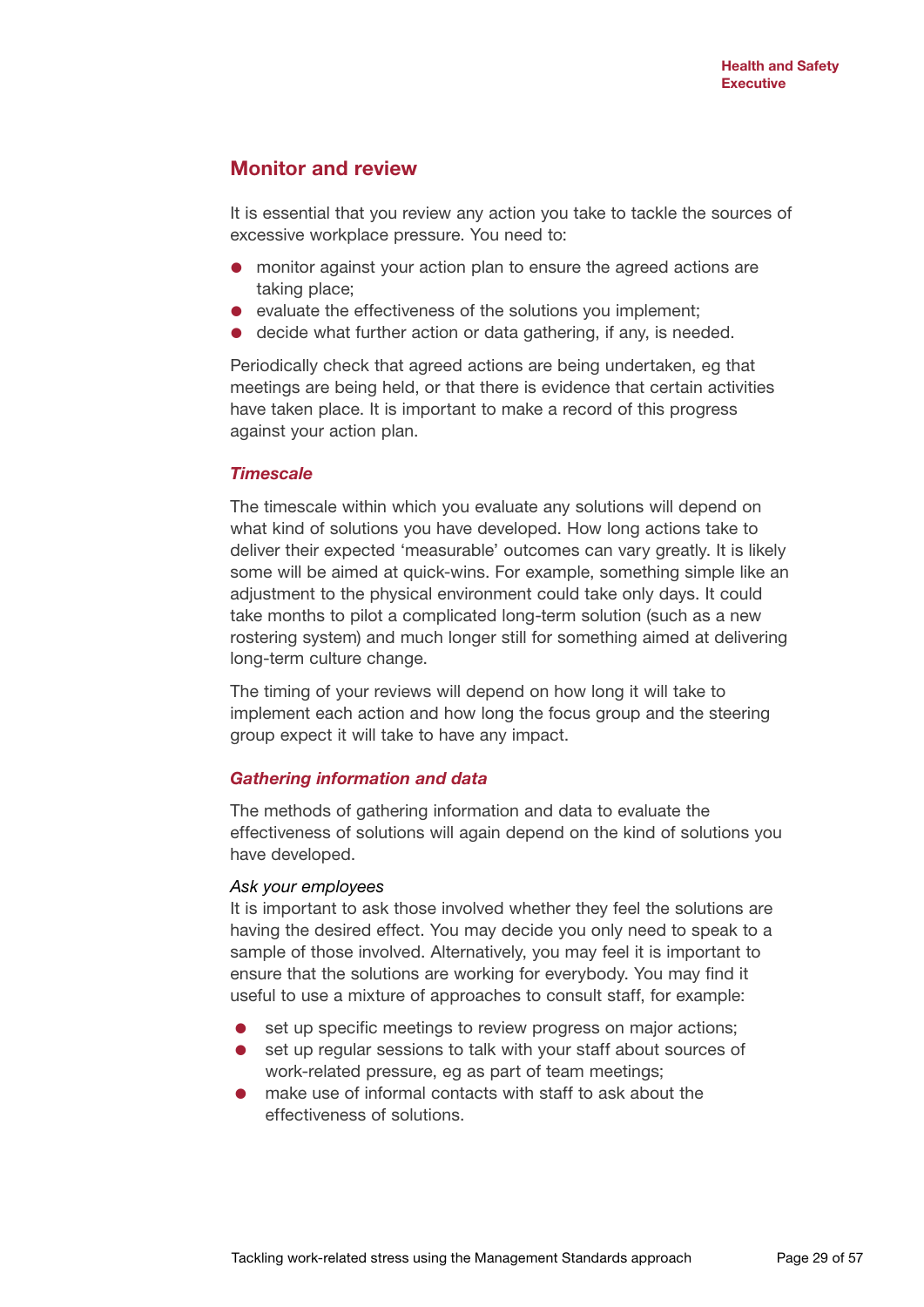# **Monitor and review**

It is essential that you review any action you take to tackle the sources of excessive workplace pressure. You need to:

- monitor against your action plan to ensure the agreed actions are taking place;
- evaluate the effectiveness of the solutions you implement;
- decide what further action or data gathering, if any, is needed.

Periodically check that agreed actions are being undertaken, eg that meetings are being held, or that there is evidence that certain activities have taken place. It is important to make a record of this progress against your action plan.

### *Timescale*

The timescale within which you evaluate any solutions will depend on what kind of solutions you have developed. How long actions take to deliver their expected 'measurable' outcomes can vary greatly. It is likely some will be aimed at quick-wins. For example, something simple like an adjustment to the physical environment could take only days. It could take months to pilot a complicated long-term solution (such as a new rostering system) and much longer still for something aimed at delivering long-term culture change.

The timing of your reviews will depend on how long it will take to implement each action and how long the focus group and the steering group expect it will take to have any impact.

#### *Gathering information and data*

The methods of gathering information and data to evaluate the effectiveness of solutions will again depend on the kind of solutions you have developed.

#### *Ask your employees*

It is important to ask those involved whether they feel the solutions are having the desired effect. You may decide you only need to speak to a sample of those involved. Alternatively, you may feel it is important to ensure that the solutions are working for everybody. You may find it useful to use a mixture of approaches to consult staff, for example:

- set up specific meetings to review progress on major actions;
- set up regular sessions to talk with your staff about sources of work-related pressure, eg as part of team meetings;
- make use of informal contacts with staff to ask about the effectiveness of solutions.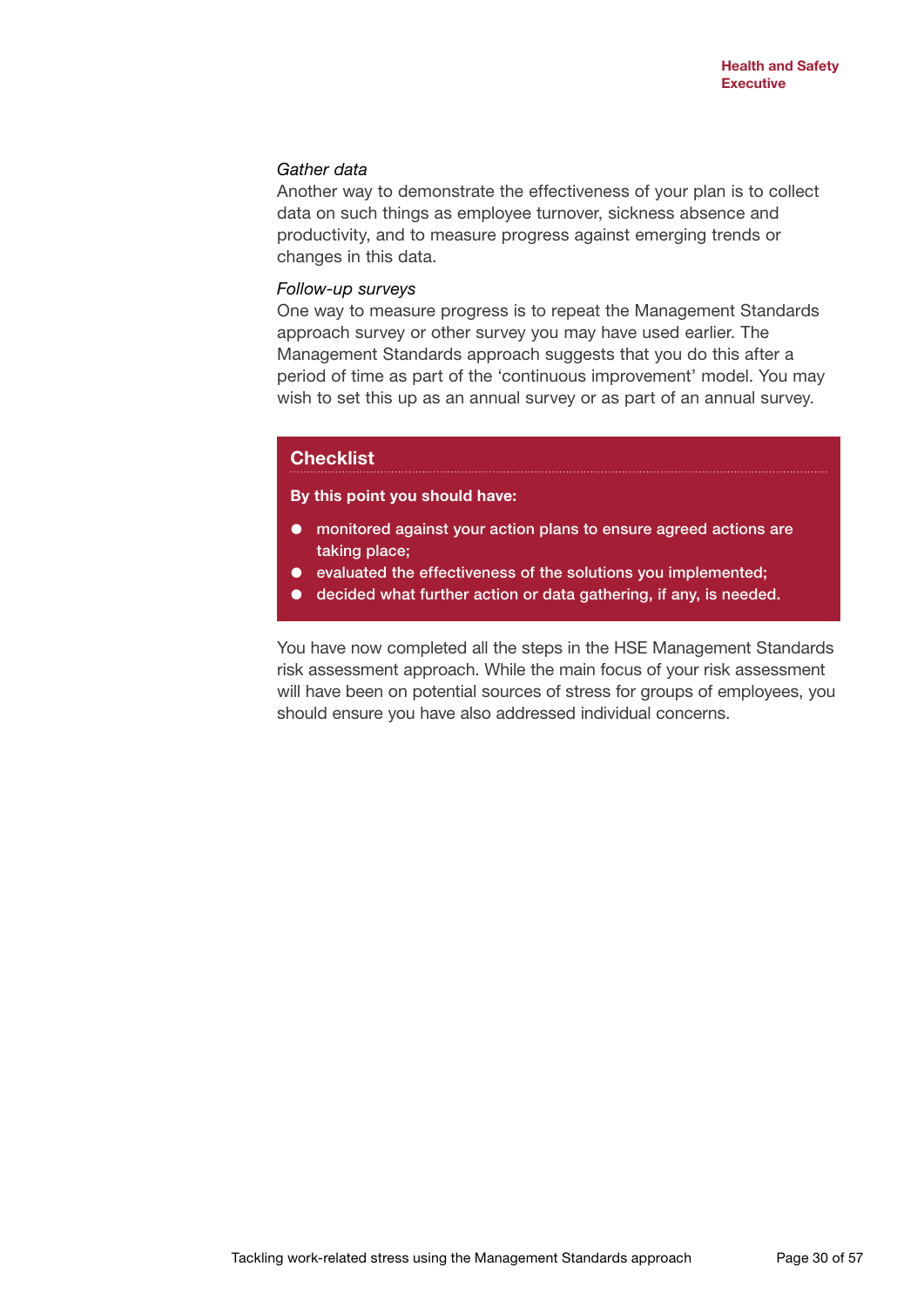#### *Gather data*

Another way to demonstrate the effectiveness of your plan is to collect data on such things as employee turnover, sickness absence and productivity, and to measure progress against emerging trends or changes in this data.

### *Follow-up surveys*

One way to measure progress is to repeat the Management Standards approach survey or other survey you may have used earlier. The Management Standards approach suggests that you do this after a period of time as part of the 'continuous improvement' model. You may wish to set this up as an annual survey or as part of an annual survey.

## **Checklist**

**By this point you should have:**

- monitored against your action plans to ensure agreed actions are taking place;
- evaluated the effectiveness of the solutions you implemented;
- decided what further action or data gathering, if any, is needed.

You have now completed all the steps in the HSE Management Standards risk assessment approach. While the main focus of your risk assessment will have been on potential sources of stress for groups of employees, you should ensure you have also addressed individual concerns.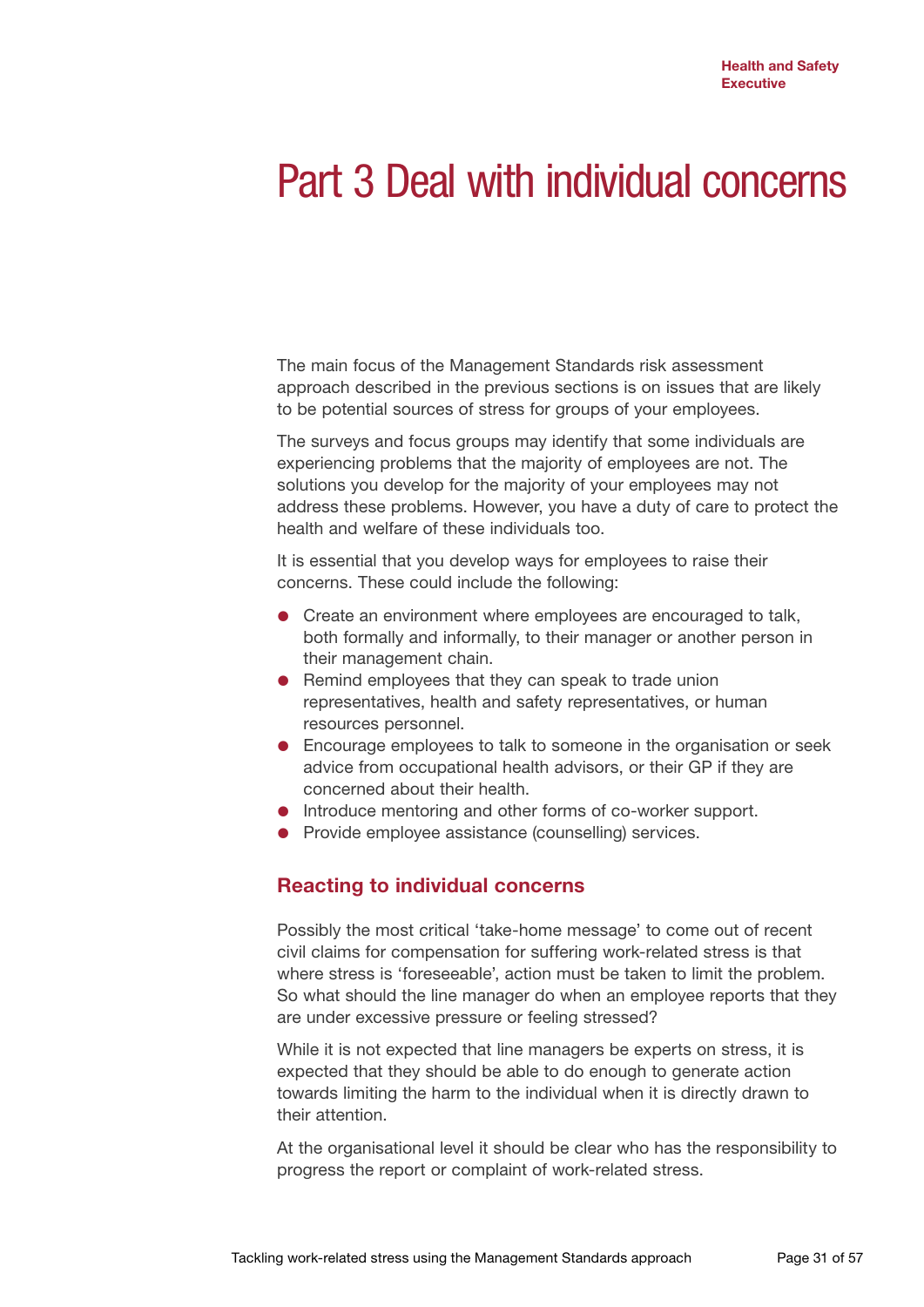# Part 3 Deal with individual concerns

The main focus of the Management Standards risk assessment approach described in the previous sections is on issues that are likely to be potential sources of stress for groups of your employees.

The surveys and focus groups may identify that some individuals are experiencing problems that the majority of employees are not. The solutions you develop for the majority of your employees may not address these problems. However, you have a duty of care to protect the health and welfare of these individuals too.

It is essential that you develop ways for employees to raise their concerns. These could include the following:

- Create an environment where employees are encouraged to talk, both formally and informally, to their manager or another person in their management chain.
- Remind employees that they can speak to trade union representatives, health and safety representatives, or human resources personnel.
- **•** Encourage employees to talk to someone in the organisation or seek advice from occupational health advisors, or their GP if they are concerned about their health.
- **Introduce mentoring and other forms of co-worker support.**
- **•** Provide employee assistance (counselling) services.

# **Reacting to individual concerns**

Possibly the most critical 'take-home message' to come out of recent civil claims for compensation for suffering work-related stress is that where stress is 'foreseeable', action must be taken to limit the problem. So what should the line manager do when an employee reports that they are under excessive pressure or feeling stressed?

While it is not expected that line managers be experts on stress, it is expected that they should be able to do enough to generate action towards limiting the harm to the individual when it is directly drawn to their attention.

At the organisational level it should be clear who has the responsibility to progress the report or complaint of work-related stress.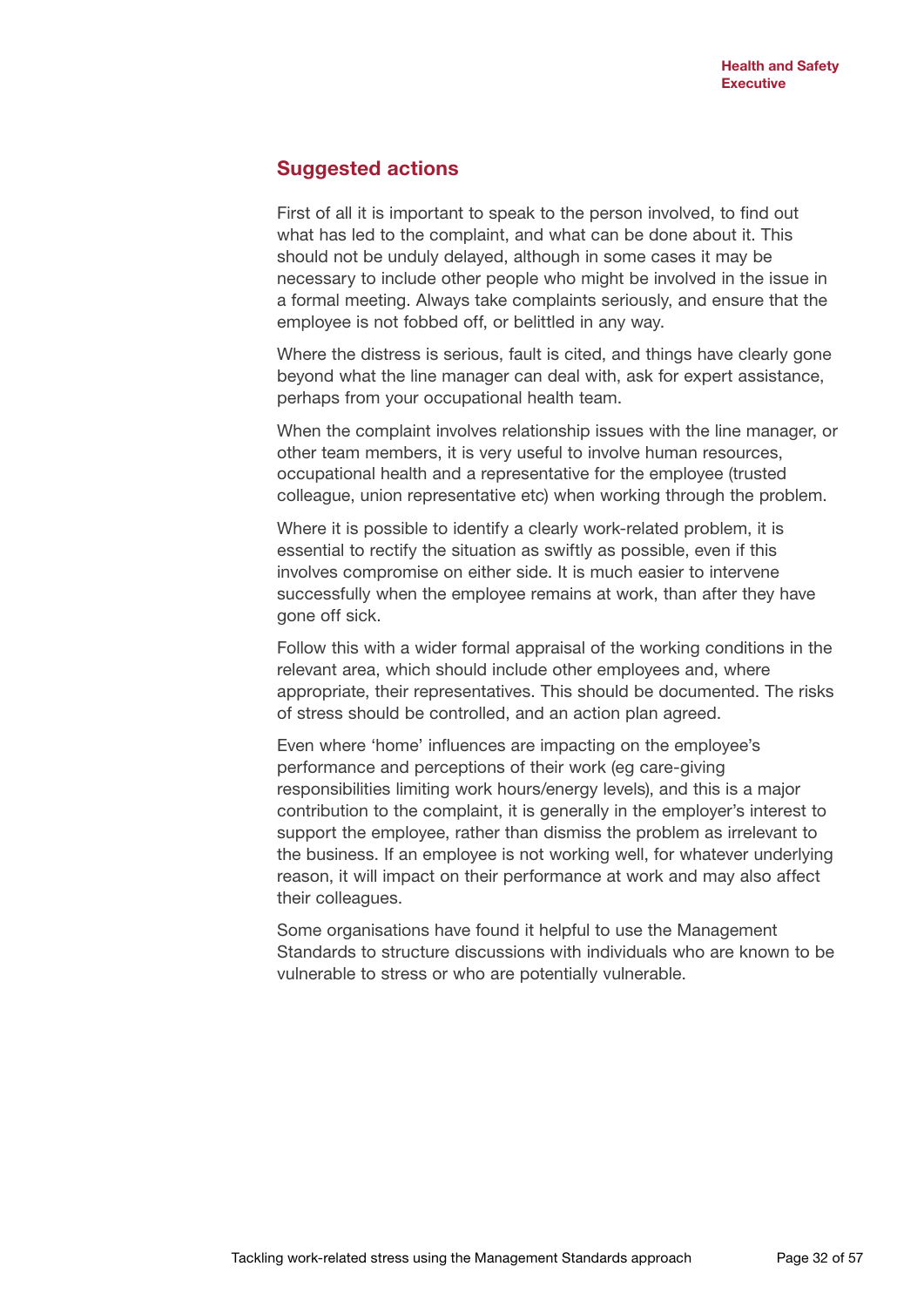# **Suggested actions**

First of all it is important to speak to the person involved, to find out what has led to the complaint, and what can be done about it. This should not be unduly delayed, although in some cases it may be necessary to include other people who might be involved in the issue in a formal meeting. Always take complaints seriously, and ensure that the employee is not fobbed off, or belittled in any way.

Where the distress is serious, fault is cited, and things have clearly gone beyond what the line manager can deal with, ask for expert assistance, perhaps from your occupational health team.

When the complaint involves relationship issues with the line manager, or other team members, it is very useful to involve human resources, occupational health and a representative for the employee (trusted colleague, union representative etc) when working through the problem.

Where it is possible to identify a clearly work-related problem, it is essential to rectify the situation as swiftly as possible, even if this involves compromise on either side. It is much easier to intervene successfully when the employee remains at work, than after they have gone off sick.

Follow this with a wider formal appraisal of the working conditions in the relevant area, which should include other employees and, where appropriate, their representatives. This should be documented. The risks of stress should be controlled, and an action plan agreed.

Even where 'home' influences are impacting on the employee's performance and perceptions of their work (eg care-giving responsibilities limiting work hours/energy levels), and this is a major contribution to the complaint, it is generally in the employer's interest to support the employee, rather than dismiss the problem as irrelevant to the business. If an employee is not working well, for whatever underlying reason, it will impact on their performance at work and may also affect their colleagues.

Some organisations have found it helpful to use the Management Standards to structure discussions with individuals who are known to be vulnerable to stress or who are potentially vulnerable.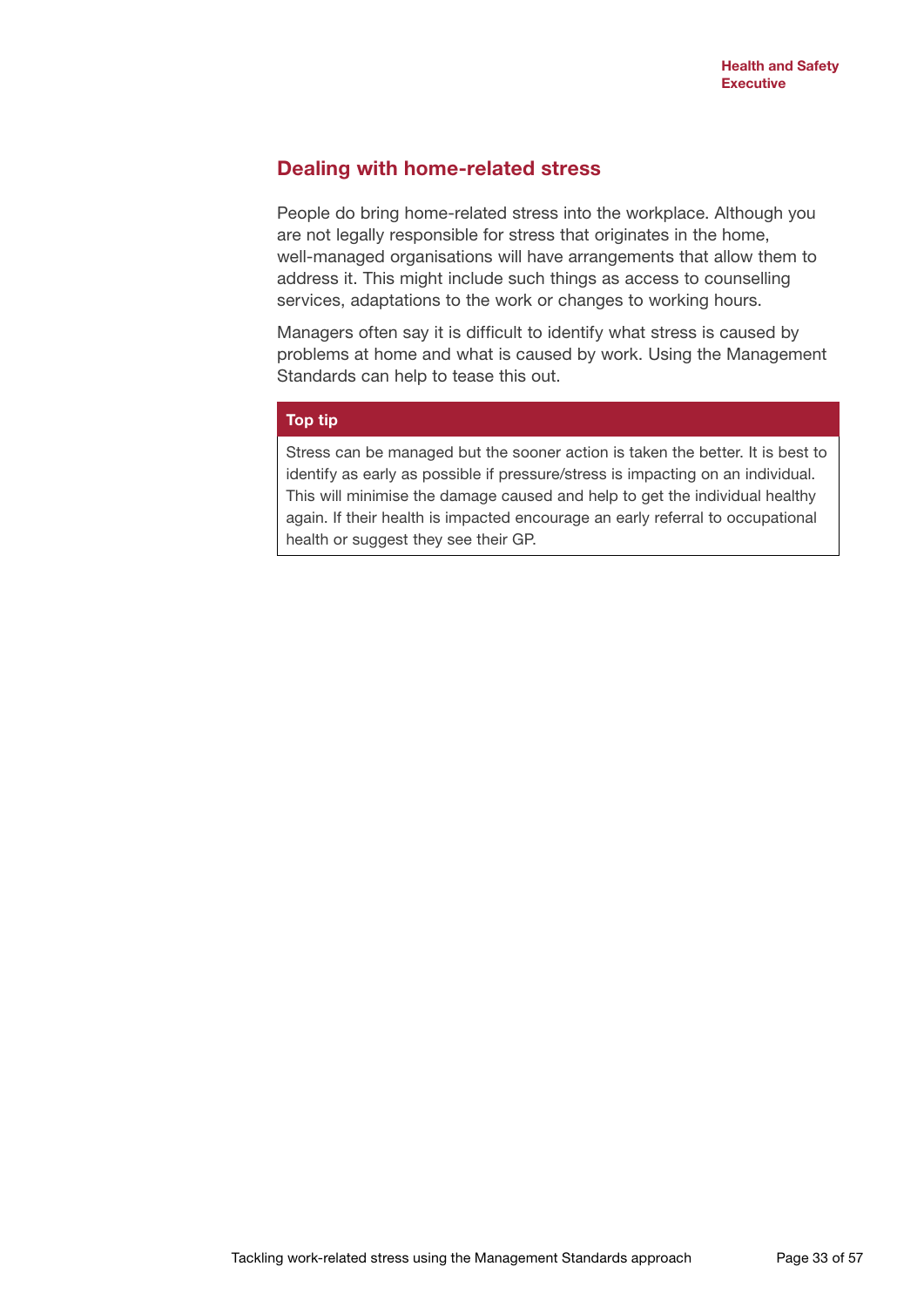# **Dealing with home-related stress**

People do bring home-related stress into the workplace. Although you are not legally responsible for stress that originates in the home, well-managed organisations will have arrangements that allow them to address it. This might include such things as access to counselling services, adaptations to the work or changes to working hours.

Managers often say it is difficult to identify what stress is caused by problems at home and what is caused by work. Using the Management Standards can help to tease this out.

### **Top tip**

Stress can be managed but the sooner action is taken the better. It is best to identify as early as possible if pressure/stress is impacting on an individual. This will minimise the damage caused and help to get the individual healthy again. If their health is impacted encourage an early referral to occupational health or suggest they see their GP.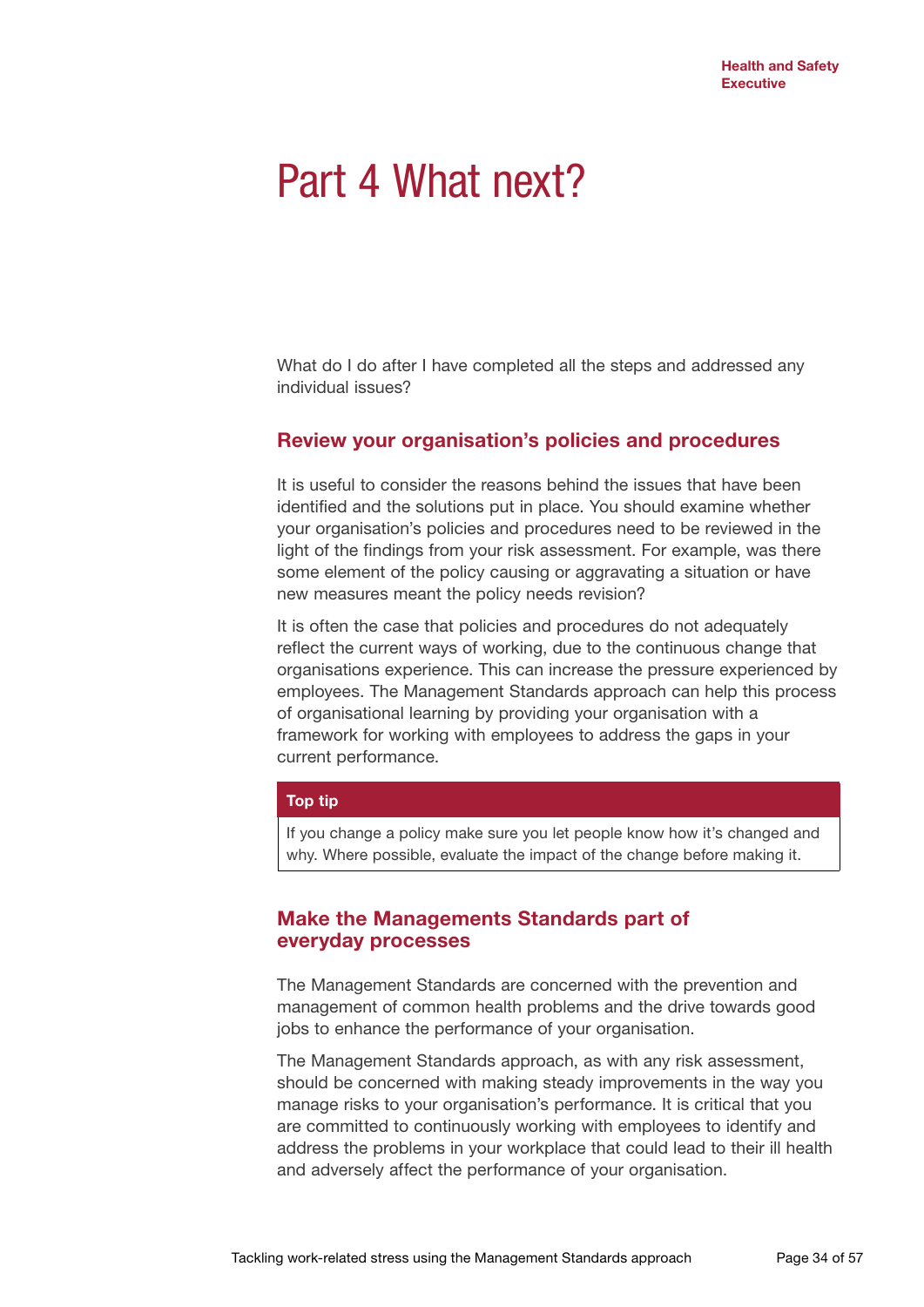# Part 4 What next?

What do I do after I have completed all the steps and addressed any individual issues?

## **Review your organisation's policies and procedures**

It is useful to consider the reasons behind the issues that have been identified and the solutions put in place. You should examine whether your organisation's policies and procedures need to be reviewed in the light of the findings from your risk assessment. For example, was there some element of the policy causing or aggravating a situation or have new measures meant the policy needs revision?

It is often the case that policies and procedures do not adequately reflect the current ways of working, due to the continuous change that organisations experience. This can increase the pressure experienced by employees. The Management Standards approach can help this process of organisational learning by providing your organisation with a framework for working with employees to address the gaps in your current performance.

#### **Top tip**

If you change a policy make sure you let people know how it's changed and why. Where possible, evaluate the impact of the change before making it.

## **Make the Managements Standards part of everyday processes**

The Management Standards are concerned with the prevention and management of common health problems and the drive towards good jobs to enhance the performance of your organisation.

The Management Standards approach, as with any risk assessment, should be concerned with making steady improvements in the way you manage risks to your organisation's performance. It is critical that you are committed to continuously working with employees to identify and address the problems in your workplace that could lead to their ill health and adversely affect the performance of your organisation.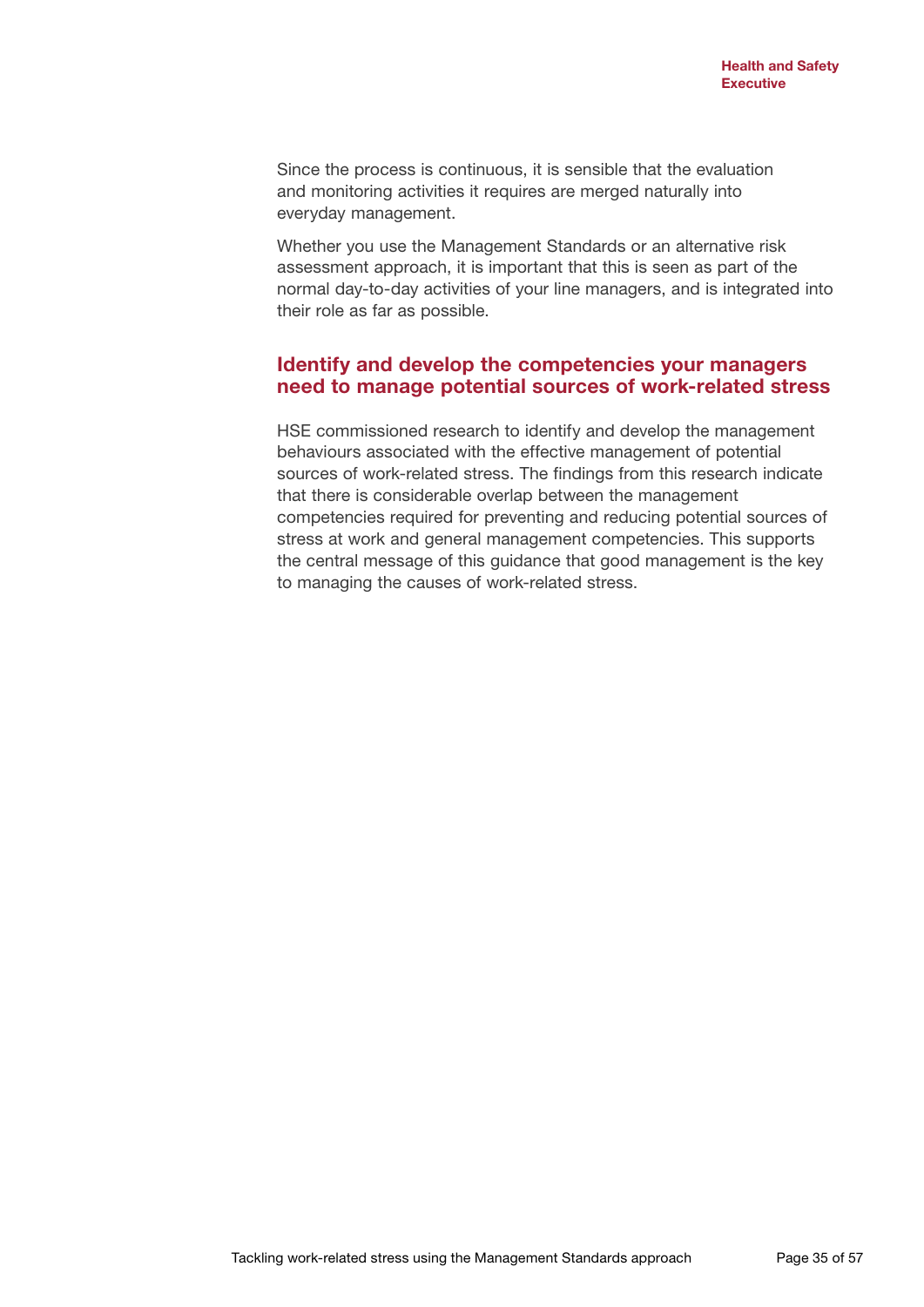Since the process is continuous, it is sensible that the evaluation and monitoring activities it requires are merged naturally into everyday management.

Whether you use the Management Standards or an alternative risk assessment approach, it is important that this is seen as part of the normal day-to-day activities of your line managers, and is integrated into their role as far as possible.

# **Identify and develop the competencies your managers need to manage potential sources of work-related stress**

HSE commissioned research to identify and develop the management behaviours associated with the effective management of potential sources of work-related stress. The findings from this research indicate that there is considerable overlap between the management competencies required for preventing and reducing potential sources of stress at work and general management competencies. This supports the central message of this guidance that good management is the key to managing the causes of work-related stress.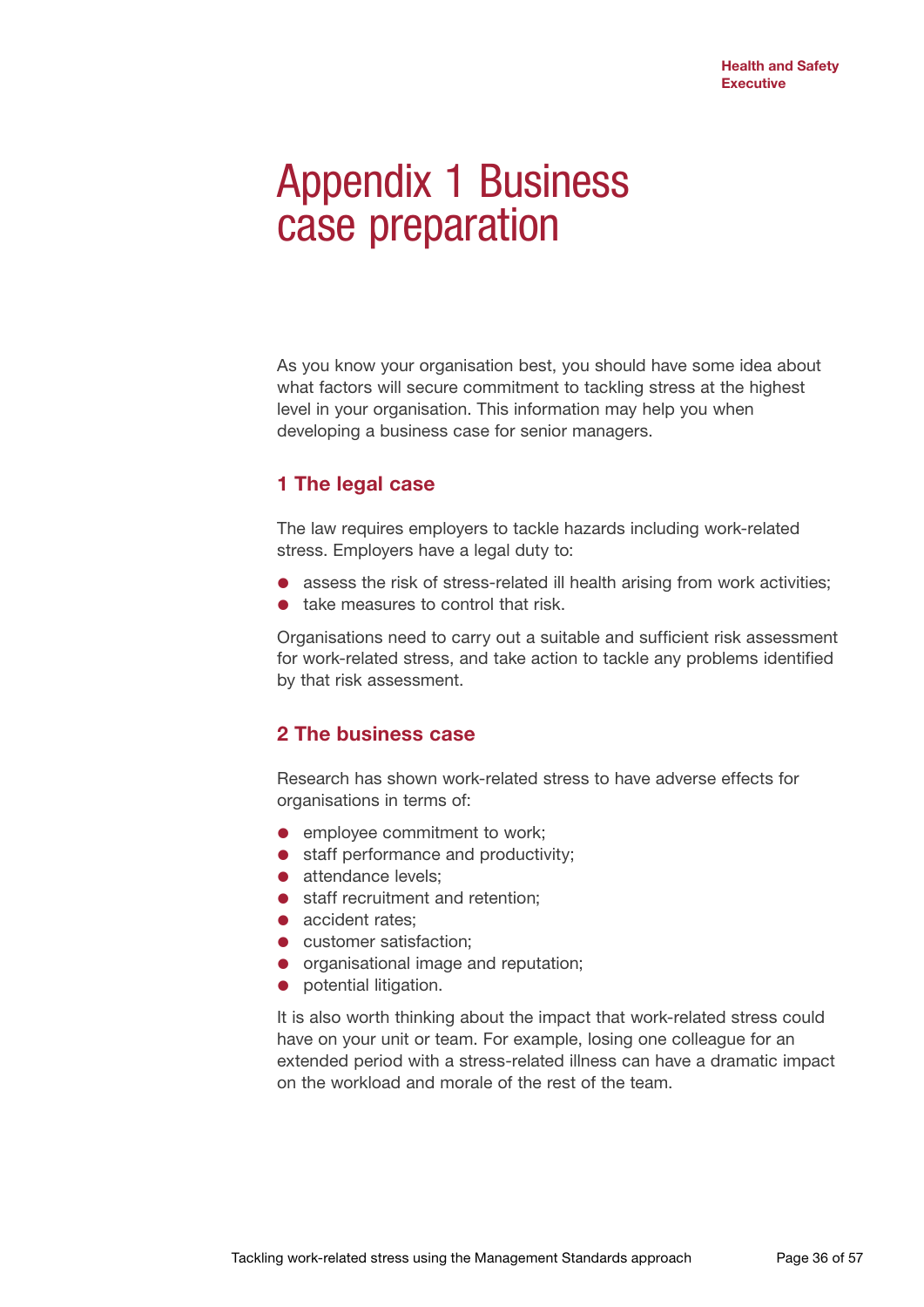# Appendix 1 Business case preparation

As you know your organisation best, you should have some idea about what factors will secure commitment to tackling stress at the highest level in your organisation. This information may help you when developing a business case for senior managers.

# **1 The legal case**

The law requires employers to tackle hazards including work-related stress. Employers have a legal duty to:

- assess the risk of stress-related ill health arising from work activities;
- take measures to control that risk.

Organisations need to carry out a suitable and sufficient risk assessment for work-related stress, and take action to tackle any problems identified by that risk assessment.

# **2 The business case**

Research has shown work-related stress to have adverse effects for organisations in terms of:

- **e** employee commitment to work;
- staff performance and productivity;
- attendance levels:
- staff recruitment and retention:
- accident rates:
- **customer satisfaction:**
- organisational image and reputation;
- potential litigation.

It is also worth thinking about the impact that work-related stress could have on your unit or team. For example, losing one colleague for an extended period with a stress-related illness can have a dramatic impact on the workload and morale of the rest of the team.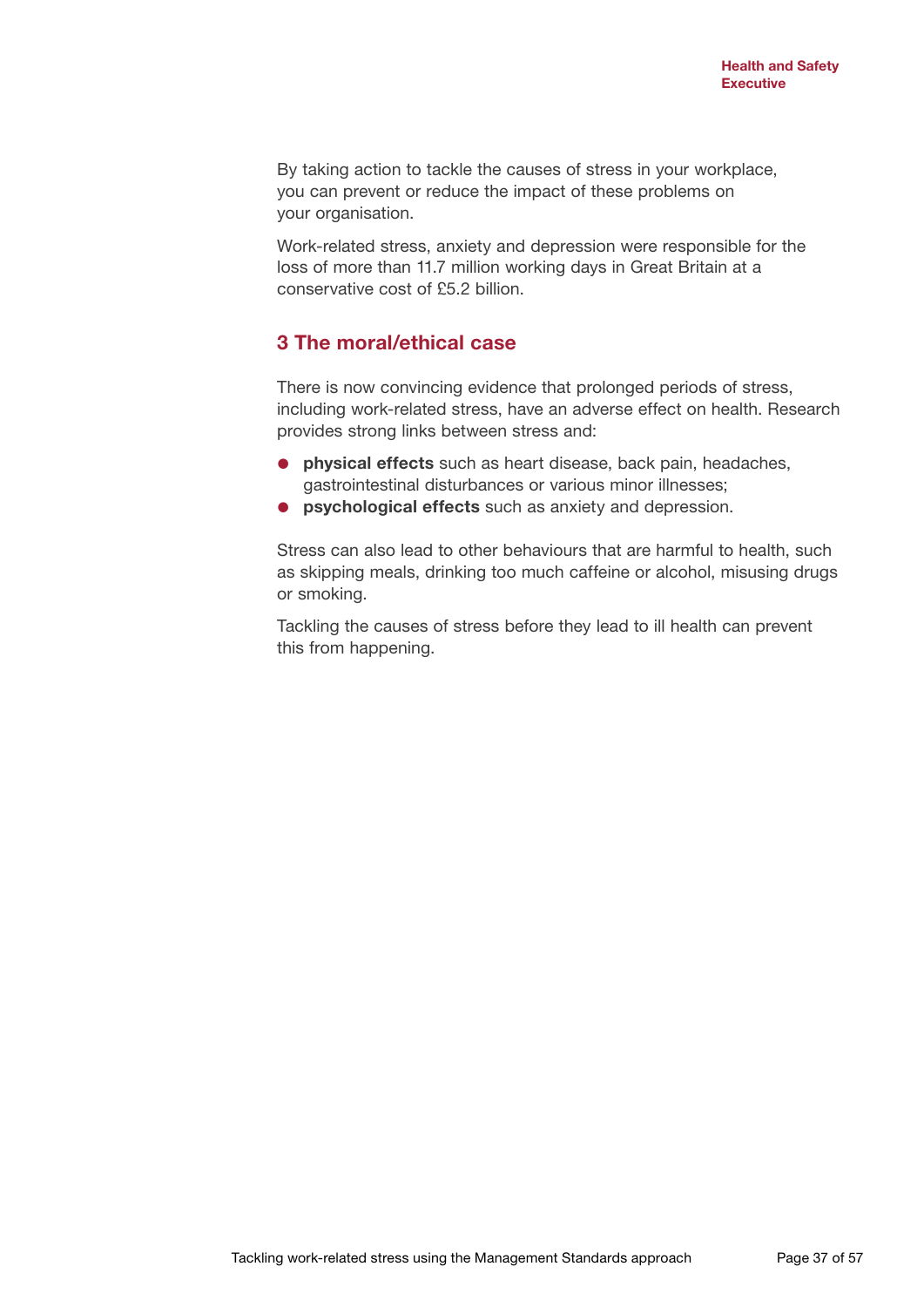By taking action to tackle the causes of stress in your workplace, you can prevent or reduce the impact of these problems on your organisation.

Work-related stress, anxiety and depression were responsible for the loss of more than 11.7 million working days in Great Britain at a conservative cost of £5.2 billion.

# **3 The moral/ethical case**

There is now convincing evidence that prolonged periods of stress, including work-related stress, have an adverse effect on health. Research provides strong links between stress and:

- **physical effects** such as heart disease, back pain, headaches, gastrointestinal disturbances or various minor illnesses;
- **psychological effects** such as anxiety and depression.

Stress can also lead to other behaviours that are harmful to health, such as skipping meals, drinking too much caffeine or alcohol, misusing drugs or smoking.

Tackling the causes of stress before they lead to ill health can prevent this from happening.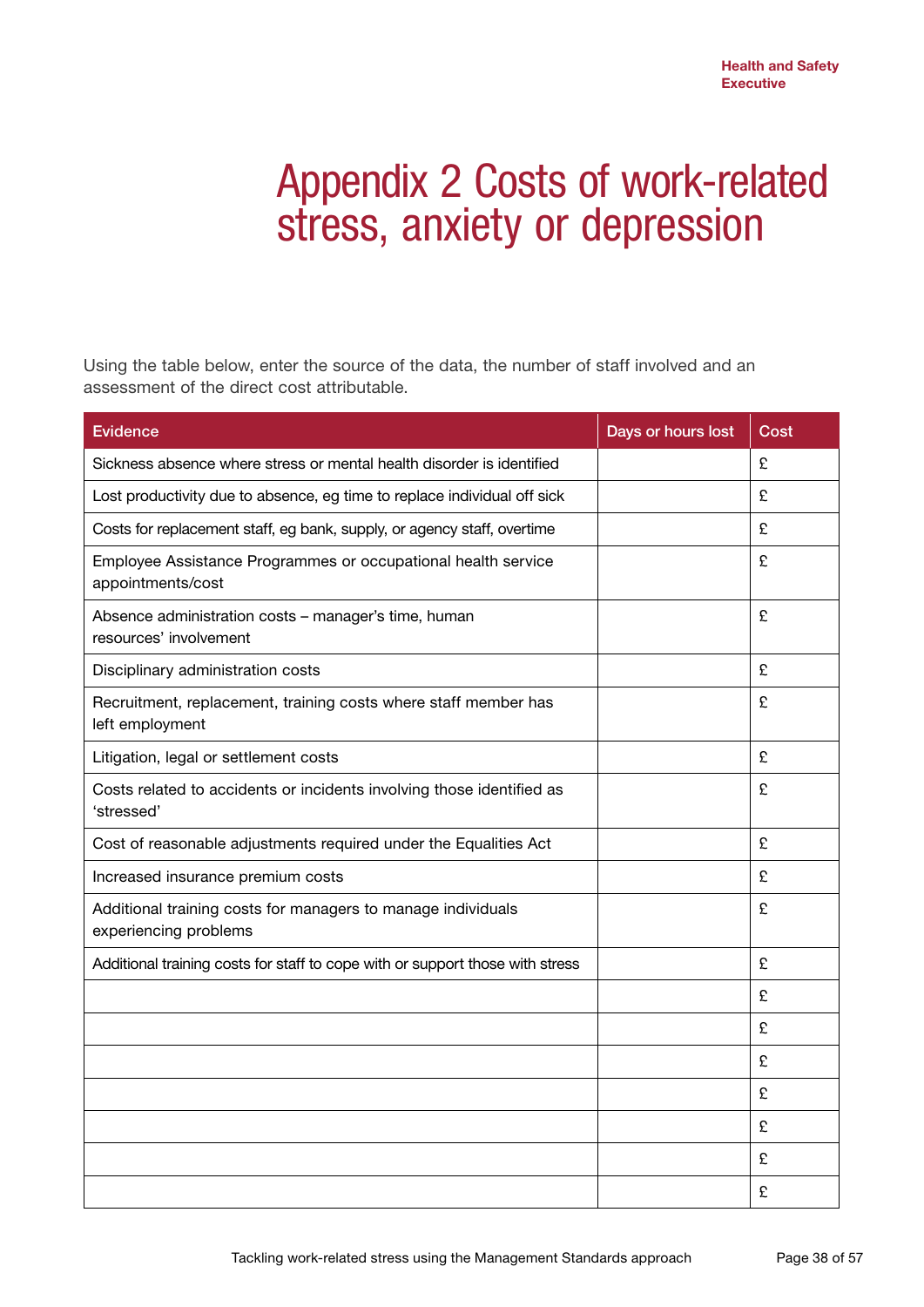# Appendix 2 Costs of work-related stress, anxiety or depression

Using the table below, enter the source of the data, the number of staff involved and an assessment of the direct cost attributable.

| <b>Evidence</b>                                                                       | Days or hours lost | Cost |
|---------------------------------------------------------------------------------------|--------------------|------|
| Sickness absence where stress or mental health disorder is identified                 |                    | £    |
| Lost productivity due to absence, eg time to replace individual off sick              |                    | £    |
| Costs for replacement staff, eg bank, supply, or agency staff, overtime               |                    | £    |
| Employee Assistance Programmes or occupational health service<br>appointments/cost    |                    | £    |
| Absence administration costs - manager's time, human<br>resources' involvement        |                    | £    |
| Disciplinary administration costs                                                     |                    | £    |
| Recruitment, replacement, training costs where staff member has<br>left employment    |                    | £    |
| Litigation, legal or settlement costs                                                 |                    | £    |
| Costs related to accidents or incidents involving those identified as<br>'stressed'   |                    | £    |
| Cost of reasonable adjustments required under the Equalities Act                      |                    | £    |
| Increased insurance premium costs                                                     |                    | £    |
| Additional training costs for managers to manage individuals<br>experiencing problems |                    | £    |
| Additional training costs for staff to cope with or support those with stress         |                    | £    |
|                                                                                       |                    | £    |
|                                                                                       |                    | £    |
|                                                                                       |                    | £    |
|                                                                                       |                    | £    |
|                                                                                       |                    | £    |
|                                                                                       |                    | £    |
|                                                                                       |                    | £    |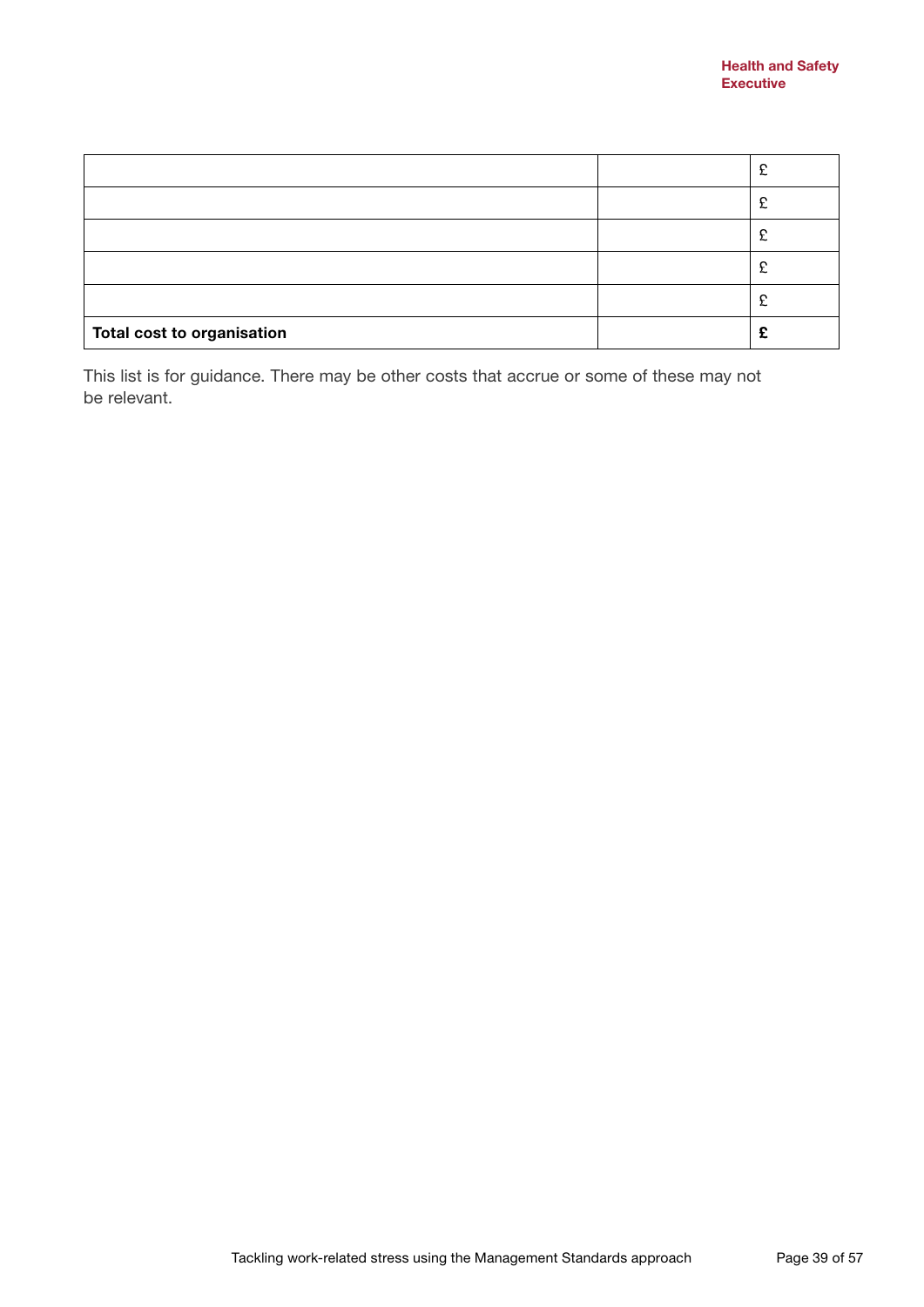|                            | r |
|----------------------------|---|
|                            |   |
|                            |   |
| Total cost to organisation |   |

This list is for guidance. There may be other costs that accrue or some of these may not be relevant.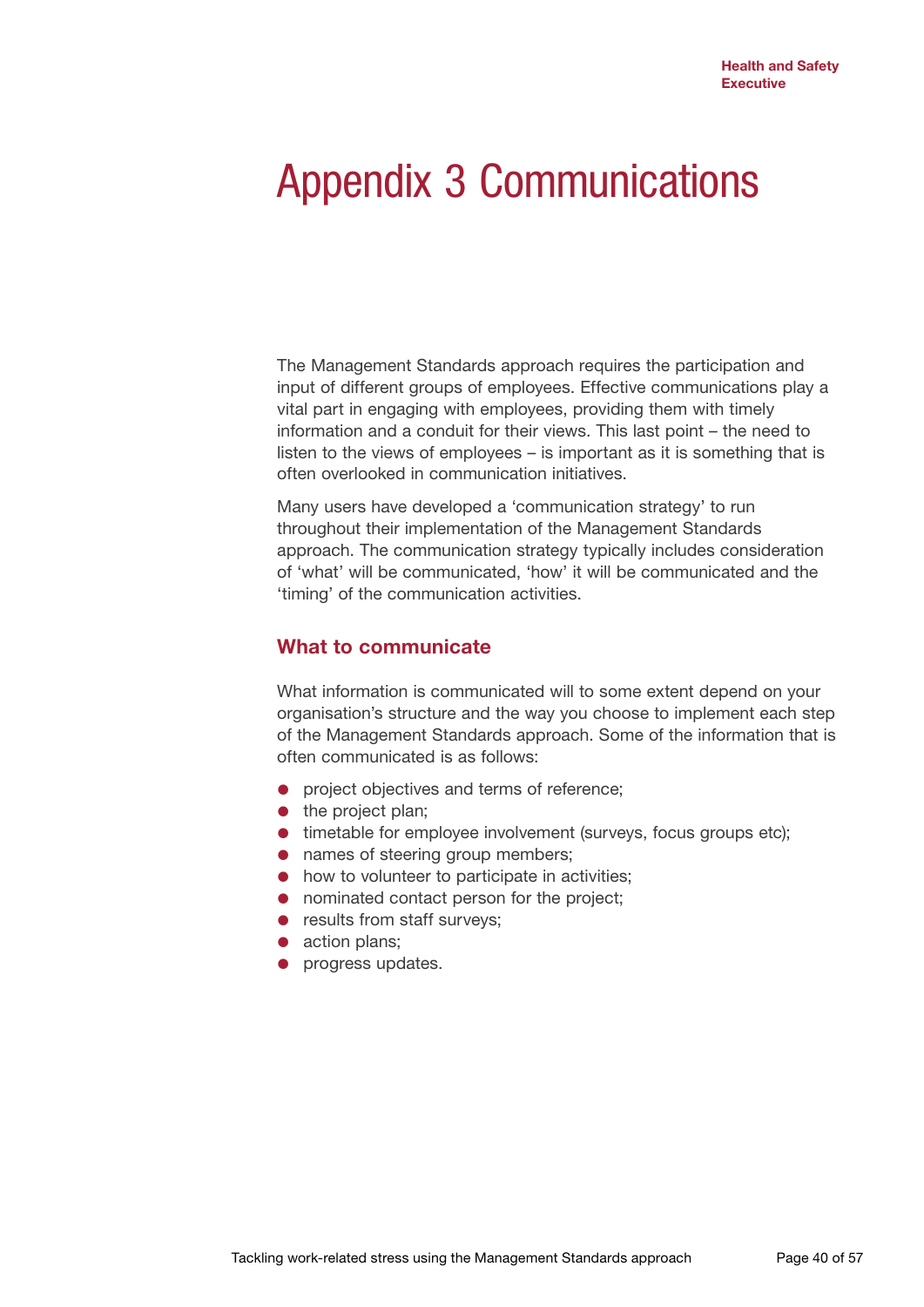# Appendix 3 Communications

The Management Standards approach requires the participation and input of different groups of employees. Effective communications play a vital part in engaging with employees, providing them with timely information and a conduit for their views. This last point – the need to listen to the views of employees – is important as it is something that is often overlooked in communication initiatives.

Many users have developed a 'communication strategy' to run throughout their implementation of the Management Standards approach. The communication strategy typically includes consideration of 'what' will be communicated, 'how' it will be communicated and the 'timing' of the communication activities.

# **What to communicate**

What information is communicated will to some extent depend on your organisation's structure and the way you choose to implement each step of the Management Standards approach. Some of the information that is often communicated is as follows:

- **•** project objectives and terms of reference;
- $\bullet$  the project plan;
- $\bullet$  timetable for employee involvement (surveys, focus groups etc);
- names of steering group members;
- how to volunteer to participate in activities;
- nominated contact person for the project;
- **•** results from staff surveys:
- action plans;
- **•** progress updates.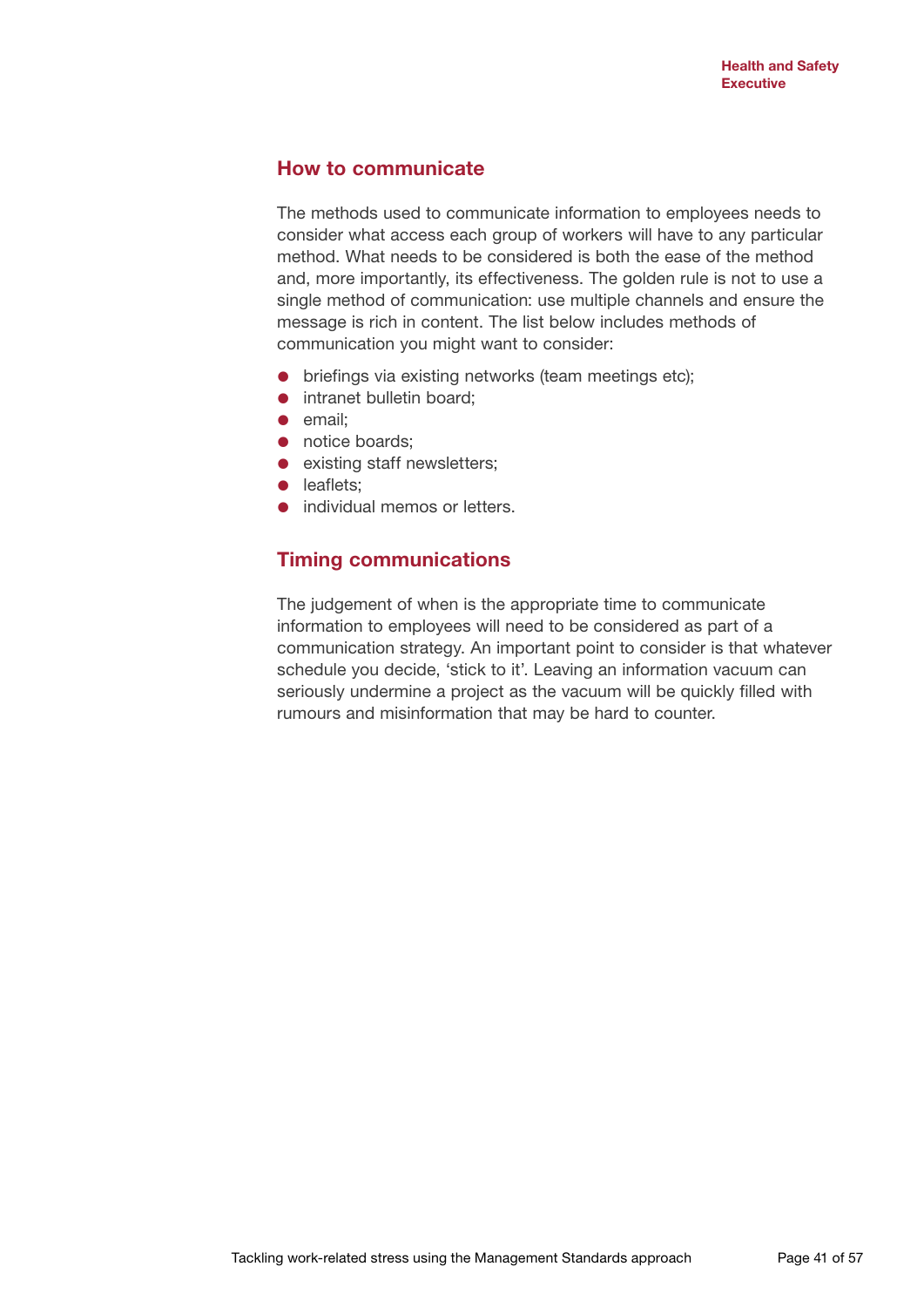## **How to communicate**

The methods used to communicate information to employees needs to consider what access each group of workers will have to any particular method. What needs to be considered is both the ease of the method and, more importantly, its effectiveness. The golden rule is not to use a single method of communication: use multiple channels and ensure the message is rich in content. The list below includes methods of communication you might want to consider:

- briefings via existing networks (team meetings etc);
- **•** intranet bulletin board;
- e email:
- notice boards:
- existing staff newsletters;
- leaflets;
- individual memos or letters.

# **Timing communications**

The judgement of when is the appropriate time to communicate information to employees will need to be considered as part of a communication strategy. An important point to consider is that whatever schedule you decide, 'stick to it'. Leaving an information vacuum can seriously undermine a project as the vacuum will be quickly filled with rumours and misinformation that may be hard to counter.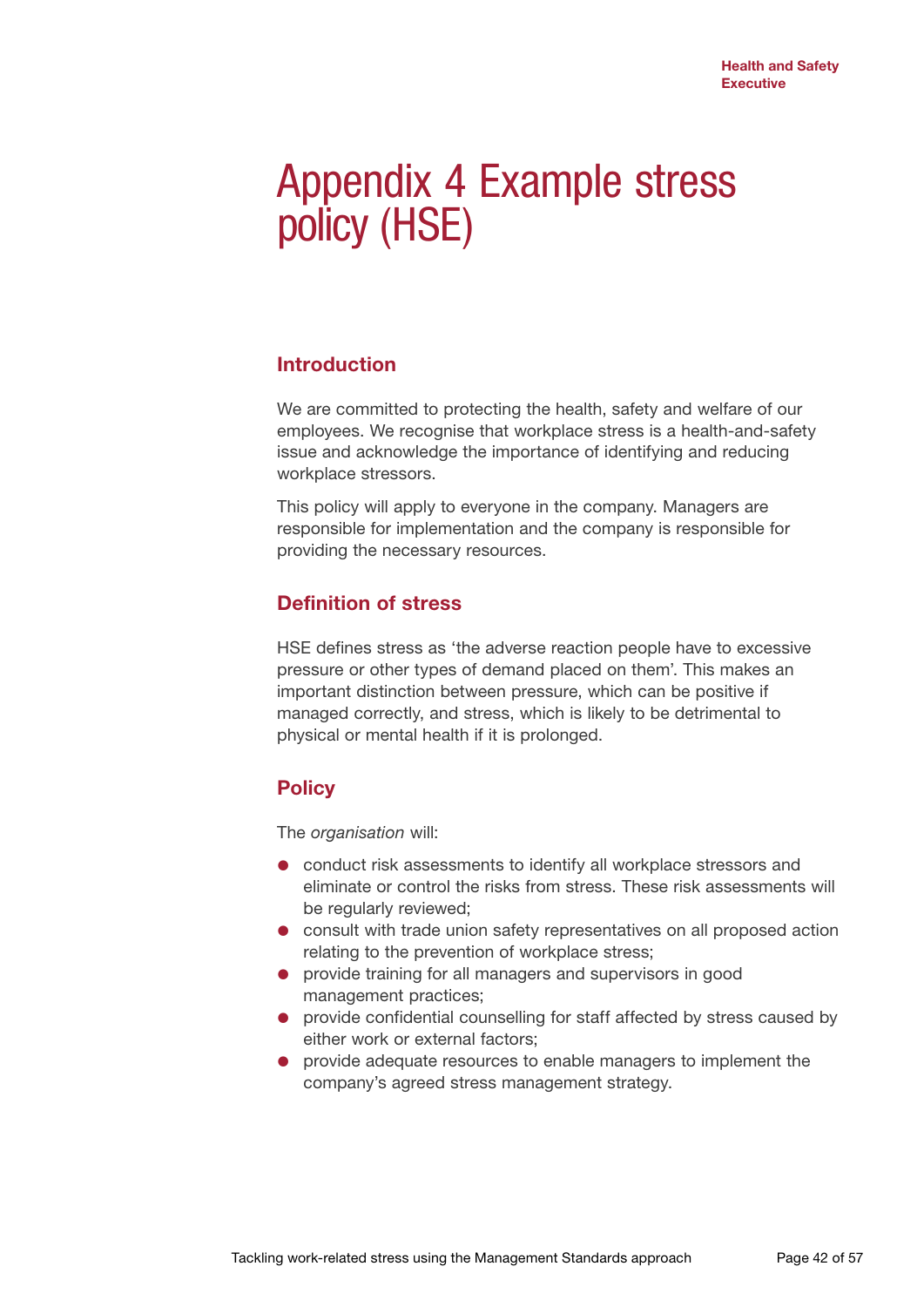# Appendix 4 Example stress policy (HSE)

# **Introduction**

We are committed to protecting the health, safety and welfare of our employees. We recognise that workplace stress is a health-and-safety issue and acknowledge the importance of identifying and reducing workplace stressors.

This policy will apply to everyone in the company. Managers are responsible for implementation and the company is responsible for providing the necessary resources.

# **Definition of stress**

HSE defines stress as 'the adverse reaction people have to excessive pressure or other types of demand placed on them'. This makes an important distinction between pressure, which can be positive if managed correctly, and stress, which is likely to be detrimental to physical or mental health if it is prolonged.

# **Policy**

The *organisation* will:

- conduct risk assessments to identify all workplace stressors and eliminate or control the risks from stress. These risk assessments will be regularly reviewed;
- consult with trade union safety representatives on all proposed action relating to the prevention of workplace stress;
- **•** provide training for all managers and supervisors in good management practices;
- provide confidential counselling for staff affected by stress caused by either work or external factors;
- **•** provide adequate resources to enable managers to implement the company's agreed stress management strategy.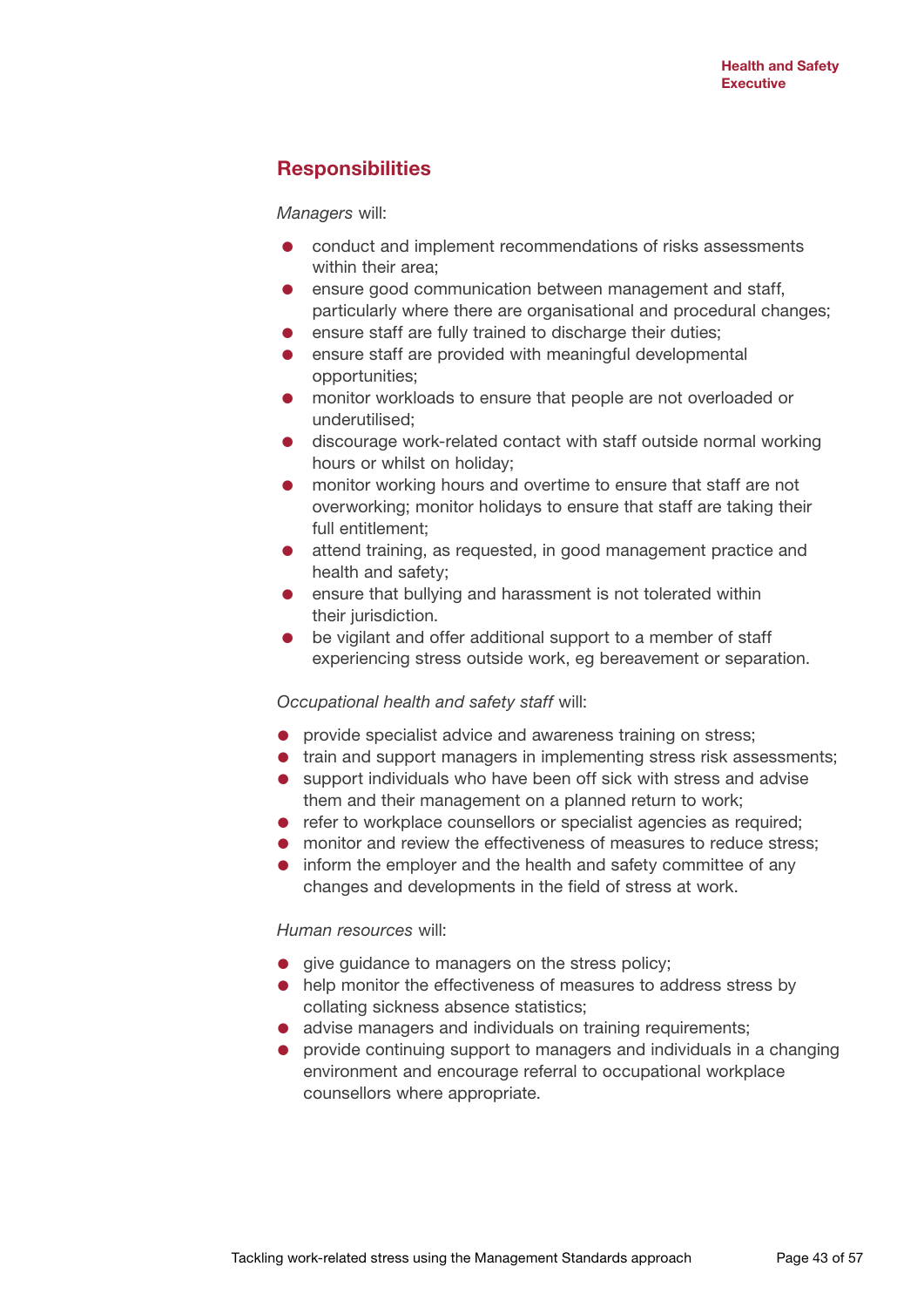# **Responsibilities**

*Managers* will:

- **•** conduct and implement recommendations of risks assessments within their area:
- ensure good communication between management and staff, particularly where there are organisational and procedural changes;
- ensure staff are fully trained to discharge their duties;
- ensure staff are provided with meaningful developmental opportunities;
- **•** monitor workloads to ensure that people are not overloaded or underutilised;
- discourage work-related contact with staff outside normal working hours or whilst on holiday;
- monitor working hours and overtime to ensure that staff are not overworking; monitor holidays to ensure that staff are taking their full entitlement;
- **•** attend training, as requested, in good management practice and health and safety;
- ensure that bullying and harassment is not tolerated within their jurisdiction.
- be vigilant and offer additional support to a member of staff experiencing stress outside work, eg bereavement or separation.

## *Occupational health and safety staff* will:

- **•** provide specialist advice and awareness training on stress;
- train and support managers in implementing stress risk assessments;
- support individuals who have been off sick with stress and advise them and their management on a planned return to work;
- refer to workplace counsellors or specialist agencies as required;
- monitor and review the effectiveness of measures to reduce stress;
- inform the employer and the health and safety committee of any changes and developments in the field of stress at work.

## *Human resources* will:

- **e** give guidance to managers on the stress policy;
- help monitor the effectiveness of measures to address stress by collating sickness absence statistics;
- advise managers and individuals on training requirements;
- **•** provide continuing support to managers and individuals in a changing environment and encourage referral to occupational workplace counsellors where appropriate.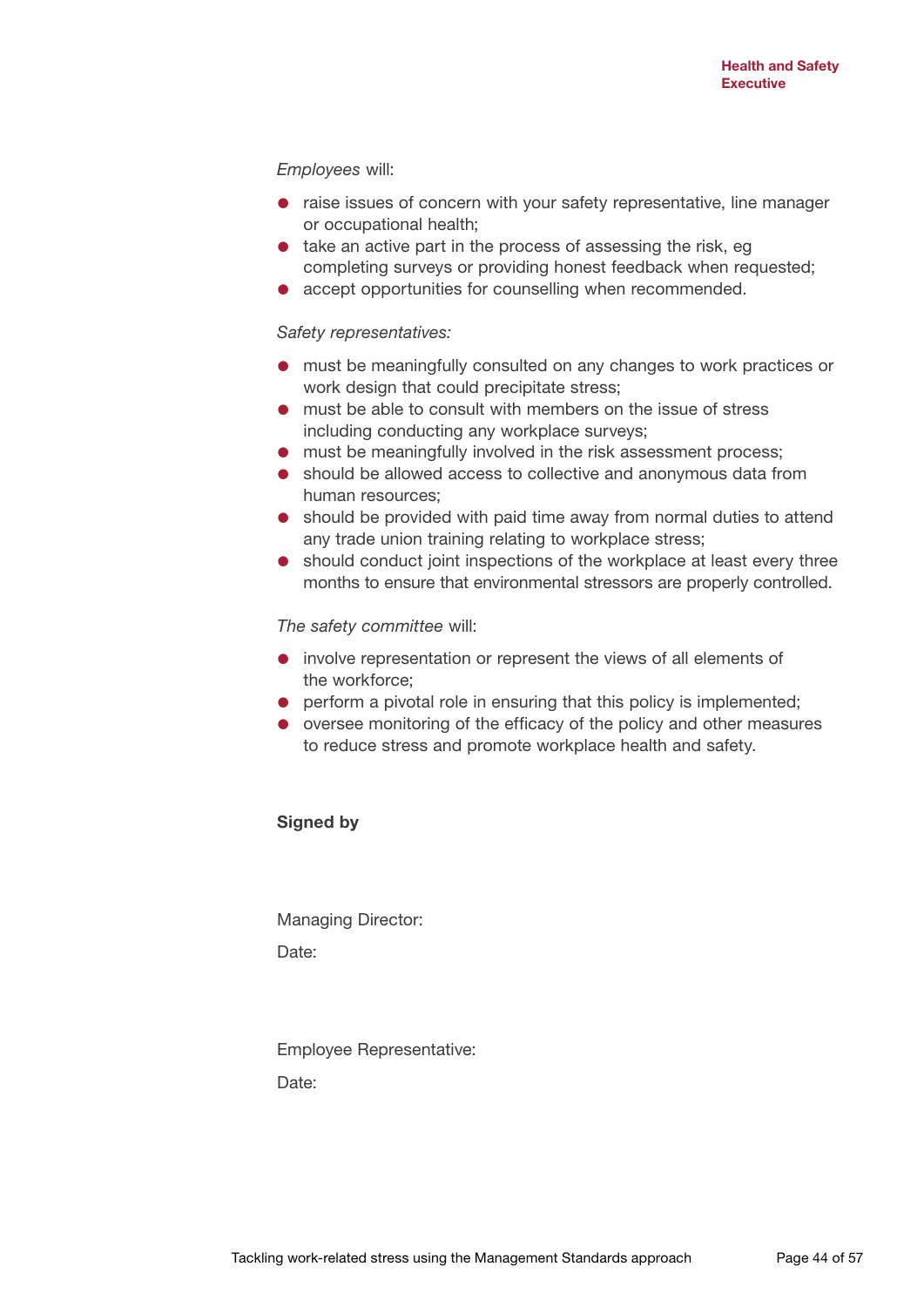### *Employees* will:

- raise issues of concern with your safety representative, line manager or occupational health;
- take an active part in the process of assessing the risk, eg completing surveys or providing honest feedback when requested;
- **•** accept opportunities for counselling when recommended.

## *Safety representatives:*

- must be meaningfully consulted on any changes to work practices or work design that could precipitate stress:
- must be able to consult with members on the issue of stress including conducting any workplace surveys;
- must be meaningfully involved in the risk assessment process;
- should be allowed access to collective and anonymous data from human resources;
- should be provided with paid time away from normal duties to attend any trade union training relating to workplace stress;
- should conduct joint inspections of the workplace at least every three months to ensure that environmental stressors are properly controlled.

*The safety committee* will:

- **•** involve representation or represent the views of all elements of the workforce;
- **•** perform a pivotal role in ensuring that this policy is implemented;
- oversee monitoring of the efficacy of the policy and other measures to reduce stress and promote workplace health and safety.

## **Signed by**

Managing Director:

Date:

Employee Representative:

Date: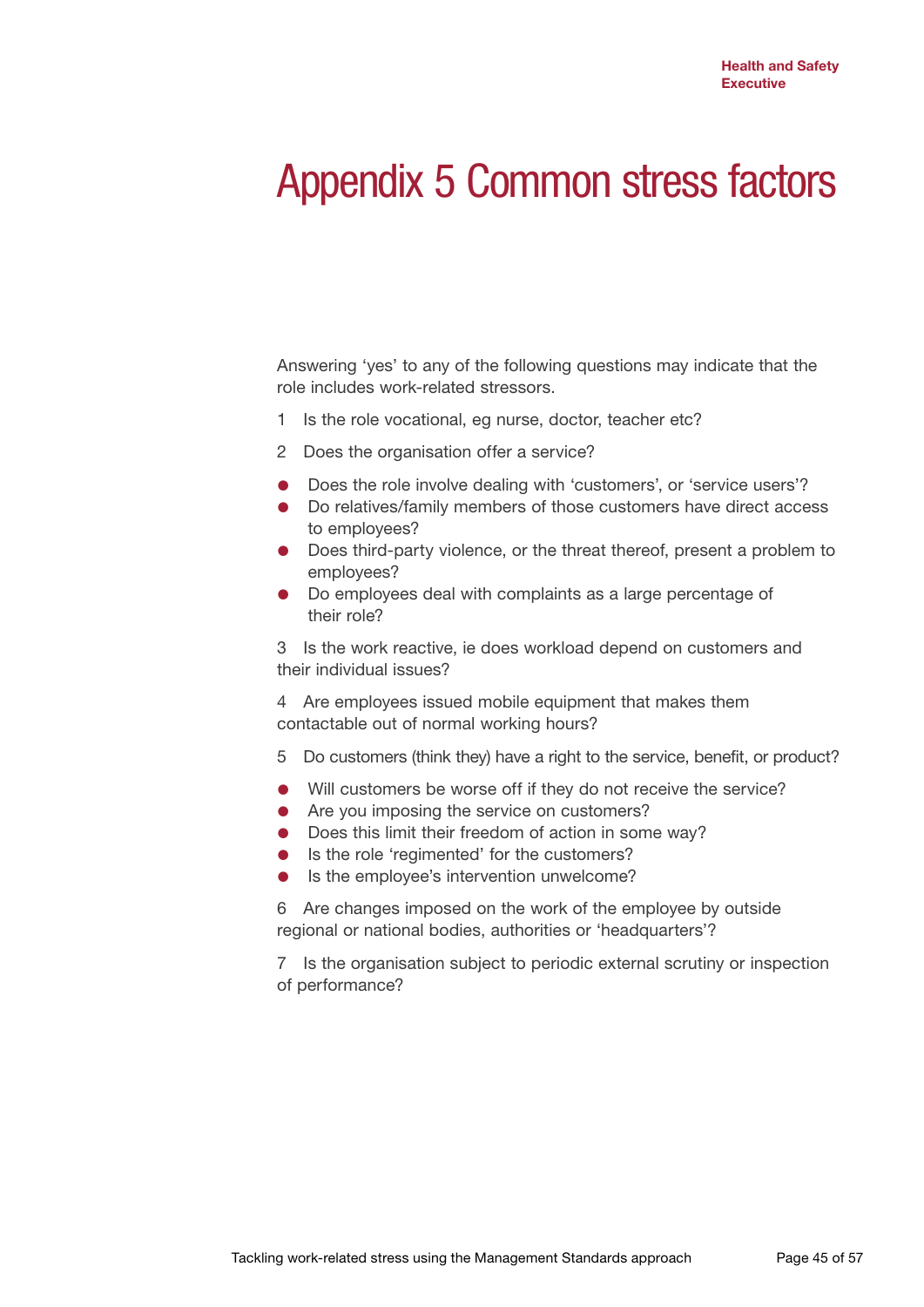# Appendix 5 Common stress factors

Answering 'yes' to any of the following questions may indicate that the role includes work-related stressors.

- 1 Is the role vocational, eg nurse, doctor, teacher etc?
- 2 Does the organisation offer a service?
- Does the role involve dealing with 'customers', or 'service users'?
- Do relatives/family members of those customers have direct access to employees?
- Does third-party violence, or the threat thereof, present a problem to employees?
- Do employees deal with complaints as a large percentage of their role?

3 Is the work reactive, ie does workload depend on customers and their individual issues?

4 Are employees issued mobile equipment that makes them contactable out of normal working hours?

- 5 Do customers (think they) have a right to the service, benefit, or product?
- Will customers be worse off if they do not receive the service?
- Are you imposing the service on customers?
- Does this limit their freedom of action in some way?
- Is the role 'regimented' for the customers?
- Is the employee's intervention unwelcome?

6 Are changes imposed on the work of the employee by outside regional or national bodies, authorities or 'headquarters'?

7 Is the organisation subject to periodic external scrutiny or inspection of performance?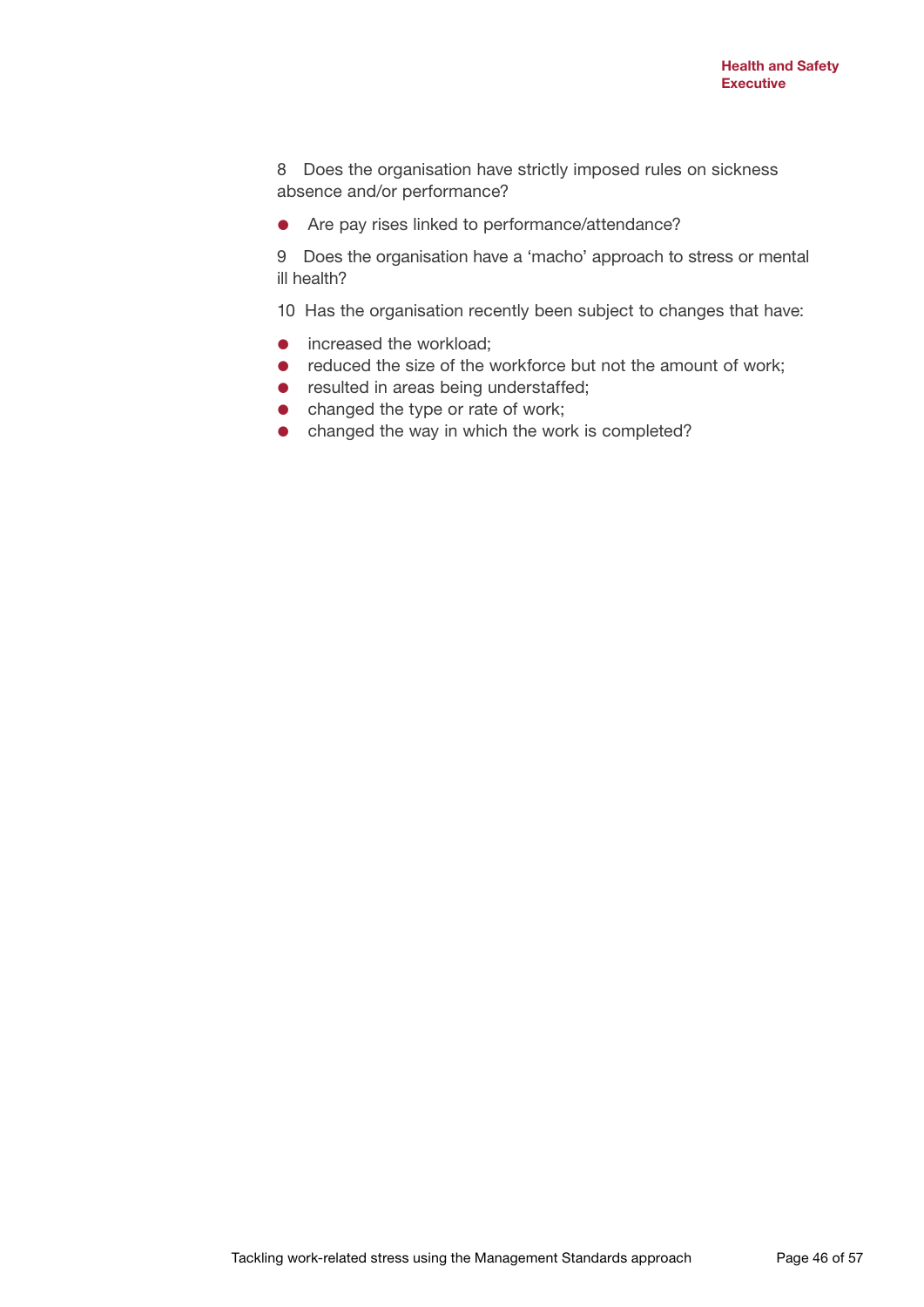8 Does the organisation have strictly imposed rules on sickness absence and/or performance?

Are pay rises linked to performance/attendance?

9 Does the organisation have a 'macho' approach to stress or mental ill health?

10 Has the organisation recently been subject to changes that have:

- increased the workload;
- reduced the size of the workforce but not the amount of work;
- **•** resulted in areas being understaffed;
- changed the type or rate of work;
- changed the way in which the work is completed?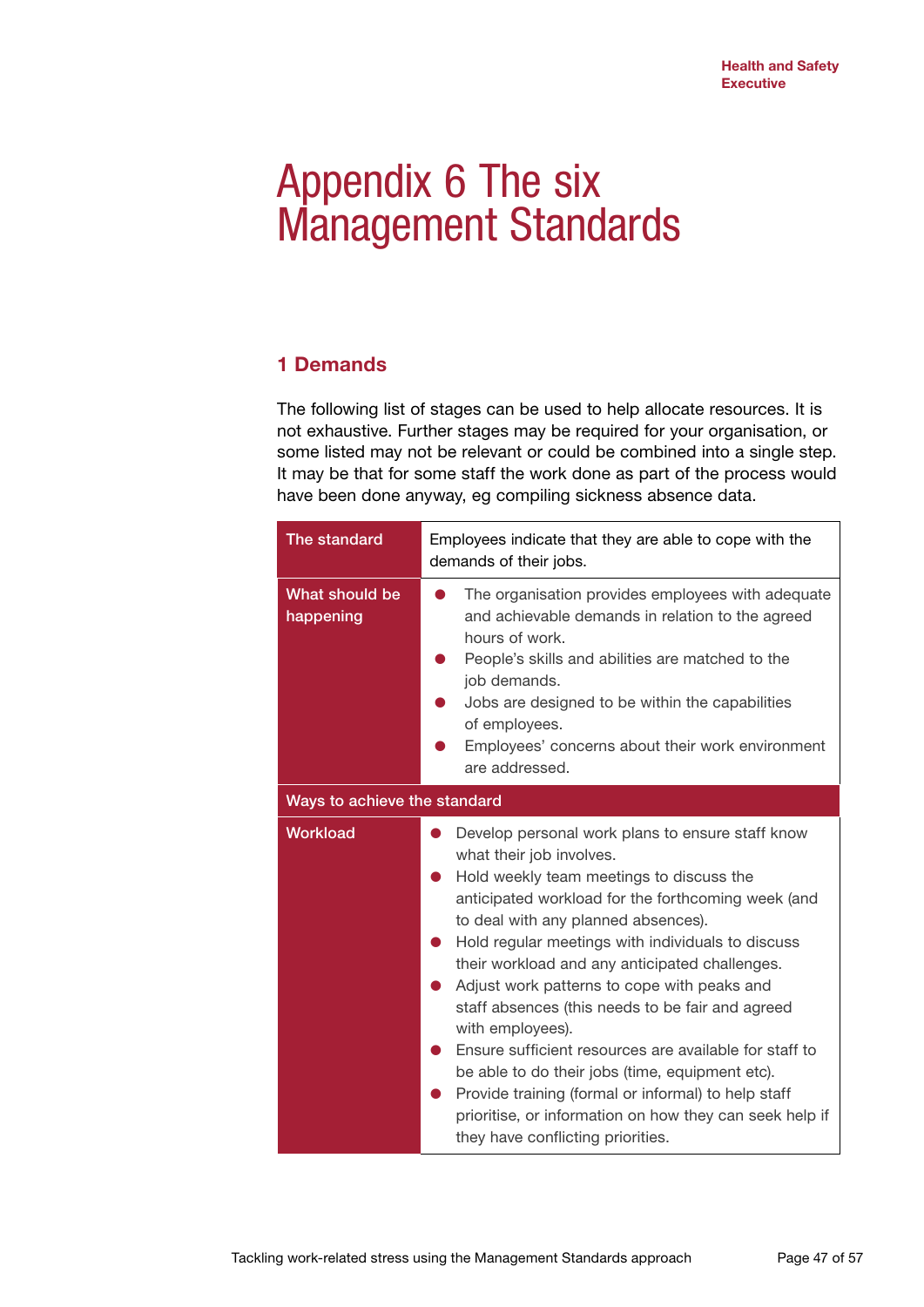# Appendix 6 The six Management Standards

# **1 Demands**

The following list of stages can be used to help allocate resources. It is not exhaustive. Further stages may be required for your organisation, or some listed may not be relevant or could be combined into a single step. It may be that for some staff the work done as part of the process would have been done anyway, eg compiling sickness absence data.

| The standard                 | Employees indicate that they are able to cope with the<br>demands of their jobs.                                                                                                                                                                                                                                                                                                                                                                                                                                                                                                                                                                                                                                        |
|------------------------------|-------------------------------------------------------------------------------------------------------------------------------------------------------------------------------------------------------------------------------------------------------------------------------------------------------------------------------------------------------------------------------------------------------------------------------------------------------------------------------------------------------------------------------------------------------------------------------------------------------------------------------------------------------------------------------------------------------------------------|
| What should be<br>happening  | The organisation provides employees with adequate<br>and achievable demands in relation to the agreed<br>hours of work.<br>People's skills and abilities are matched to the<br>job demands.<br>Jobs are designed to be within the capabilities<br>of employees.<br>Employees' concerns about their work environment<br>are addressed.                                                                                                                                                                                                                                                                                                                                                                                   |
| Ways to achieve the standard |                                                                                                                                                                                                                                                                                                                                                                                                                                                                                                                                                                                                                                                                                                                         |
| <b>Workload</b>              | Develop personal work plans to ensure staff know<br>what their job involves.<br>Hold weekly team meetings to discuss the<br>anticipated workload for the forthcoming week (and<br>to deal with any planned absences).<br>Hold regular meetings with individuals to discuss<br>their workload and any anticipated challenges.<br>Adjust work patterns to cope with peaks and<br>staff absences (this needs to be fair and agreed<br>with employees).<br>Ensure sufficient resources are available for staff to<br>be able to do their jobs (time, equipment etc).<br>Provide training (formal or informal) to help staff<br>prioritise, or information on how they can seek help if<br>they have conflicting priorities. |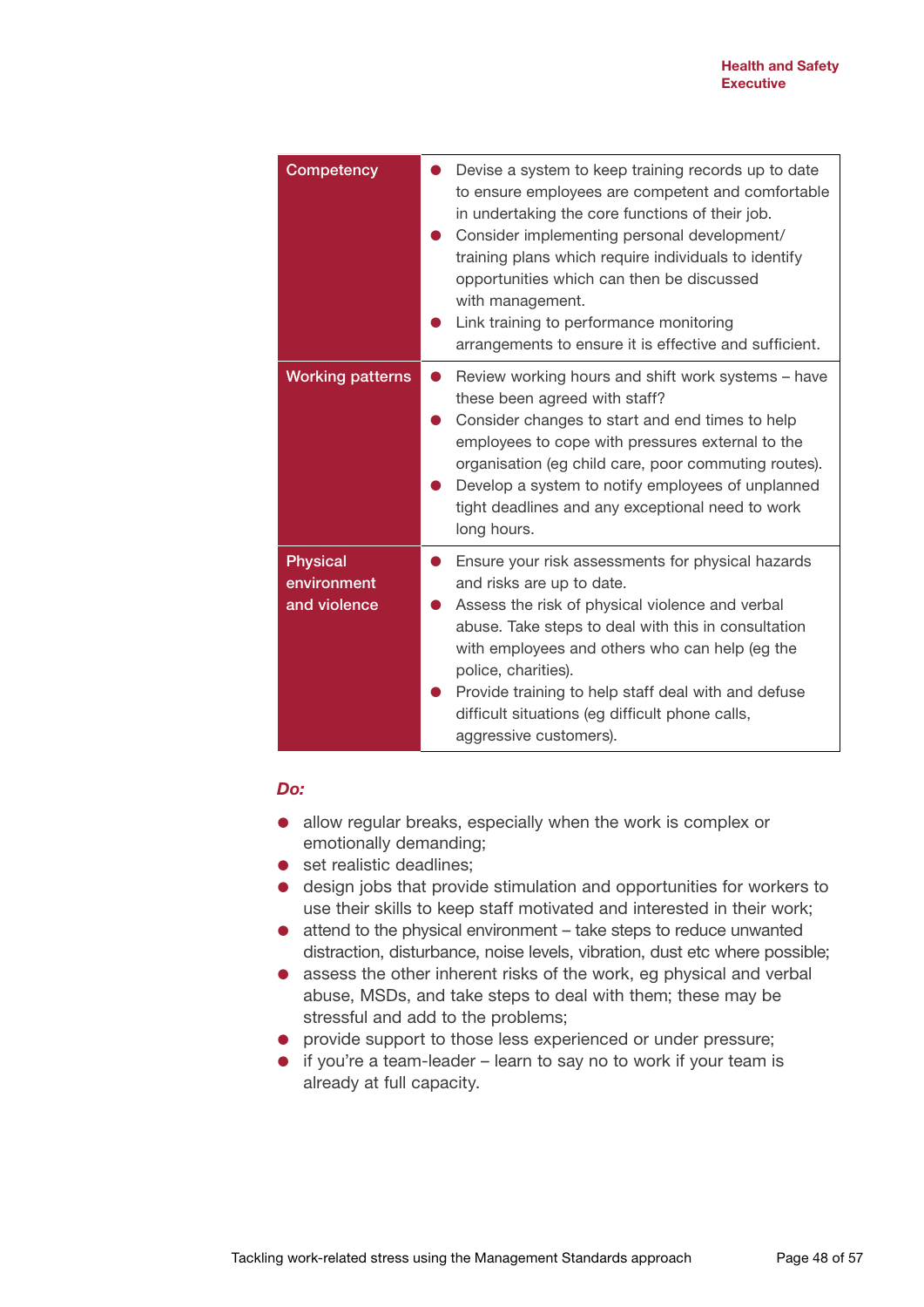| Competency                                     | Devise a system to keep training records up to date<br>to ensure employees are competent and comfortable<br>in undertaking the core functions of their job.<br>Consider implementing personal development/<br>training plans which require individuals to identify<br>opportunities which can then be discussed<br>with management.<br>Link training to performance monitoring<br>arrangements to ensure it is effective and sufficient. |
|------------------------------------------------|------------------------------------------------------------------------------------------------------------------------------------------------------------------------------------------------------------------------------------------------------------------------------------------------------------------------------------------------------------------------------------------------------------------------------------------|
| <b>Working patterns</b>                        | Review working hours and shift work systems - have<br>these been agreed with staff?<br>Consider changes to start and end times to help<br>employees to cope with pressures external to the<br>organisation (eg child care, poor commuting routes).<br>Develop a system to notify employees of unplanned<br>tight deadlines and any exceptional need to work<br>long hours.                                                               |
| <b>Physical</b><br>environment<br>and violence | Ensure your risk assessments for physical hazards<br>and risks are up to date.<br>Assess the risk of physical violence and verbal<br>abuse. Take steps to deal with this in consultation<br>with employees and others who can help (eg the<br>police, charities).<br>Provide training to help staff deal with and defuse<br>difficult situations (eg difficult phone calls,<br>aggressive customers).                                    |

## *Do:*

- allow regular breaks, especially when the work is complex or emotionally demanding;
- set realistic deadlines;
- design jobs that provide stimulation and opportunities for workers to use their skills to keep staff motivated and interested in their work;
- attend to the physical environment take steps to reduce unwanted distraction, disturbance, noise levels, vibration, dust etc where possible;
- assess the other inherent risks of the work, eg physical and verbal abuse, MSDs, and take steps to deal with them; these may be stressful and add to the problems;
- **•** provide support to those less experienced or under pressure;
- if you're a team-leader learn to say no to work if your team is already at full capacity.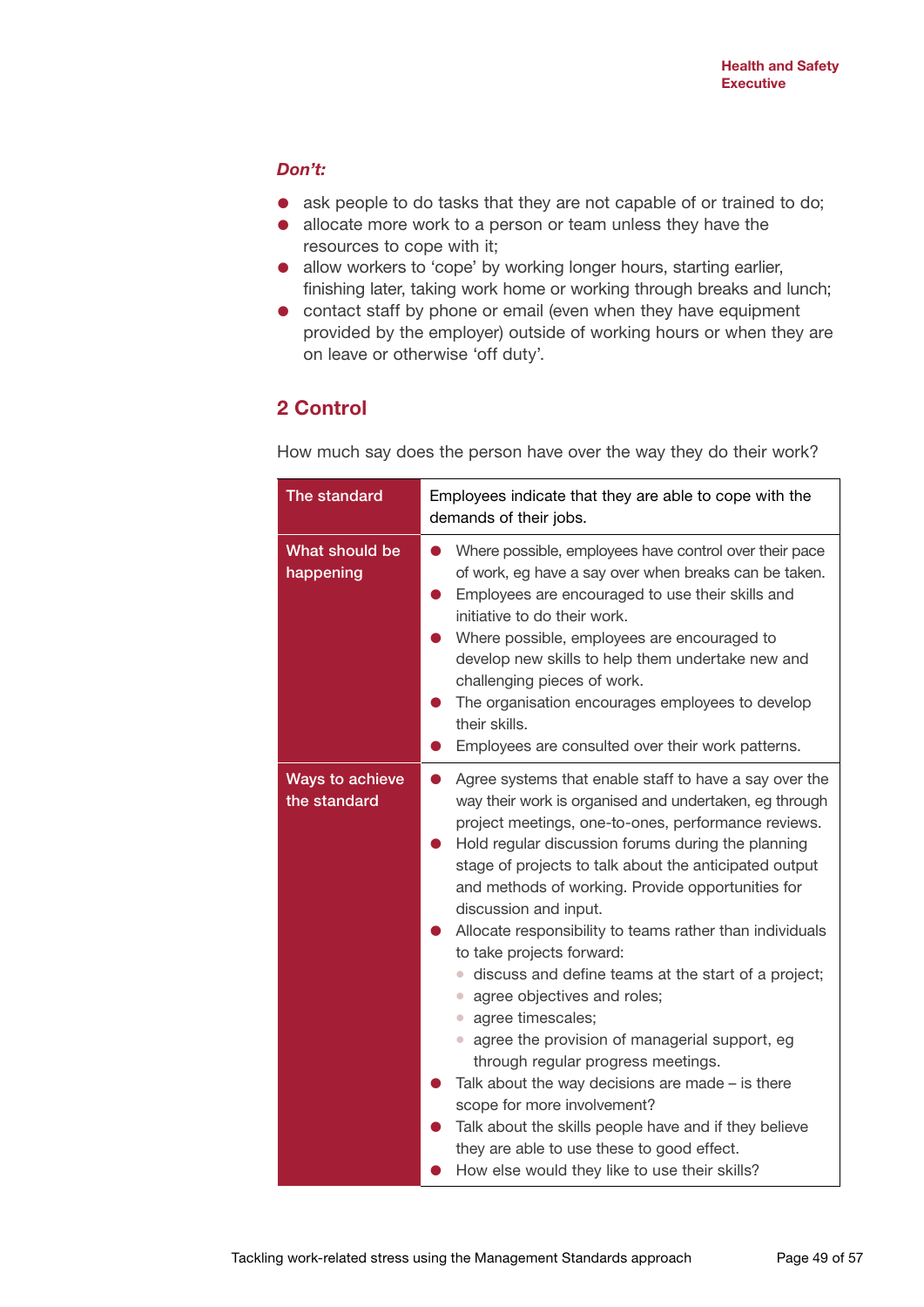## *Don't:*

- ask people to do tasks that they are not capable of or trained to do;
- allocate more work to a person or team unless they have the resources to cope with it;
- allow workers to 'cope' by working longer hours, starting earlier, finishing later, taking work home or working through breaks and lunch;
- **•** contact staff by phone or email (even when they have equipment provided by the employer) outside of working hours or when they are on leave or otherwise 'off duty'.

# **2 Control**

How much say does the person have over the way they do their work?

| The standard                    | Employees indicate that they are able to cope with the<br>demands of their jobs.                                                                                                                                                                                                                                                                                                                                                                                                                                                                                                                                                                                                                                                                                                                                                                                                                                                            |
|---------------------------------|---------------------------------------------------------------------------------------------------------------------------------------------------------------------------------------------------------------------------------------------------------------------------------------------------------------------------------------------------------------------------------------------------------------------------------------------------------------------------------------------------------------------------------------------------------------------------------------------------------------------------------------------------------------------------------------------------------------------------------------------------------------------------------------------------------------------------------------------------------------------------------------------------------------------------------------------|
| What should be<br>happening     | Where possible, employees have control over their pace<br>of work, eg have a say over when breaks can be taken.<br>Employees are encouraged to use their skills and<br>initiative to do their work.<br>Where possible, employees are encouraged to<br>develop new skills to help them undertake new and<br>challenging pieces of work.<br>The organisation encourages employees to develop<br>their skills.<br>Employees are consulted over their work patterns.                                                                                                                                                                                                                                                                                                                                                                                                                                                                            |
| Ways to achieve<br>the standard | Agree systems that enable staff to have a say over the<br>way their work is organised and undertaken, eg through<br>project meetings, one-to-ones, performance reviews.<br>Hold regular discussion forums during the planning<br>stage of projects to talk about the anticipated output<br>and methods of working. Provide opportunities for<br>discussion and input.<br>Allocate responsibility to teams rather than individuals<br>to take projects forward:<br>discuss and define teams at the start of a project;<br>$\bullet$<br>• agree objectives and roles;<br>· agree timescales;<br>agree the provision of managerial support, eg<br>$\bullet$<br>through regular progress meetings.<br>Talk about the way decisions are made $-$ is there<br>scope for more involvement?<br>Talk about the skills people have and if they believe<br>they are able to use these to good effect.<br>How else would they like to use their skills? |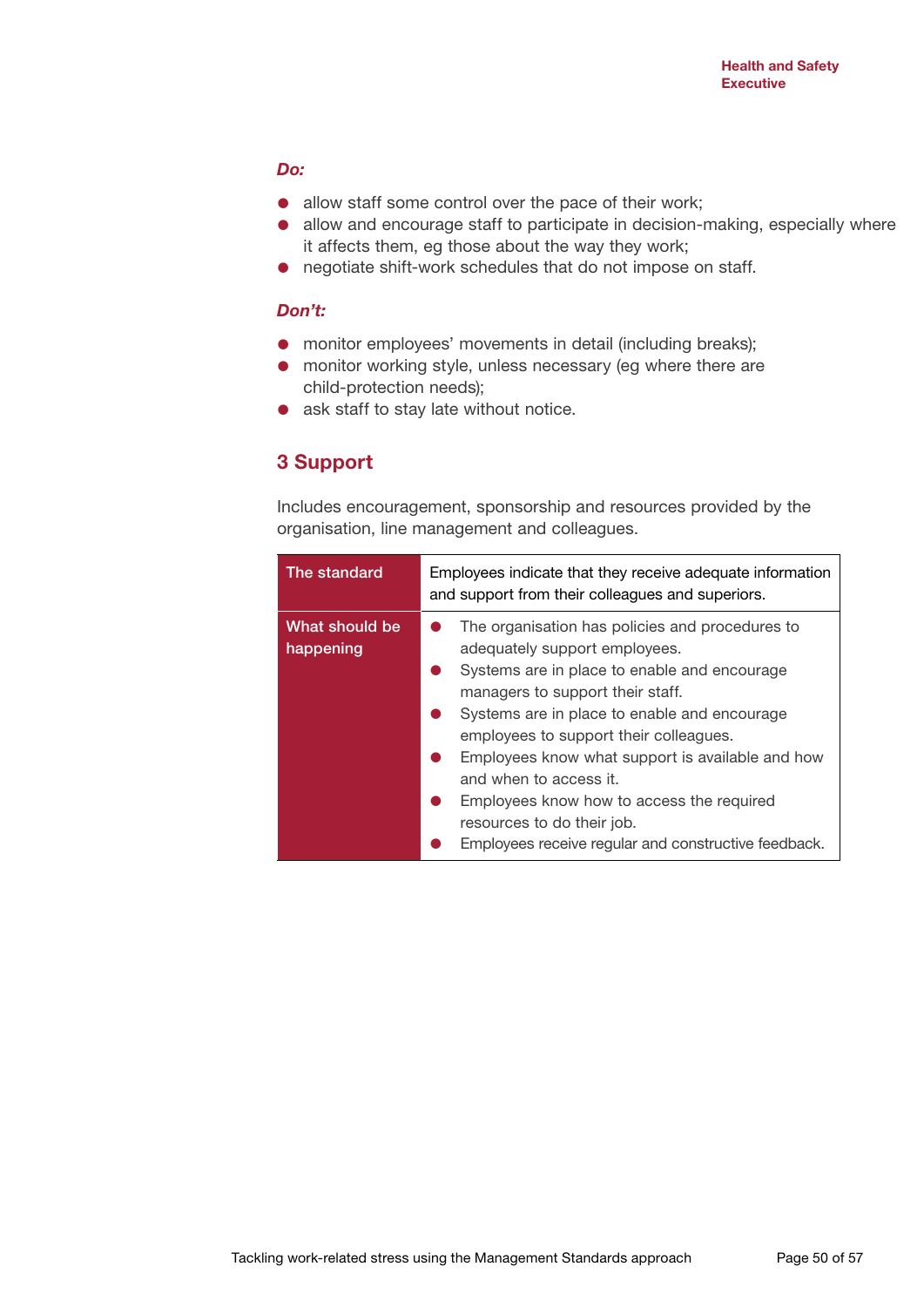### *Do:*

- allow staff some control over the pace of their work;
- allow and encourage staff to participate in decision-making, especially where it affects them, eg those about the way they work;
- negotiate shift-work schedules that do not impose on staff.

### *Don't:*

- monitor employees' movements in detail (including breaks);
- monitor working style, unless necessary (eg where there are child-protection needs);
- ask staff to stay late without notice.

# **3 Support**

Includes encouragement, sponsorship and resources provided by the organisation, line management and colleagues.

| The standard                | Employees indicate that they receive adequate information<br>and support from their colleagues and superiors.                                                                                                                                                                                                                                                                                                                                                                   |
|-----------------------------|---------------------------------------------------------------------------------------------------------------------------------------------------------------------------------------------------------------------------------------------------------------------------------------------------------------------------------------------------------------------------------------------------------------------------------------------------------------------------------|
| What should be<br>happening | The organisation has policies and procedures to<br>adequately support employees.<br>Systems are in place to enable and encourage<br>managers to support their staff.<br>Systems are in place to enable and encourage<br>employees to support their colleagues.<br>Employees know what support is available and how<br>and when to access it.<br>Employees know how to access the required<br>resources to do their job.<br>Employees receive regular and constructive feedback. |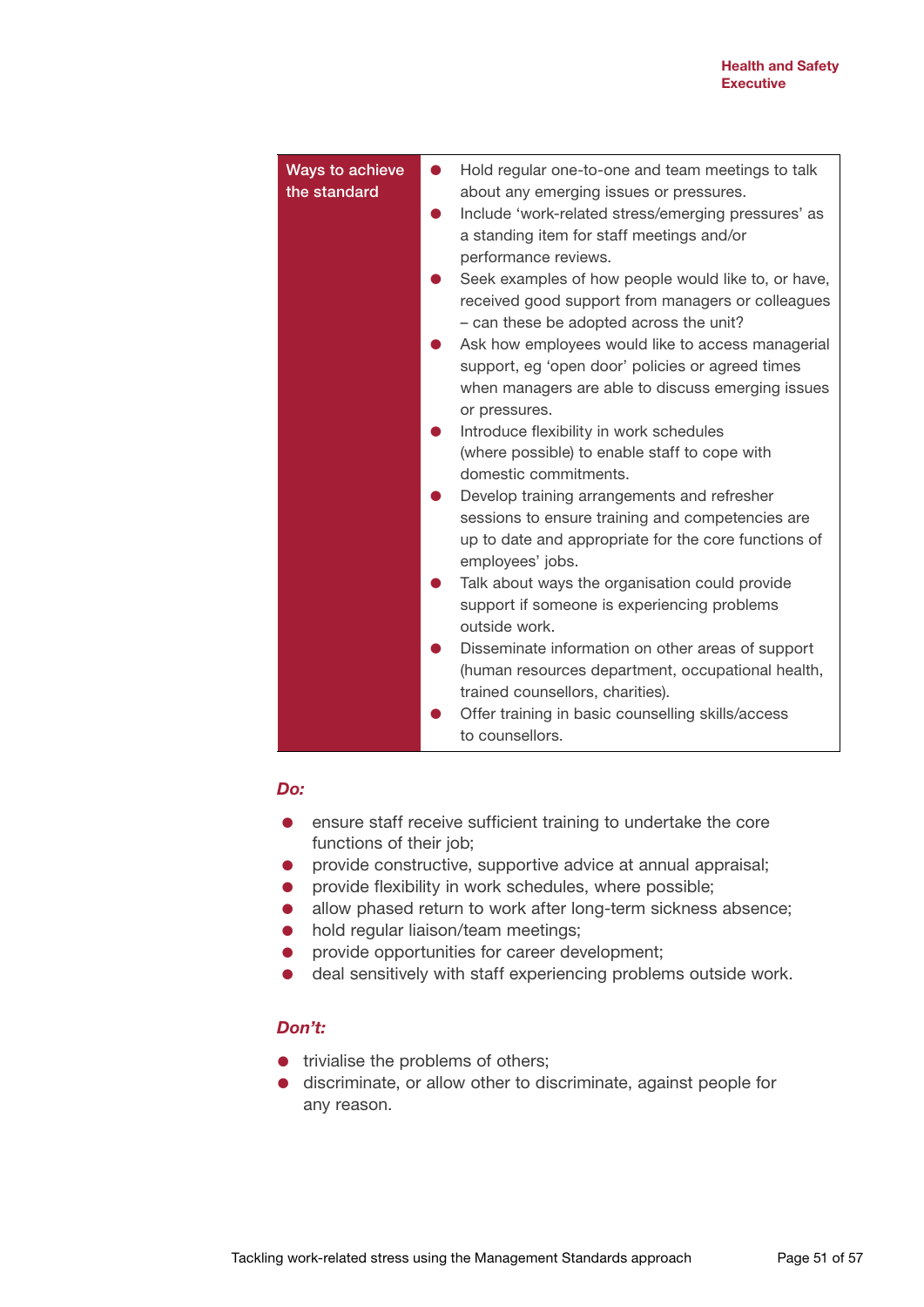Ways to achieve the standard ● Hold regular one-to-one and team meetings to talk about any emerging issues or pressures. Include 'work-related stress/emerging pressures' as a standing item for staff meetings and/or performance reviews. Seek examples of how people would like to, or have, received good support from managers or colleagues – can these be adopted across the unit? Ask how employees would like to access managerial support, eg 'open door' policies or agreed times when managers are able to discuss emerging issues or pressures. **Introduce flexibility in work schedules** (where possible) to enable staff to cope with domestic commitments. **O** Develop training arrangements and refresher sessions to ensure training and competencies are up to date and appropriate for the core functions of employees' jobs. Talk about ways the organisation could provide support if someone is experiencing problems outside work. Disseminate information on other areas of support (human resources department, occupational health, trained counsellors, charities). Offer training in basic counselling skills/access to counsellors.

## *Do:*

- **e** ensure staff receive sufficient training to undertake the core functions of their job;
- provide constructive, supportive advice at annual appraisal;
- **•** provide flexibility in work schedules, where possible;
- allow phased return to work after long-term sickness absence;
- hold regular liaison/team meetings;
- provide opportunities for career development;
- deal sensitively with staff experiencing problems outside work.

## *Don't:*

- trivialise the problems of others;
- discriminate, or allow other to discriminate, against people for any reason.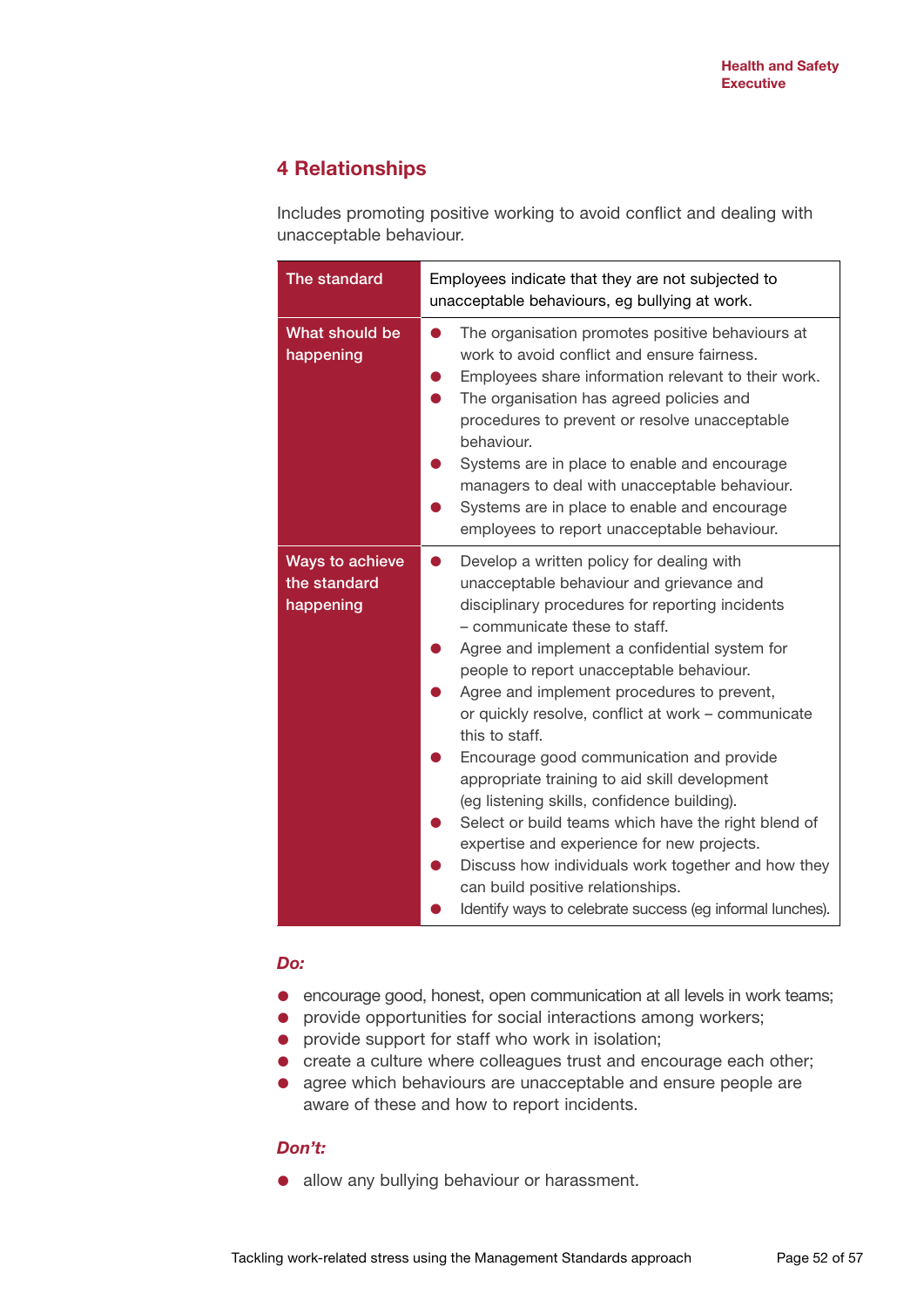# **4 Relationships**

Includes promoting positive working to avoid conflict and dealing with unacceptable behaviour.

| The standard                                 | Employees indicate that they are not subjected to<br>unacceptable behaviours, eg bullying at work.                                                                                                                                                                                                                                                                                                                                                                                                                                                                                                                                                                                                                                                                                                    |
|----------------------------------------------|-------------------------------------------------------------------------------------------------------------------------------------------------------------------------------------------------------------------------------------------------------------------------------------------------------------------------------------------------------------------------------------------------------------------------------------------------------------------------------------------------------------------------------------------------------------------------------------------------------------------------------------------------------------------------------------------------------------------------------------------------------------------------------------------------------|
| What should be<br>happening                  | The organisation promotes positive behaviours at<br>work to avoid conflict and ensure fairness.<br>Employees share information relevant to their work.<br>The organisation has agreed policies and<br>procedures to prevent or resolve unacceptable<br>behaviour.<br>Systems are in place to enable and encourage<br>managers to deal with unacceptable behaviour.<br>Systems are in place to enable and encourage<br>employees to report unacceptable behaviour.                                                                                                                                                                                                                                                                                                                                     |
| Ways to achieve<br>the standard<br>happening | Develop a written policy for dealing with<br>unacceptable behaviour and grievance and<br>disciplinary procedures for reporting incidents<br>- communicate these to staff.<br>Agree and implement a confidential system for<br>people to report unacceptable behaviour.<br>Agree and implement procedures to prevent,<br>or quickly resolve, conflict at work - communicate<br>this to staff.<br>Encourage good communication and provide<br>appropriate training to aid skill development<br>(eg listening skills, confidence building).<br>Select or build teams which have the right blend of<br>expertise and experience for new projects.<br>Discuss how individuals work together and how they<br>can build positive relationships.<br>Identify ways to celebrate success (eg informal lunches). |

## *Do:*

- encourage good, honest, open communication at all levels in work teams;
- **•** provide opportunities for social interactions among workers;
- **•** provide support for staff who work in isolation;
- **•** create a culture where colleagues trust and encourage each other;
- agree which behaviours are unacceptable and ensure people are aware of these and how to report incidents.

## *Don't:*

• allow any bullying behaviour or harassment.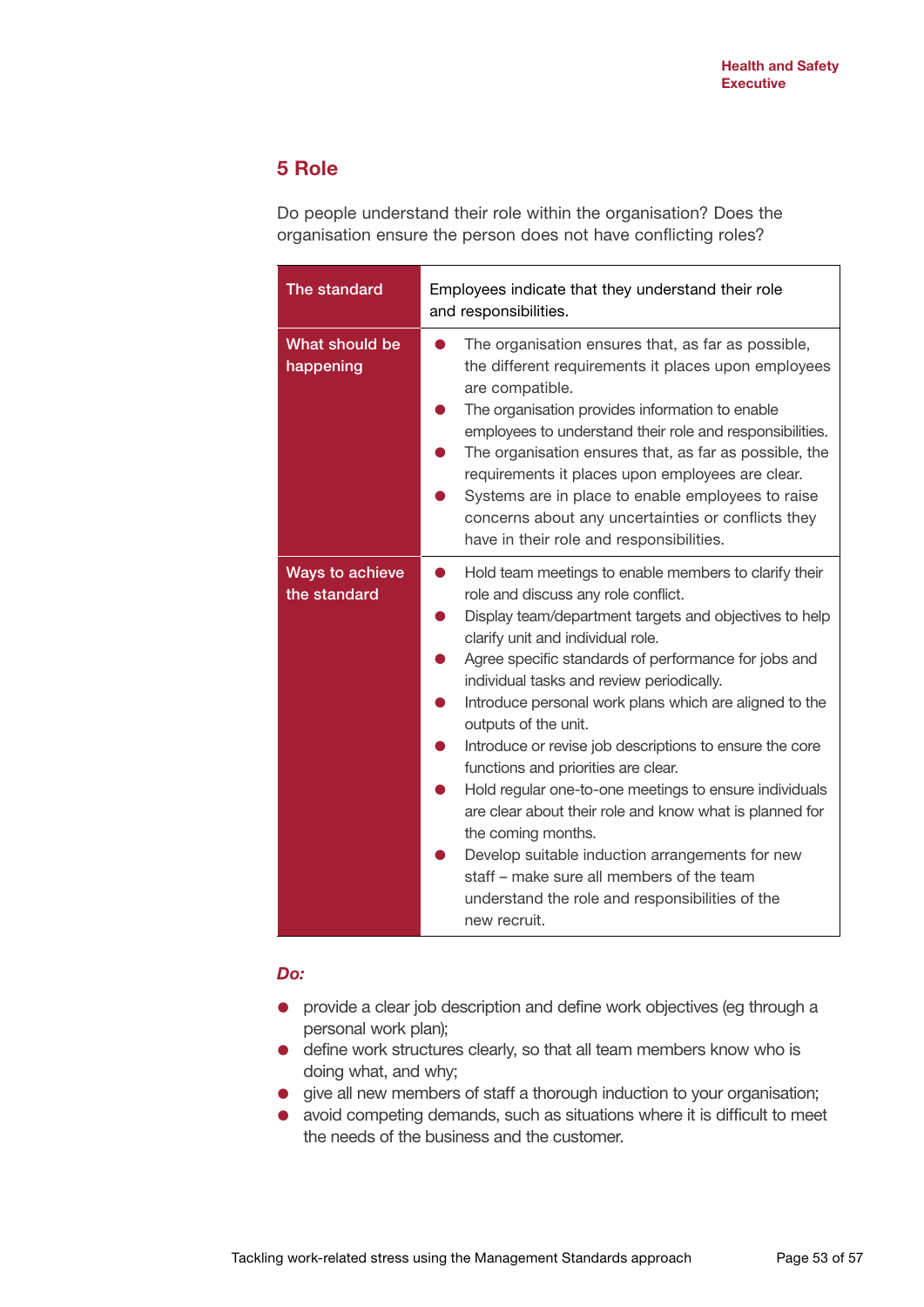# **5 Role**

Do people understand their role within the organisation? Does the organisation ensure the person does not have conflicting roles?

| The standard                           | Employees indicate that they understand their role<br>and responsibilities.                                                                                                                                                                                                                                                                                                                                                                                                                                                                                                                                                                                                                                                                                                                        |
|----------------------------------------|----------------------------------------------------------------------------------------------------------------------------------------------------------------------------------------------------------------------------------------------------------------------------------------------------------------------------------------------------------------------------------------------------------------------------------------------------------------------------------------------------------------------------------------------------------------------------------------------------------------------------------------------------------------------------------------------------------------------------------------------------------------------------------------------------|
| What should be<br>happening            | The organisation ensures that, as far as possible,<br>the different requirements it places upon employees<br>are compatible.<br>The organisation provides information to enable<br>employees to understand their role and responsibilities.<br>The organisation ensures that, as far as possible, the<br>requirements it places upon employees are clear.<br>Systems are in place to enable employees to raise<br>concerns about any uncertainties or conflicts they<br>have in their role and responsibilities.                                                                                                                                                                                                                                                                                   |
| <b>Ways to achieve</b><br>the standard | Hold team meetings to enable members to clarify their<br>role and discuss any role conflict.<br>Display team/department targets and objectives to help<br>clarify unit and individual role.<br>Agree specific standards of performance for jobs and<br>individual tasks and review periodically.<br>Introduce personal work plans which are aligned to the<br>outputs of the unit.<br>Introduce or revise job descriptions to ensure the core<br>functions and priorities are clear.<br>Hold regular one-to-one meetings to ensure individuals<br>are clear about their role and know what is planned for<br>the coming months.<br>Develop suitable induction arrangements for new<br>staff – make sure all members of the team<br>understand the role and responsibilities of the<br>new recruit. |

#### *Do:*

- provide a clear job description and define work objectives (eg through a personal work plan);
- define work structures clearly, so that all team members know who is doing what, and why;
- give all new members of staff a thorough induction to your organisation;
- avoid competing demands, such as situations where it is difficult to meet the needs of the business and the customer.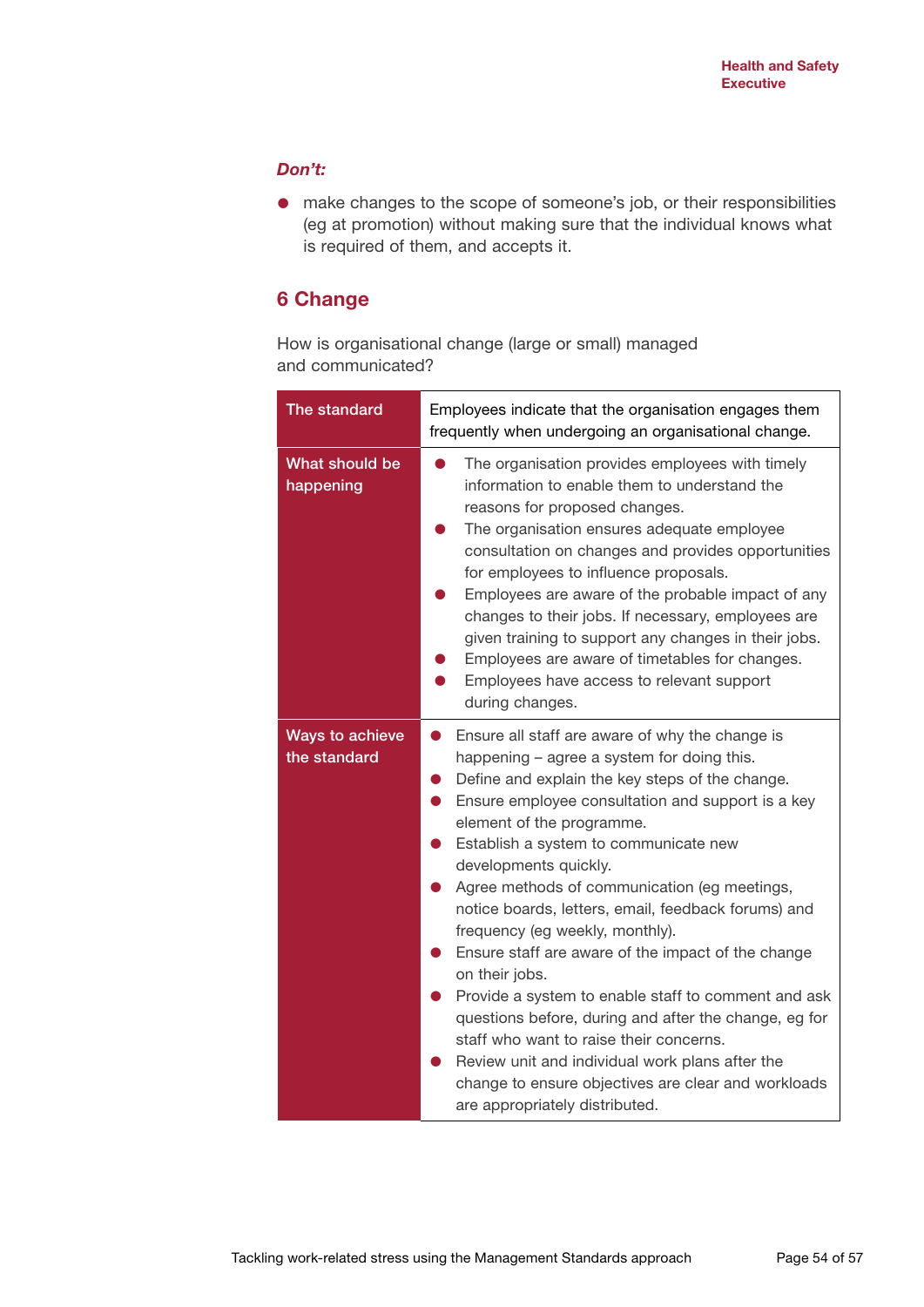## *Don't:*

 make changes to the scope of someone's job, or their responsibilities (eg at promotion) without making sure that the individual knows what is required of them, and accepts it.

# **6 Change**

How is organisational change (large or small) managed and communicated?

| The standard                    | Employees indicate that the organisation engages them<br>frequently when undergoing an organisational change.                                                                                                                                                                                                                                                                                                                                                                                                                                                                                                                                                                                                                                                                                                                              |
|---------------------------------|--------------------------------------------------------------------------------------------------------------------------------------------------------------------------------------------------------------------------------------------------------------------------------------------------------------------------------------------------------------------------------------------------------------------------------------------------------------------------------------------------------------------------------------------------------------------------------------------------------------------------------------------------------------------------------------------------------------------------------------------------------------------------------------------------------------------------------------------|
| What should be<br>happening     | The organisation provides employees with timely<br>●<br>information to enable them to understand the<br>reasons for proposed changes.<br>The organisation ensures adequate employee<br>consultation on changes and provides opportunities<br>for employees to influence proposals.<br>Employees are aware of the probable impact of any<br>changes to their jobs. If necessary, employees are<br>given training to support any changes in their jobs.<br>Employees are aware of timetables for changes.<br>Employees have access to relevant support<br>during changes.                                                                                                                                                                                                                                                                    |
| Ways to achieve<br>the standard | Ensure all staff are aware of why the change is<br>happening - agree a system for doing this.<br>Define and explain the key steps of the change.<br>Ensure employee consultation and support is a key<br>$\bullet$<br>element of the programme.<br>Establish a system to communicate new<br>developments quickly.<br>Agree methods of communication (eg meetings,<br>notice boards, letters, email, feedback forums) and<br>frequency (eg weekly, monthly).<br>Ensure staff are aware of the impact of the change<br>on their jobs.<br>Provide a system to enable staff to comment and ask<br>questions before, during and after the change, eg for<br>staff who want to raise their concerns.<br>Review unit and individual work plans after the<br>change to ensure objectives are clear and workloads<br>are appropriately distributed. |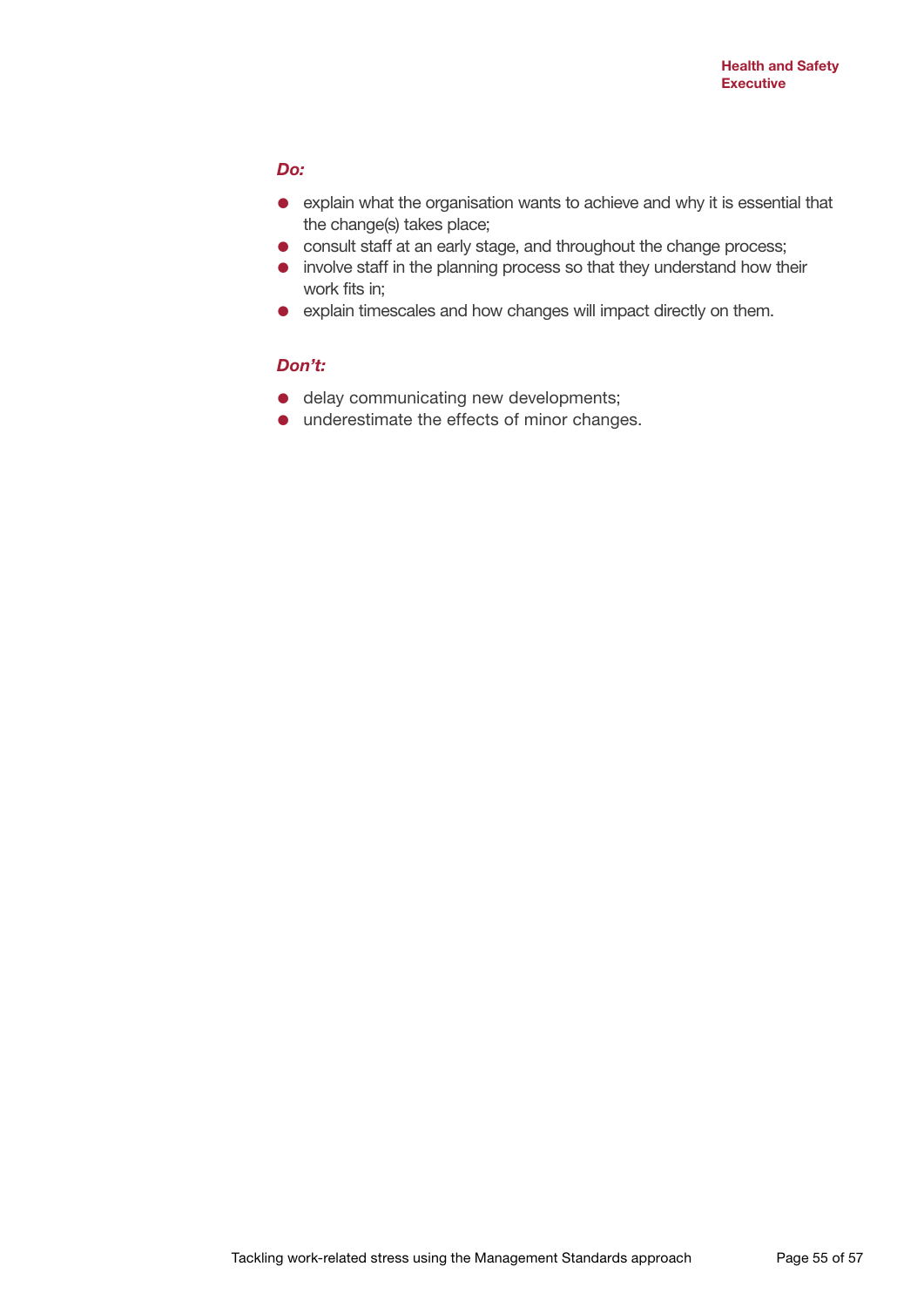### *Do:*

- explain what the organisation wants to achieve and why it is essential that the change(s) takes place;
- consult staff at an early stage, and throughout the change process;
- involve staff in the planning process so that they understand how their work fits in;
- explain timescales and how changes will impact directly on them.

## *Don't:*

- $\bullet$  delay communicating new developments;
- underestimate the effects of minor changes.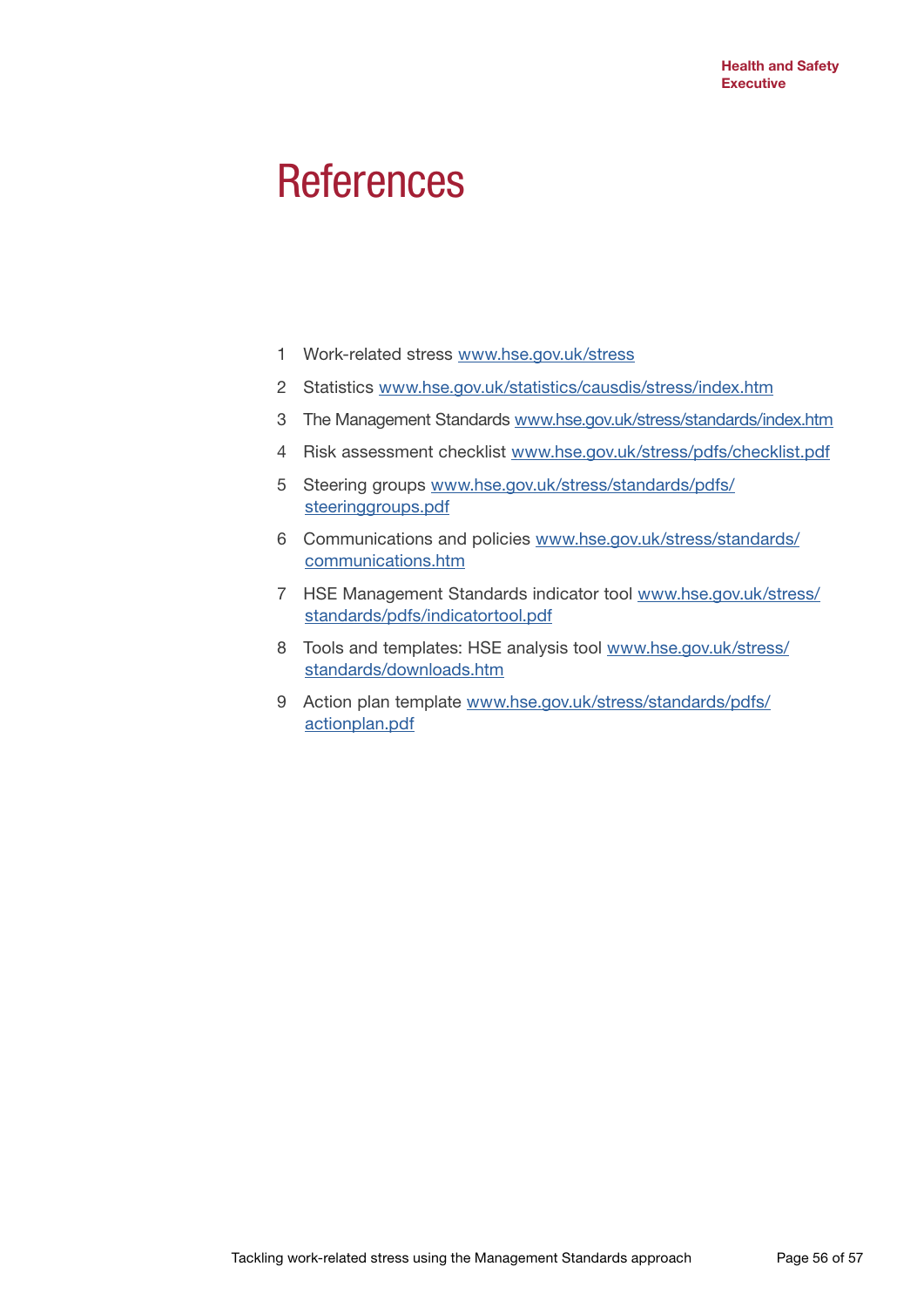# **References**

- 1 Work-related stress [www.hse.gov.uk/stress](http://www.hse.gov.uk/stress)
- 2 Statistics [www.hse.gov.uk/statistics/causdis/stress/index.htm](http://www.hse.gov.uk/statistics/causdis/stress/index.htm)
- 3 The Management Standards [www.hse.gov.uk/stress/standards/index.htm](http://www.hse.gov.uk/stress/standards/index.htm)
- 4 Risk assessment checklist [www.hse.gov.uk/stress/pdfs/checklist.pdf](http://www.hse.gov.uk/stress/pdfs/checklist.pdf)
- 5 Steering groups [www.hse.gov.uk/stress/standards/pdfs/](http://www.hse.gov.uk/stress/standards/pdfs/steeringgroups.pdf) [steeringgroups.pdf](http://www.hse.gov.uk/stress/standards/pdfs/steeringgroups.pdf)
- 6 Communications and policies [www.hse.gov.uk/stress/standards/](http://www.hse.gov.uk/stress/standards/communications.htm ) [communications.htm](http://www.hse.gov.uk/stress/standards/communications.htm )
- 7 HSE Management Standards indicator tool [www.hse.gov.uk/stress/](http://www.hse.gov.uk/stress/standards/pdfs/indicatortool.pdf ) [standards/pdfs/indicatortool.pdf](http://www.hse.gov.uk/stress/standards/pdfs/indicatortool.pdf )
- 8 Tools and templates: HSE analysis tool [www.hse.gov.uk/stress/](http://www.hse.gov.uk/stress/standards/downloads.htm ) [standards/downloads.htm](http://www.hse.gov.uk/stress/standards/downloads.htm )
- 9 Action plan template [www.hse.gov.uk/stress/standards/pdfs/](http://www.hse.gov.uk/stress/standards/pdfs/actionplan.pdf) [actionplan.pdf](http://www.hse.gov.uk/stress/standards/pdfs/actionplan.pdf)